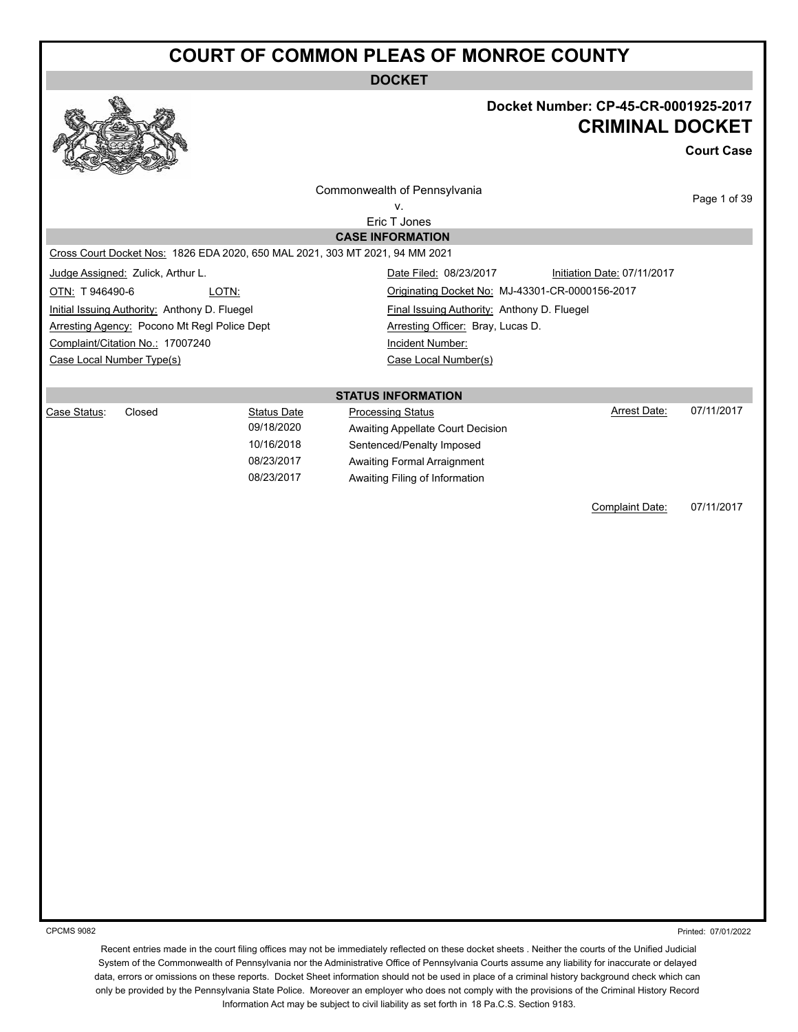**DOCKET**



#### **Docket Number: CP-45-CR-0001925-2017 CRIMINAL DOCKET**

**Court Case**

| Commonwealth of Pennsylvania<br>V.                                                                                                                             |       |                                                                            |                           |                                                                                                                                 | Page 1 of 39                                                                   |            |
|----------------------------------------------------------------------------------------------------------------------------------------------------------------|-------|----------------------------------------------------------------------------|---------------------------|---------------------------------------------------------------------------------------------------------------------------------|--------------------------------------------------------------------------------|------------|
|                                                                                                                                                                |       |                                                                            | Eric T Jones              |                                                                                                                                 |                                                                                |            |
| Cross Court Docket Nos: 1826 EDA 2020, 650 MAL 2021, 303 MT 2021, 94 MM 2021                                                                                   |       |                                                                            | <b>CASE INFORMATION</b>   |                                                                                                                                 |                                                                                |            |
| Judge Assigned: Zulick, Arthur L.<br>OTN: T946490-6                                                                                                            | LOTN: |                                                                            |                           | Date Filed: 08/23/2017                                                                                                          | Initiation Date: 07/11/2017<br>Originating Docket No: MJ-43301-CR-0000156-2017 |            |
| Initial Issuing Authority: Anthony D. Fluegel<br>Arresting Agency: Pocono Mt Regl Police Dept<br>Complaint/Citation No.: 17007240<br>Case Local Number Type(s) |       |                                                                            |                           | Final Issuing Authority: Anthony D. Fluegel<br>Arresting Officer: Bray, Lucas D.<br>Incident Number:<br>Case Local Number(s)    |                                                                                |            |
|                                                                                                                                                                |       |                                                                            | <b>STATUS INFORMATION</b> |                                                                                                                                 |                                                                                |            |
| Closed<br>Case Status:                                                                                                                                         |       | <b>Status Date</b><br>09/18/2020<br>10/16/2018<br>08/23/2017<br>08/23/2017 | <b>Processing Status</b>  | Awaiting Appellate Court Decision<br>Sentenced/Penalty Imposed<br>Awaiting Formal Arraignment<br>Awaiting Filing of Information | <b>Arrest Date:</b>                                                            | 07/11/2017 |
|                                                                                                                                                                |       |                                                                            |                           |                                                                                                                                 | Complaint Date:                                                                | 07/11/2017 |
|                                                                                                                                                                |       |                                                                            |                           |                                                                                                                                 |                                                                                |            |

CPCMS 9082

Printed: 07/01/2022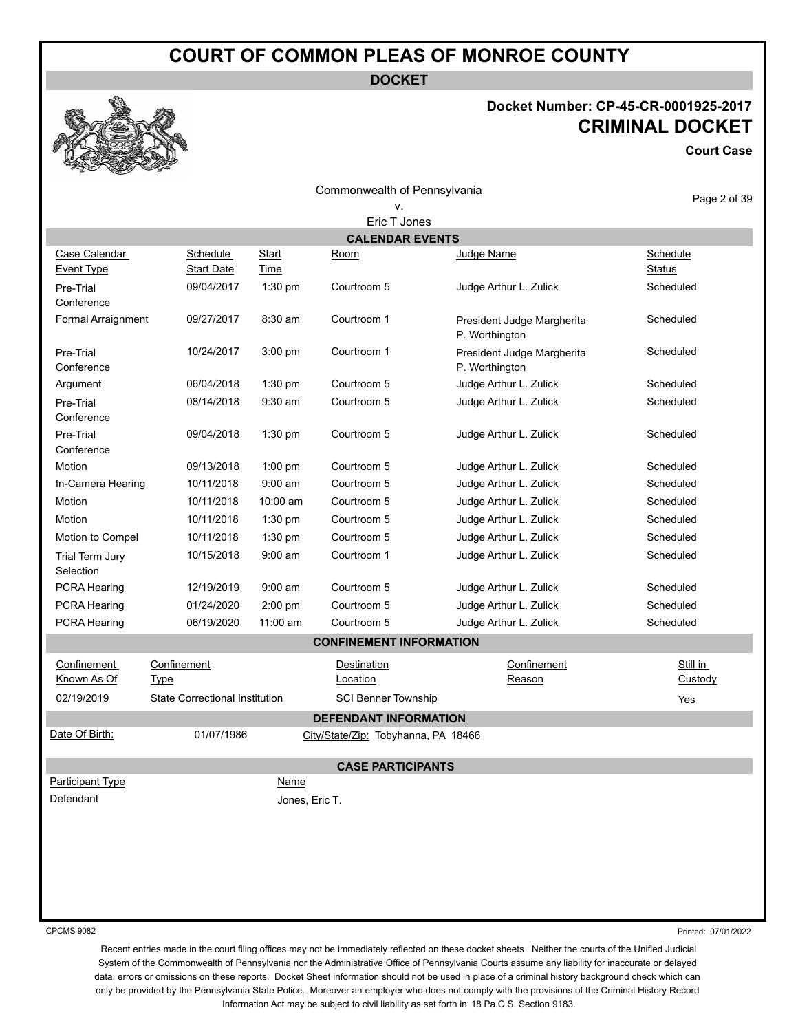**DOCKET**

#### **Docket Number: CP-45-CR-0001925-2017 CRIMINAL DOCKET**

**Court Case**

Page 2 of 39

Commonwealth of Pennsylvania v.

|                                    | Eric T Jones                          |                             |                                     |                                              |                            |  |
|------------------------------------|---------------------------------------|-----------------------------|-------------------------------------|----------------------------------------------|----------------------------|--|
|                                    |                                       |                             | <b>CALENDAR EVENTS</b>              |                                              |                            |  |
| Case Calendar<br><b>Event Type</b> | Schedule<br><b>Start Date</b>         | <b>Start</b><br><b>Time</b> | Room                                | Judge Name                                   | Schedule<br><b>Status</b>  |  |
| Pre-Trial<br>Conference            | 09/04/2017                            | $1:30$ pm                   | Courtroom 5                         | Judge Arthur L. Zulick                       | Scheduled                  |  |
| Formal Arraignment                 | 09/27/2017                            | 8:30 am                     | Courtroom 1                         | President Judge Margherita<br>P. Worthington | Scheduled                  |  |
| Pre-Trial<br>Conference            | 10/24/2017                            | $3:00$ pm                   | Courtroom 1                         | President Judge Margherita<br>P. Worthington | Scheduled                  |  |
| Argument                           | 06/04/2018                            | 1:30 pm                     | Courtroom 5                         | Judge Arthur L. Zulick                       | Scheduled                  |  |
| Pre-Trial<br>Conference            | 08/14/2018                            | $9:30$ am                   | Courtroom 5                         | Judge Arthur L. Zulick                       | Scheduled                  |  |
| Pre-Trial<br>Conference            | 09/04/2018                            | $1:30$ pm                   | Courtroom 5                         | Judge Arthur L. Zulick                       | Scheduled                  |  |
| Motion                             | 09/13/2018                            | $1:00$ pm                   | Courtroom 5                         | Judge Arthur L. Zulick                       | Scheduled                  |  |
| In-Camera Hearing                  | 10/11/2018                            | $9:00$ am                   | Courtroom 5                         | Judge Arthur L. Zulick                       | Scheduled                  |  |
| Motion                             | 10/11/2018                            | 10:00 am                    | Courtroom 5                         | Judge Arthur L. Zulick                       | Scheduled                  |  |
| Motion                             | 10/11/2018                            | $1:30$ pm                   | Courtroom 5                         | Judge Arthur L. Zulick                       | Scheduled                  |  |
| Motion to Compel                   | 10/11/2018                            | $1:30$ pm                   | Courtroom 5                         | Judge Arthur L. Zulick                       | Scheduled                  |  |
| Trial Term Jury<br>Selection       | 10/15/2018                            | $9:00$ am                   | Courtroom 1                         | Judge Arthur L. Zulick                       | Scheduled                  |  |
| <b>PCRA Hearing</b>                | 12/19/2019                            | $9:00$ am                   | Courtroom 5                         | Judge Arthur L. Zulick                       | Scheduled                  |  |
| <b>PCRA Hearing</b>                | 01/24/2020                            | $2:00$ pm                   | Courtroom 5                         | Judge Arthur L. Zulick                       | Scheduled                  |  |
| PCRA Hearing                       | 06/19/2020                            | 11:00 am                    | Courtroom 5                         | Judge Arthur L. Zulick                       | Scheduled                  |  |
|                                    |                                       |                             | <b>CONFINEMENT INFORMATION</b>      |                                              |                            |  |
| Confinement<br><u>Known As Of</u>  | Confinement<br><b>Type</b>            |                             | Destination<br><b>Location</b>      | Confinement<br>Reason                        | Still in<br><b>Custody</b> |  |
| 02/19/2019                         | <b>State Correctional Institution</b> |                             | <b>SCI Benner Township</b>          |                                              | Yes                        |  |
|                                    |                                       |                             | <b>DEFENDANT INFORMATION</b>        |                                              |                            |  |
| Date Of Birth:                     | 01/07/1986                            |                             | City/State/Zip: Tobyhanna, PA 18466 |                                              |                            |  |
|                                    |                                       |                             | <b>CASE PARTICIPANTS</b>            |                                              |                            |  |
| Participant Type                   |                                       | Name                        |                                     |                                              |                            |  |
| Defendant                          |                                       | Jones, Eric T.              |                                     |                                              |                            |  |
|                                    |                                       |                             |                                     |                                              |                            |  |
|                                    |                                       |                             |                                     |                                              |                            |  |
|                                    |                                       |                             |                                     |                                              |                            |  |

CPCMS 9082

Printed: 07/01/2022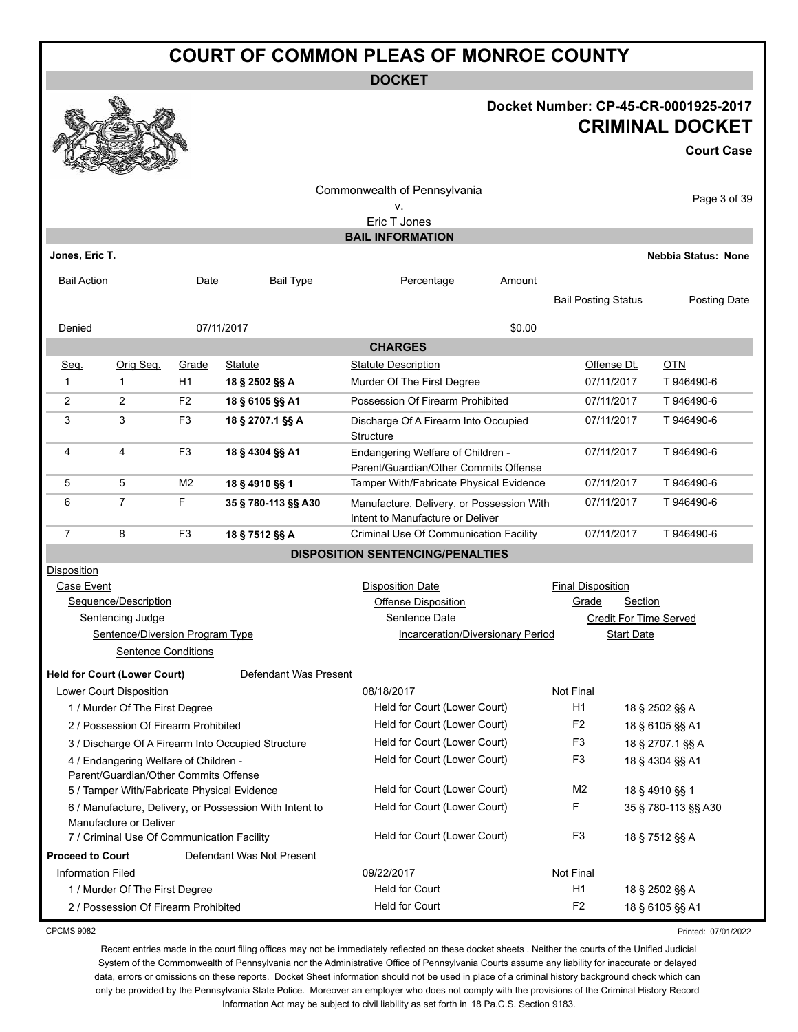**DOCKET**

#### **Docket Number: CP-45-CR-0001925-2017 CRIMINAL DOCKET**

**Court Case**

| w                        | <b>Contract of the Contract of the Contract of the Contract of the Contract of the Contract of the Contract of the Contract of The Contract of The Contract of The Contract of The Contract of The Contract of The Contract of T</b><br>$-2$ |                |                                                         |                                                                               |        |                            |                   |                            |
|--------------------------|----------------------------------------------------------------------------------------------------------------------------------------------------------------------------------------------------------------------------------------------|----------------|---------------------------------------------------------|-------------------------------------------------------------------------------|--------|----------------------------|-------------------|----------------------------|
|                          |                                                                                                                                                                                                                                              |                |                                                         | Commonwealth of Pennsylvania                                                  |        |                            |                   |                            |
|                          |                                                                                                                                                                                                                                              |                |                                                         | v.                                                                            |        |                            |                   | Page 3 of 39               |
|                          | Eric T Jones                                                                                                                                                                                                                                 |                |                                                         |                                                                               |        |                            |                   |                            |
|                          |                                                                                                                                                                                                                                              |                |                                                         | <b>BAIL INFORMATION</b>                                                       |        |                            |                   |                            |
| Jones, Eric T.           |                                                                                                                                                                                                                                              |                |                                                         |                                                                               |        |                            |                   | <b>Nebbia Status: None</b> |
| <b>Bail Action</b>       |                                                                                                                                                                                                                                              | Date           | <b>Bail Type</b>                                        | Percentage                                                                    | Amount |                            |                   |                            |
|                          |                                                                                                                                                                                                                                              |                |                                                         |                                                                               |        | <b>Bail Posting Status</b> |                   | Posting Date               |
|                          |                                                                                                                                                                                                                                              |                |                                                         |                                                                               |        |                            |                   |                            |
| Denied                   |                                                                                                                                                                                                                                              |                | 07/11/2017                                              |                                                                               | \$0.00 |                            |                   |                            |
|                          |                                                                                                                                                                                                                                              |                |                                                         | <b>CHARGES</b>                                                                |        |                            |                   |                            |
| Seq.                     | Orig Seq.                                                                                                                                                                                                                                    | Grade          | <b>Statute</b>                                          | <b>Statute Description</b>                                                    |        | Offense Dt.                |                   | $OTN$                      |
| 1                        | 1                                                                                                                                                                                                                                            | H1             | 18 § 2502 §§ A                                          | Murder Of The First Degree                                                    |        | 07/11/2017                 |                   | T 946490-6                 |
| 2                        | $\overline{c}$                                                                                                                                                                                                                               | F <sub>2</sub> | 18 § 6105 §§ A1                                         | Possession Of Firearm Prohibited                                              |        | 07/11/2017                 |                   | T 946490-6                 |
| 3                        | 3                                                                                                                                                                                                                                            | F <sub>3</sub> | 18 § 2707.1 §§ A                                        | Discharge Of A Firearm Into Occupied<br><b>Structure</b>                      |        | 07/11/2017                 |                   | T946490-6                  |
| 4                        | 4                                                                                                                                                                                                                                            | F <sub>3</sub> | 18 § 4304 §§ A1                                         | Endangering Welfare of Children -<br>Parent/Guardian/Other Commits Offense    |        | 07/11/2017                 |                   | T 946490-6                 |
| 5                        | 5                                                                                                                                                                                                                                            | M <sub>2</sub> | 18 § 4910 §§ 1                                          | Tamper With/Fabricate Physical Evidence                                       |        | 07/11/2017                 |                   | T 946490-6                 |
| 6                        | $\overline{7}$                                                                                                                                                                                                                               | F              | 35 § 780-113 §§ A30                                     | Manufacture, Delivery, or Possession With<br>Intent to Manufacture or Deliver |        | 07/11/2017                 |                   | T946490-6                  |
| $\overline{7}$           | 8                                                                                                                                                                                                                                            | F <sub>3</sub> | 18 § 7512 §§ A                                          | Criminal Use Of Communication Facility                                        |        | 07/11/2017                 |                   | T 946490-6                 |
|                          |                                                                                                                                                                                                                                              |                |                                                         | <b>DISPOSITION SENTENCING/PENALTIES</b>                                       |        |                            |                   |                            |
| Disposition              |                                                                                                                                                                                                                                              |                |                                                         |                                                                               |        |                            |                   |                            |
| Case Event               |                                                                                                                                                                                                                                              |                |                                                         | <b>Disposition Date</b>                                                       |        | <b>Final Disposition</b>   |                   |                            |
|                          | Sequence/Description                                                                                                                                                                                                                         |                |                                                         | <b>Offense Disposition</b>                                                    |        | Grade                      | Section           |                            |
|                          | Sentencing Judge                                                                                                                                                                                                                             |                |                                                         | Sentence Date                                                                 |        |                            |                   | Credit For Time Served     |
|                          | Sentence/Diversion Program Type                                                                                                                                                                                                              |                |                                                         | Incarceration/Diversionary Period                                             |        |                            | <b>Start Date</b> |                            |
|                          | <b>Sentence Conditions</b>                                                                                                                                                                                                                   |                |                                                         |                                                                               |        |                            |                   |                            |
|                          | <b>Held for Court (Lower Court)</b>                                                                                                                                                                                                          |                | Defendant Was Present                                   |                                                                               |        |                            |                   |                            |
|                          | Lower Court Disposition                                                                                                                                                                                                                      |                |                                                         | 08/18/2017                                                                    |        | Not Final                  |                   |                            |
|                          | 1 / Murder Of The First Degree                                                                                                                                                                                                               |                |                                                         | Held for Court (Lower Court)                                                  |        | H1                         |                   | 18 § 2502 §§ A             |
|                          | 2 / Possession Of Firearm Prohibited                                                                                                                                                                                                         |                |                                                         | Held for Court (Lower Court)                                                  |        | F2                         |                   | 18 § 6105 §§ A1            |
|                          |                                                                                                                                                                                                                                              |                | 3 / Discharge Of A Firearm Into Occupied Structure      | Held for Court (Lower Court)                                                  |        | F3                         |                   | 18 § 2707.1 §§ A           |
|                          | 4 / Endangering Welfare of Children -                                                                                                                                                                                                        |                |                                                         | Held for Court (Lower Court)                                                  |        | F <sub>3</sub>             |                   | 18 § 4304 §§ A1            |
|                          | Parent/Guardian/Other Commits Offense                                                                                                                                                                                                        |                |                                                         |                                                                               |        |                            |                   |                            |
|                          | 5 / Tamper With/Fabricate Physical Evidence                                                                                                                                                                                                  |                |                                                         | Held for Court (Lower Court)                                                  |        | M <sub>2</sub>             |                   | 18 § 4910 §§ 1             |
|                          | Manufacture or Deliver                                                                                                                                                                                                                       |                | 6 / Manufacture, Delivery, or Possession With Intent to | Held for Court (Lower Court)                                                  |        | F                          |                   | 35 § 780-113 §§ A30        |
|                          | 7 / Criminal Use Of Communication Facility                                                                                                                                                                                                   |                |                                                         | Held for Court (Lower Court)                                                  |        | F <sub>3</sub>             |                   | 18 § 7512 §§ A             |
| <b>Proceed to Court</b>  |                                                                                                                                                                                                                                              |                | Defendant Was Not Present                               |                                                                               |        |                            |                   |                            |
| <b>Information Filed</b> |                                                                                                                                                                                                                                              |                |                                                         | 09/22/2017                                                                    |        | Not Final                  |                   |                            |
|                          | 1 / Murder Of The First Degree                                                                                                                                                                                                               |                |                                                         | Held for Court                                                                |        | H1                         |                   | 18 § 2502 §§ A             |
|                          | 2 / Possession Of Firearm Prohibited                                                                                                                                                                                                         |                |                                                         | Held for Court                                                                |        | F <sub>2</sub>             |                   | 18 § 6105 §§ A1            |

CPCMS 9082

Printed: 07/01/2022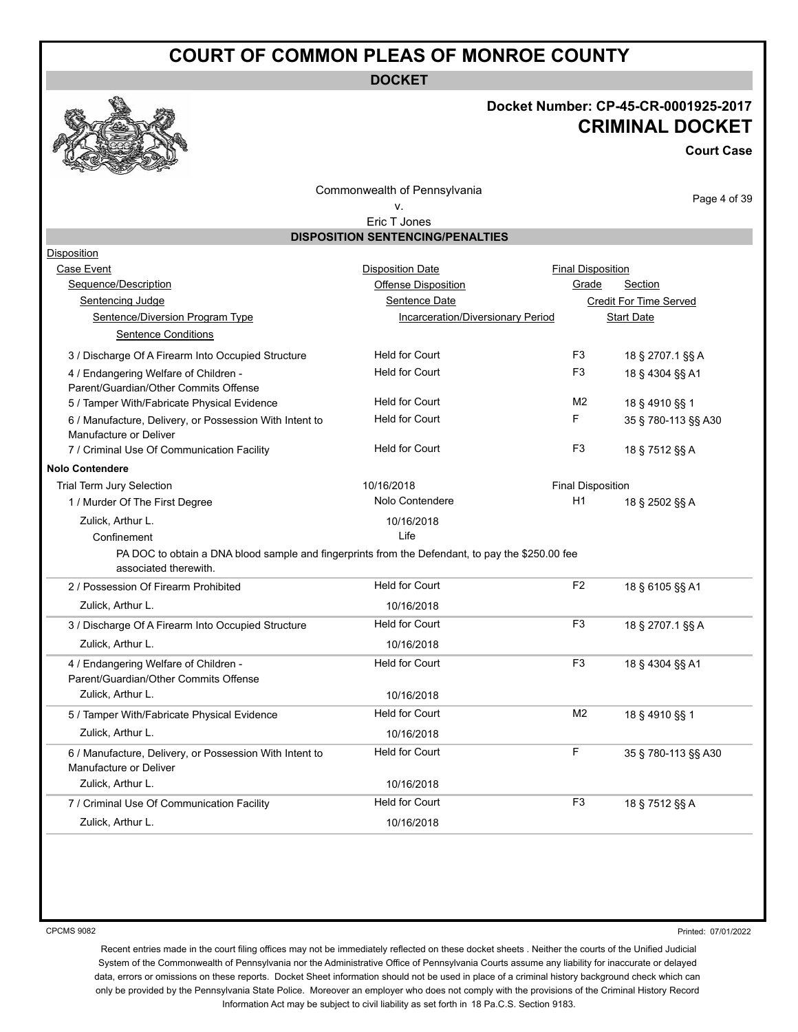**DOCKET**

#### **Docket Number: CP-45-CR-0001925-2017 CRIMINAL DOCKET**

**Court Case**

Commonwealth of Pennsylvania

Page 4 of 39

#### v. Eric T Jones

|  | <b>DISPOSITION SENTENCING/PENALTIES</b> |  |
|--|-----------------------------------------|--|
|  |                                         |  |

| Disposition                                                                                                               |                                          |                          |                               |
|---------------------------------------------------------------------------------------------------------------------------|------------------------------------------|--------------------------|-------------------------------|
| Case Event                                                                                                                | <b>Disposition Date</b>                  | <b>Final Disposition</b> |                               |
| Sequence/Description                                                                                                      | Offense Disposition                      | Grade                    | Section                       |
| Sentencing Judge                                                                                                          | Sentence Date                            |                          | <b>Credit For Time Served</b> |
| Sentence/Diversion Program Type                                                                                           | <b>Incarceration/Diversionary Period</b> |                          | <b>Start Date</b>             |
| <b>Sentence Conditions</b>                                                                                                |                                          |                          |                               |
| 3 / Discharge Of A Firearm Into Occupied Structure                                                                        | <b>Held for Court</b>                    | F <sub>3</sub>           | 18 § 2707.1 §§ A              |
| 4 / Endangering Welfare of Children -<br>Parent/Guardian/Other Commits Offense                                            | <b>Held for Court</b>                    | F <sub>3</sub>           | 18 § 4304 §§ A1               |
| 5 / Tamper With/Fabricate Physical Evidence                                                                               | <b>Held for Court</b>                    | M <sub>2</sub>           | 18 § 4910 §§ 1                |
| 6 / Manufacture, Delivery, or Possession With Intent to<br>Manufacture or Deliver                                         | <b>Held for Court</b>                    | F                        | 35 § 780-113 §§ A30           |
| 7 / Criminal Use Of Communication Facility                                                                                | <b>Held for Court</b>                    | F <sub>3</sub>           | 18 § 7512 §§ A                |
| <b>Nolo Contendere</b>                                                                                                    |                                          |                          |                               |
| Trial Term Jury Selection                                                                                                 | 10/16/2018                               | <b>Final Disposition</b> |                               |
| 1 / Murder Of The First Degree                                                                                            | Nolo Contendere                          | H1                       | 18 § 2502 §§ A                |
| Zulick, Arthur L.                                                                                                         | 10/16/2018                               |                          |                               |
| Confinement                                                                                                               | Life                                     |                          |                               |
| PA DOC to obtain a DNA blood sample and fingerprints from the Defendant, to pay the \$250.00 fee<br>associated therewith. |                                          |                          |                               |
|                                                                                                                           | <b>Held for Court</b>                    | F <sub>2</sub>           | 18 § 6105 §§ A1               |
| 2 / Possession Of Firearm Prohibited                                                                                      |                                          |                          |                               |
| Zulick, Arthur L.                                                                                                         | 10/16/2018                               |                          |                               |
| 3 / Discharge Of A Firearm Into Occupied Structure                                                                        | <b>Held for Court</b>                    | F <sub>3</sub>           | 18 § 2707.1 §§ A              |
| Zulick, Arthur L.                                                                                                         | 10/16/2018                               |                          |                               |
| 4 / Endangering Welfare of Children -                                                                                     | <b>Held for Court</b>                    | F <sub>3</sub>           | 18 § 4304 §§ A1               |
| Parent/Guardian/Other Commits Offense                                                                                     |                                          |                          |                               |
| Zulick, Arthur L.                                                                                                         | 10/16/2018                               |                          |                               |
| 5 / Tamper With/Fabricate Physical Evidence                                                                               | <b>Held for Court</b>                    | M <sub>2</sub>           | 18 § 4910 §§ 1                |
| Zulick, Arthur L.                                                                                                         | 10/16/2018                               |                          |                               |
| 6 / Manufacture, Delivery, or Possession With Intent to<br>Manufacture or Deliver                                         | <b>Held for Court</b>                    | F                        | 35 § 780-113 §§ A30           |
| Zulick, Arthur L.                                                                                                         | 10/16/2018                               |                          |                               |
| 7 / Criminal Use Of Communication Facility                                                                                | <b>Held for Court</b>                    | F <sub>3</sub>           | 18 § 7512 §§ A                |

CPCMS 9082

Printed: 07/01/2022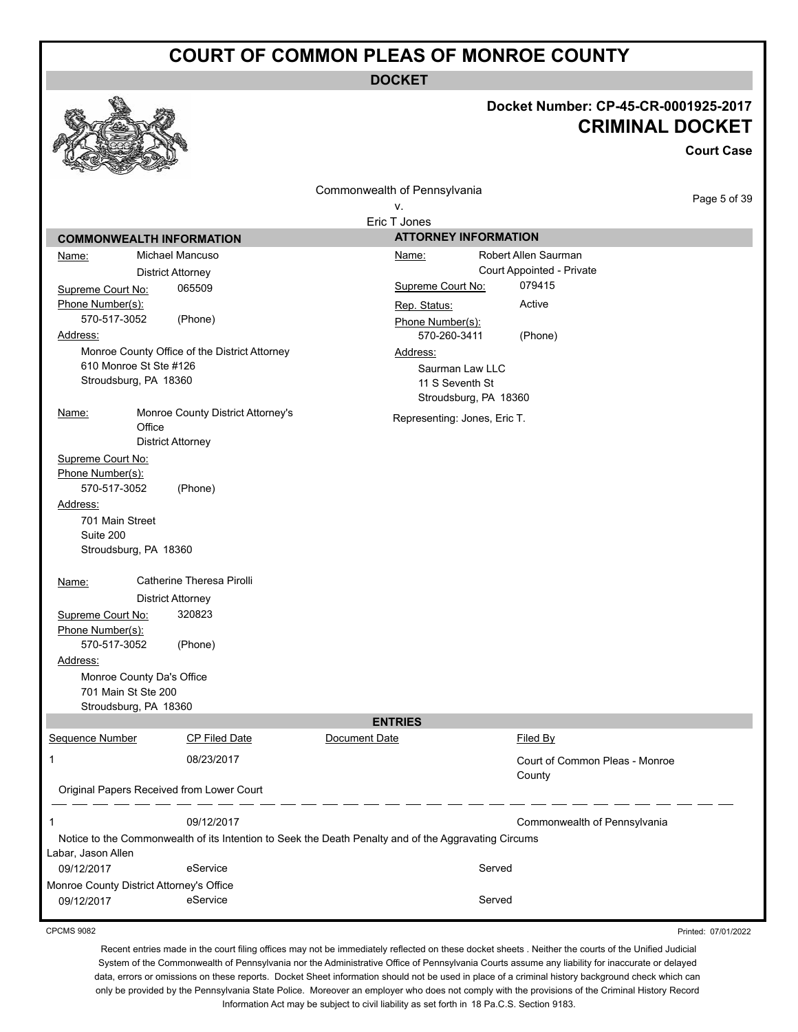**DOCKET**

#### **Docket Number: CP-45-CR-0001925-2017 CRIMINAL DOCKET**

**Court Case**

Commonwealth of Pennsylvania v.

Page 5 of 39

Printed: 07/01/2022

|                    |                                                                                                      | Eric T Jones      |                                |
|--------------------|------------------------------------------------------------------------------------------------------|-------------------|--------------------------------|
|                    | <b>COMMONWEALTH INFORMATION</b>                                                                      |                   | <b>ATTORNEY INFORMATION</b>    |
| Name:              | Michael Mancuso                                                                                      | <u>Name:</u>      | Robert Allen Saurman           |
|                    | <b>District Attorney</b>                                                                             |                   | Court Appointed - Private      |
| Supreme Court No:  | 065509                                                                                               | Supreme Court No: | 079415                         |
| Phone Number(s):   |                                                                                                      | Rep. Status:      | Active                         |
| 570-517-3052       | (Phone)                                                                                              | Phone Number(s):  |                                |
| Address:           |                                                                                                      | 570-260-3411      | (Phone)                        |
|                    | Monroe County Office of the District Attorney                                                        | Address:          |                                |
|                    | 610 Monroe St Ste #126                                                                               |                   | Saurman Law LLC                |
|                    | Stroudsburg, PA 18360                                                                                | 11 S Seventh St   |                                |
|                    |                                                                                                      |                   | Stroudsburg, PA 18360          |
| Name:              | Monroe County District Attorney's                                                                    |                   | Representing: Jones, Eric T.   |
|                    | Office                                                                                               |                   |                                |
|                    | <b>District Attorney</b>                                                                             |                   |                                |
| Supreme Court No:  |                                                                                                      |                   |                                |
| Phone Number(s):   |                                                                                                      |                   |                                |
| 570-517-3052       | (Phone)                                                                                              |                   |                                |
| Address:           |                                                                                                      |                   |                                |
| 701 Main Street    |                                                                                                      |                   |                                |
| Suite 200          | Stroudsburg, PA 18360                                                                                |                   |                                |
|                    |                                                                                                      |                   |                                |
| Name:              | Catherine Theresa Pirolli                                                                            |                   |                                |
|                    | <b>District Attorney</b>                                                                             |                   |                                |
| Supreme Court No:  | 320823                                                                                               |                   |                                |
| Phone Number(s):   |                                                                                                      |                   |                                |
| 570-517-3052       | (Phone)                                                                                              |                   |                                |
| Address:           |                                                                                                      |                   |                                |
|                    | Monroe County Da's Office                                                                            |                   |                                |
|                    | 701 Main St Ste 200                                                                                  |                   |                                |
|                    | Stroudsburg, PA 18360                                                                                |                   |                                |
|                    |                                                                                                      | <b>ENTRIES</b>    |                                |
| Sequence Number    | <b>CP Filed Date</b>                                                                                 | Document Date     | Filed By                       |
| 1                  | 08/23/2017                                                                                           |                   | Court of Common Pleas - Monroe |
|                    |                                                                                                      |                   | County                         |
|                    | Original Papers Received from Lower Court                                                            |                   |                                |
|                    |                                                                                                      |                   |                                |
| 1                  | 09/12/2017                                                                                           |                   | Commonwealth of Pennsylvania   |
|                    | Notice to the Commonwealth of its Intention to Seek the Death Penalty and of the Aggravating Circums |                   |                                |
| Labar, Jason Allen |                                                                                                      |                   |                                |
| 09/12/2017         | eService                                                                                             |                   | Served                         |
|                    | Monroe County District Attorney's Office                                                             |                   |                                |
| 09/12/2017         | eService                                                                                             |                   | Served                         |

CPCMS 9082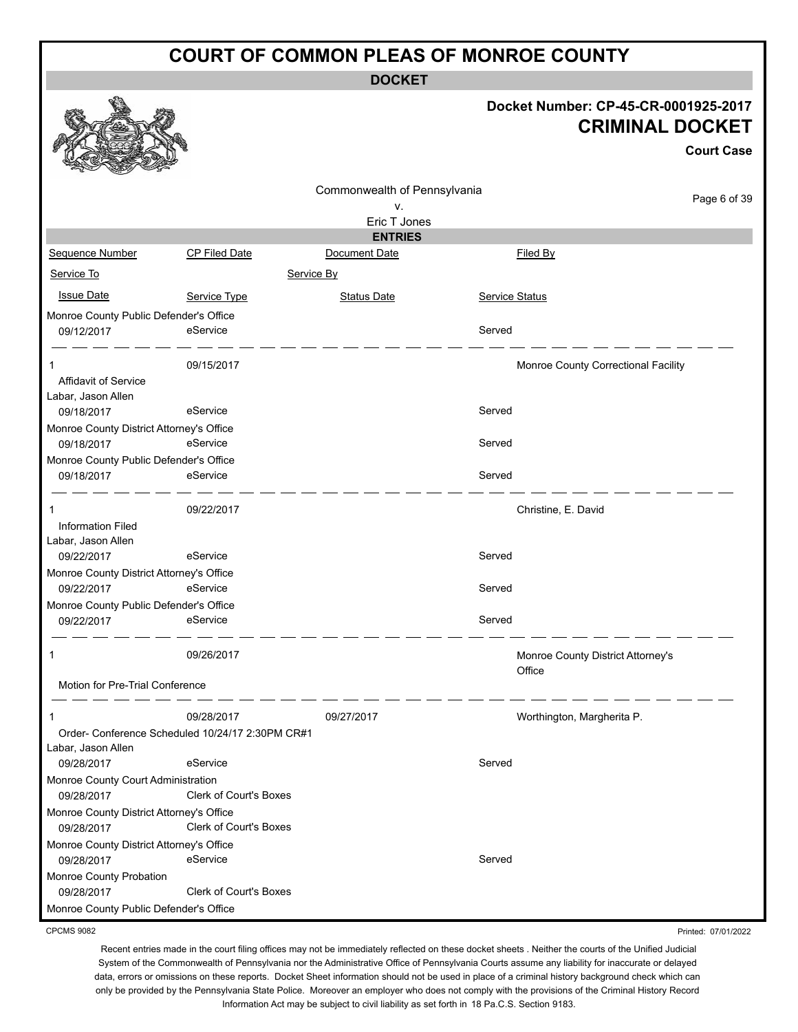**DOCKET**

#### **Docket Number: CP-45-CR-0001925-2017 CRIMINAL DOCKET**

|                                                        |                        |                              |                       |                                             | <b>Court Case</b> |
|--------------------------------------------------------|------------------------|------------------------------|-----------------------|---------------------------------------------|-------------------|
|                                                        |                        | Commonwealth of Pennsylvania |                       |                                             |                   |
|                                                        |                        | ν.                           |                       |                                             | Page 6 of 39      |
|                                                        |                        | Eric T Jones                 |                       |                                             |                   |
|                                                        |                        | <b>ENTRIES</b>               |                       |                                             |                   |
| <b>Sequence Number</b>                                 | <b>CP Filed Date</b>   | Document Date                |                       | Filed By                                    |                   |
| Service To                                             | Service By             |                              |                       |                                             |                   |
| <b>Issue Date</b>                                      | Service Type           | <b>Status Date</b>           | <b>Service Status</b> |                                             |                   |
| Monroe County Public Defender's Office                 |                        |                              |                       |                                             |                   |
| 09/12/2017                                             | eService               |                              | Served                |                                             |                   |
| Affidavit of Service<br>Labar, Jason Allen             | 09/15/2017             |                              |                       | Monroe County Correctional Facility         |                   |
| 09/18/2017                                             | eService               |                              | Served                |                                             |                   |
| Monroe County District Attorney's Office<br>09/18/2017 | eService               |                              | Served                |                                             |                   |
| Monroe County Public Defender's Office                 |                        |                              |                       |                                             |                   |
| 09/18/2017                                             | eService               |                              | Served                |                                             |                   |
| 1<br><b>Information Filed</b><br>Labar, Jason Allen    | 09/22/2017             |                              |                       | Christine, E. David                         |                   |
| 09/22/2017                                             | eService               |                              | Served                |                                             |                   |
| Monroe County District Attorney's Office<br>09/22/2017 | eService               |                              | Served                |                                             |                   |
| Monroe County Public Defender's Office<br>09/22/2017   | eService               |                              | Served                |                                             |                   |
| 1                                                      | 09/26/2017             |                              |                       | Monroe County District Attorney's<br>Office |                   |
| Motion for Pre-Trial Conference                        |                        |                              |                       |                                             |                   |
|                                                        | 09/28/2017             | 09/27/2017                   |                       | Worthington, Margherita P.                  |                   |
| Order- Conference Scheduled 10/24/17 2:30PM CR#1       |                        |                              |                       |                                             |                   |
| Labar, Jason Allen                                     |                        |                              |                       |                                             |                   |
| 09/28/2017                                             | eService               |                              | Served                |                                             |                   |
| Monroe County Court Administration                     |                        |                              |                       |                                             |                   |
| 09/28/2017                                             | Clerk of Court's Boxes |                              |                       |                                             |                   |
| Monroe County District Attorney's Office               |                        |                              |                       |                                             |                   |
| 09/28/2017                                             | Clerk of Court's Boxes |                              |                       |                                             |                   |
| Monroe County District Attorney's Office               |                        |                              |                       |                                             |                   |
| 09/28/2017                                             | eService               |                              | Served                |                                             |                   |
| Monroe County Probation<br>09/28/2017                  | Clerk of Court's Boxes |                              |                       |                                             |                   |
| Monroe County Public Defender's Office                 |                        |                              |                       |                                             |                   |

CPCMS 9082

R.

Recent entries made in the court filing offices may not be immediately reflected on these docket sheets . Neither the courts of the Unified Judicial System of the Commonwealth of Pennsylvania nor the Administrative Office of Pennsylvania Courts assume any liability for inaccurate or delayed data, errors or omissions on these reports. Docket Sheet information should not be used in place of a criminal history background check which can only be provided by the Pennsylvania State Police. Moreover an employer who does not comply with the provisions of the Criminal History Record Information Act may be subject to civil liability as set forth in 18 Pa.C.S. Section 9183.

Printed: 07/01/2022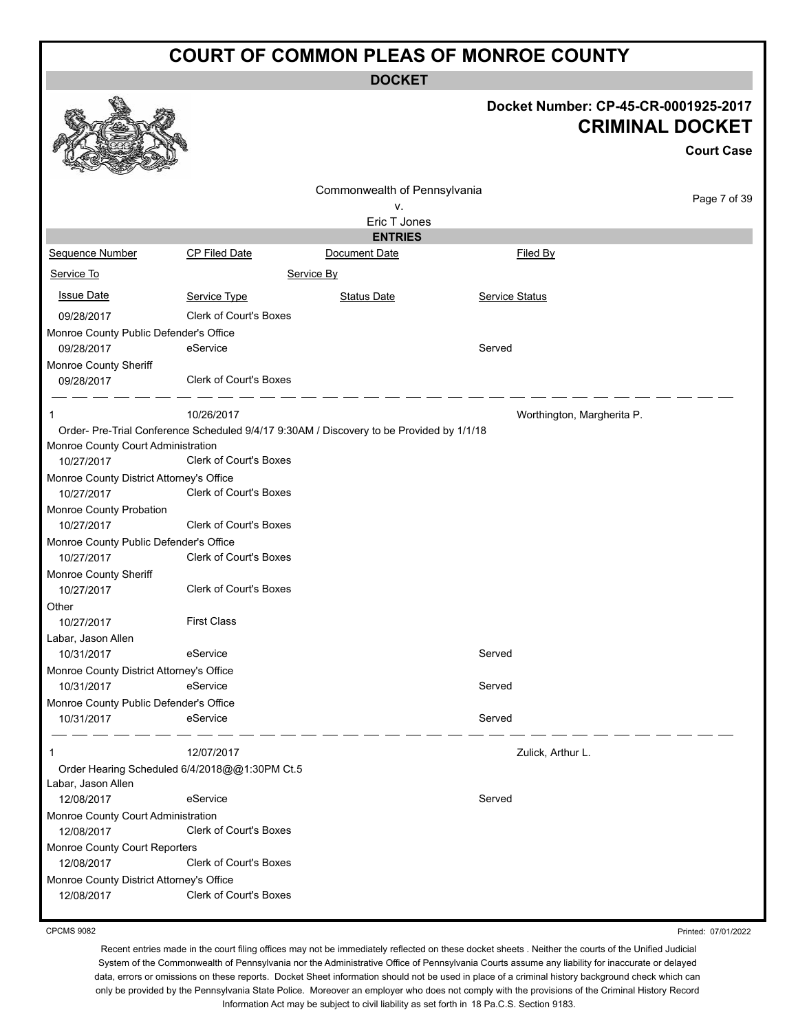**DOCKET**

#### **Docket Number: CP-45-CR-0001925-2017 CRIMINAL DOCKET**

**Court Case**

|                                          |                                                                                          |                              |                            | <b>Court Case</b> |  |  |
|------------------------------------------|------------------------------------------------------------------------------------------|------------------------------|----------------------------|-------------------|--|--|
|                                          |                                                                                          | Commonwealth of Pennsylvania |                            |                   |  |  |
|                                          |                                                                                          | ٧.                           |                            | Page 7 of 39      |  |  |
|                                          |                                                                                          | Eric T Jones                 |                            |                   |  |  |
|                                          |                                                                                          | <b>ENTRIES</b>               |                            |                   |  |  |
| Sequence Number                          | CP Filed Date                                                                            | Document Date                | Filed By                   |                   |  |  |
| Service To<br>Service By                 |                                                                                          |                              |                            |                   |  |  |
| <b>Issue Date</b>                        | Service Type                                                                             | Status Date                  | Service Status             |                   |  |  |
| 09/28/2017                               | <b>Clerk of Court's Boxes</b>                                                            |                              |                            |                   |  |  |
| Monroe County Public Defender's Office   |                                                                                          |                              |                            |                   |  |  |
| 09/28/2017                               | eService                                                                                 |                              | Served                     |                   |  |  |
| Monroe County Sheriff                    |                                                                                          |                              |                            |                   |  |  |
| 09/28/2017                               | Clerk of Court's Boxes                                                                   |                              |                            |                   |  |  |
| $\mathbf 1$                              | 10/26/2017                                                                               |                              | Worthington, Margherita P. |                   |  |  |
|                                          | Order- Pre-Trial Conference Scheduled 9/4/17 9:30AM / Discovery to be Provided by 1/1/18 |                              |                            |                   |  |  |
| Monroe County Court Administration       |                                                                                          |                              |                            |                   |  |  |
| 10/27/2017                               | <b>Clerk of Court's Boxes</b>                                                            |                              |                            |                   |  |  |
| Monroe County District Attorney's Office |                                                                                          |                              |                            |                   |  |  |
| 10/27/2017                               | <b>Clerk of Court's Boxes</b>                                                            |                              |                            |                   |  |  |
| Monroe County Probation                  |                                                                                          |                              |                            |                   |  |  |
| 10/27/2017                               | Clerk of Court's Boxes                                                                   |                              |                            |                   |  |  |
| Monroe County Public Defender's Office   |                                                                                          |                              |                            |                   |  |  |
| 10/27/2017                               | Clerk of Court's Boxes                                                                   |                              |                            |                   |  |  |
| Monroe County Sheriff                    |                                                                                          |                              |                            |                   |  |  |
| 10/27/2017                               | <b>Clerk of Court's Boxes</b>                                                            |                              |                            |                   |  |  |
| Other                                    |                                                                                          |                              |                            |                   |  |  |
| 10/27/2017                               | <b>First Class</b>                                                                       |                              |                            |                   |  |  |
| Labar, Jason Allen                       |                                                                                          |                              |                            |                   |  |  |
| 10/31/2017                               | eService                                                                                 |                              | Served                     |                   |  |  |
| Monroe County District Attorney's Office |                                                                                          |                              |                            |                   |  |  |
| 10/31/2017                               | eService                                                                                 |                              | Served                     |                   |  |  |
| Monroe County Public Defender's Office   |                                                                                          |                              |                            |                   |  |  |
| 10/31/2017                               | eService                                                                                 |                              | Served                     |                   |  |  |
|                                          |                                                                                          |                              |                            |                   |  |  |
| $\mathbf 1$                              | 12/07/2017                                                                               |                              | Zulick, Arthur L.          |                   |  |  |
|                                          | Order Hearing Scheduled 6/4/2018@@1:30PM Ct.5                                            |                              |                            |                   |  |  |
| Labar, Jason Allen                       |                                                                                          |                              |                            |                   |  |  |
| 12/08/2017                               | eService                                                                                 |                              | Served                     |                   |  |  |
| Monroe County Court Administration       |                                                                                          |                              |                            |                   |  |  |
| 12/08/2017                               | Clerk of Court's Boxes                                                                   |                              |                            |                   |  |  |
| Monroe County Court Reporters            |                                                                                          |                              |                            |                   |  |  |
| 12/08/2017                               | Clerk of Court's Boxes                                                                   |                              |                            |                   |  |  |
| Monroe County District Attorney's Office |                                                                                          |                              |                            |                   |  |  |
| 12/08/2017                               | Clerk of Court's Boxes                                                                   |                              |                            |                   |  |  |
|                                          |                                                                                          |                              |                            |                   |  |  |

CPCMS 9082

Printed: 07/01/2022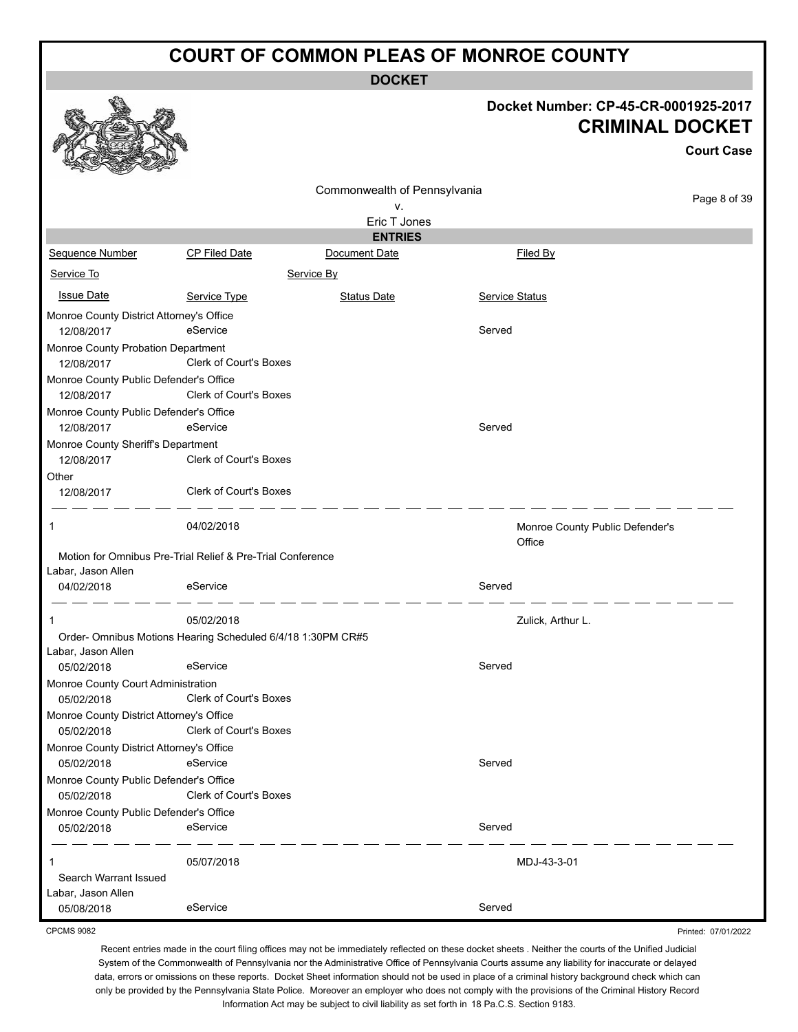**DOCKET**

# **Docket Number: CP-45-CR-0001925-2017**

Printed: 07/01/2022

|                                                      |                                                             |                                 |                                           | <b>CRIMINAL DOCKET</b><br><b>Court Case</b> |
|------------------------------------------------------|-------------------------------------------------------------|---------------------------------|-------------------------------------------|---------------------------------------------|
|                                                      |                                                             | Commonwealth of Pennsylvania    |                                           | Page 8 of 39                                |
|                                                      |                                                             | ٧.                              |                                           |                                             |
|                                                      |                                                             | Eric T Jones                    |                                           |                                             |
|                                                      | <b>CP Filed Date</b>                                        | <b>ENTRIES</b><br>Document Date | Filed By                                  |                                             |
| Sequence Number                                      |                                                             |                                 |                                           |                                             |
| Service To                                           |                                                             | Service By                      |                                           |                                             |
| <b>Issue Date</b>                                    | Service Type                                                | <b>Status Date</b>              | <b>Service Status</b>                     |                                             |
| Monroe County District Attorney's Office             |                                                             |                                 |                                           |                                             |
| 12/08/2017                                           | eService                                                    |                                 | Served                                    |                                             |
| Monroe County Probation Department                   |                                                             |                                 |                                           |                                             |
| 12/08/2017                                           | Clerk of Court's Boxes                                      |                                 |                                           |                                             |
| Monroe County Public Defender's Office               |                                                             |                                 |                                           |                                             |
| 12/08/2017                                           | Clerk of Court's Boxes                                      |                                 |                                           |                                             |
| Monroe County Public Defender's Office               |                                                             |                                 |                                           |                                             |
| 12/08/2017                                           | eService                                                    |                                 | Served                                    |                                             |
| Monroe County Sheriff's Department                   |                                                             |                                 |                                           |                                             |
| 12/08/2017                                           | Clerk of Court's Boxes                                      |                                 |                                           |                                             |
| Other                                                |                                                             |                                 |                                           |                                             |
| 12/08/2017                                           | Clerk of Court's Boxes                                      |                                 |                                           |                                             |
| $\mathbf{1}$                                         | 04/02/2018                                                  |                                 | Monroe County Public Defender's<br>Office |                                             |
|                                                      | Motion for Omnibus Pre-Trial Relief & Pre-Trial Conference  |                                 |                                           |                                             |
| Labar, Jason Allen                                   |                                                             |                                 |                                           |                                             |
| 04/02/2018                                           | eService                                                    |                                 | Served                                    |                                             |
| $\mathbf 1$                                          | 05/02/2018                                                  |                                 | Zulick, Arthur L.                         |                                             |
|                                                      | Order- Omnibus Motions Hearing Scheduled 6/4/18 1:30PM CR#5 |                                 |                                           |                                             |
| Labar, Jason Allen                                   |                                                             |                                 |                                           |                                             |
| 05/02/2018                                           | eService                                                    |                                 | Served                                    |                                             |
| Monroe County Court Administration                   | Clerk of Court's Boxes                                      |                                 |                                           |                                             |
| 05/02/2018                                           |                                                             |                                 |                                           |                                             |
| Monroe County District Attorney's Office             | Clerk of Court's Boxes                                      |                                 |                                           |                                             |
| 05/02/2018                                           |                                                             |                                 |                                           |                                             |
| Monroe County District Attorney's Office             | eService                                                    |                                 | Served                                    |                                             |
| 05/02/2018<br>Monroe County Public Defender's Office |                                                             |                                 |                                           |                                             |
| 05/02/2018                                           | Clerk of Court's Boxes                                      |                                 |                                           |                                             |
| Monroe County Public Defender's Office               |                                                             |                                 |                                           |                                             |
| 05/02/2018                                           | eService                                                    |                                 | Served                                    |                                             |
|                                                      |                                                             |                                 |                                           |                                             |
| 1                                                    | 05/07/2018                                                  |                                 | MDJ-43-3-01                               |                                             |
| Search Warrant Issued                                |                                                             |                                 |                                           |                                             |
| Labar, Jason Allen                                   |                                                             |                                 |                                           |                                             |
| 05/08/2018                                           | eService                                                    |                                 | Served                                    |                                             |

CPCMS 9082

Ô

彩

线系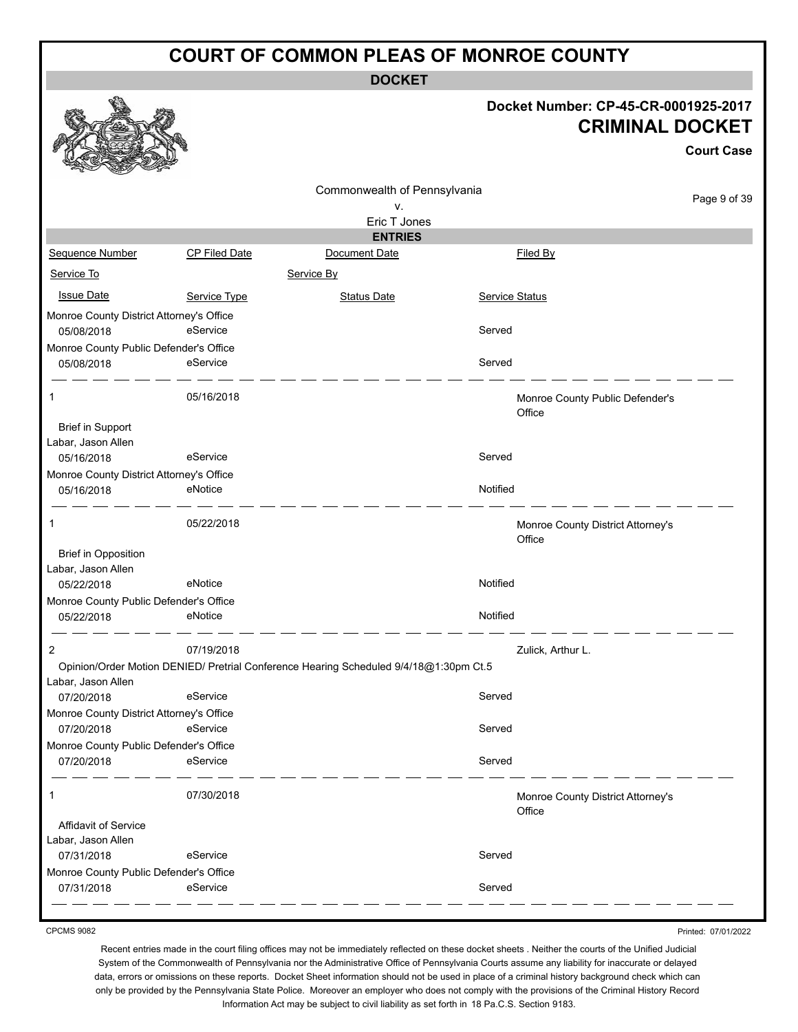**DOCKET**

#### **Docket Number: CP-45-CR-0001925-2017 CRIMINAL DOCKET**

**Court Case**

|                                          |               |                                                                                       |                       |                                             | <b>Court Case</b> |
|------------------------------------------|---------------|---------------------------------------------------------------------------------------|-----------------------|---------------------------------------------|-------------------|
|                                          |               | Commonwealth of Pennsylvania                                                          |                       |                                             |                   |
|                                          |               | v.                                                                                    |                       |                                             | Page 9 of 39      |
|                                          |               | Eric T Jones                                                                          |                       |                                             |                   |
|                                          |               | <b>ENTRIES</b>                                                                        |                       |                                             |                   |
| Sequence Number                          | CP Filed Date | Document Date                                                                         |                       | Filed By                                    |                   |
| Service To                               |               | Service By                                                                            |                       |                                             |                   |
| <b>Issue Date</b>                        | Service Type  | <b>Status Date</b>                                                                    | <b>Service Status</b> |                                             |                   |
| Monroe County District Attorney's Office |               |                                                                                       |                       |                                             |                   |
| 05/08/2018                               | eService      |                                                                                       | Served                |                                             |                   |
| Monroe County Public Defender's Office   |               |                                                                                       |                       |                                             |                   |
| 05/08/2018                               | eService      |                                                                                       | Served                |                                             |                   |
| 1                                        | 05/16/2018    |                                                                                       |                       | Monroe County Public Defender's<br>Office   |                   |
| <b>Brief in Support</b>                  |               |                                                                                       |                       |                                             |                   |
| Labar, Jason Allen                       |               |                                                                                       |                       |                                             |                   |
| 05/16/2018                               | eService      |                                                                                       | Served                |                                             |                   |
| Monroe County District Attorney's Office |               |                                                                                       |                       |                                             |                   |
| 05/16/2018                               | eNotice       |                                                                                       | Notified              |                                             |                   |
| 1                                        | 05/22/2018    |                                                                                       |                       | Monroe County District Attorney's<br>Office |                   |
| <b>Brief in Opposition</b>               |               |                                                                                       |                       |                                             |                   |
| Labar, Jason Allen                       |               |                                                                                       |                       |                                             |                   |
| 05/22/2018                               | eNotice       |                                                                                       | Notified              |                                             |                   |
| Monroe County Public Defender's Office   |               |                                                                                       |                       |                                             |                   |
| 05/22/2018                               | eNotice       |                                                                                       | Notified              |                                             |                   |
| 2                                        | 07/19/2018    |                                                                                       |                       | Zulick, Arthur L.                           |                   |
|                                          |               | Opinion/Order Motion DENIED/ Pretrial Conference Hearing Scheduled 9/4/18@1:30pm Ct.5 |                       |                                             |                   |
| Labar, Jason Allen                       |               |                                                                                       |                       |                                             |                   |
| 07/20/2018                               | eService      |                                                                                       | Served                |                                             |                   |
| Monroe County District Attorney's Office |               |                                                                                       |                       |                                             |                   |
| 07/20/2018                               | eService      |                                                                                       | Served                |                                             |                   |
| Monroe County Public Defender's Office   |               |                                                                                       |                       |                                             |                   |
| 07/20/2018                               | eService      |                                                                                       | Served                |                                             |                   |
| 1                                        | 07/30/2018    |                                                                                       |                       | Monroe County District Attorney's<br>Office |                   |
| Affidavit of Service                     |               |                                                                                       |                       |                                             |                   |
| Labar, Jason Allen                       |               |                                                                                       |                       |                                             |                   |
| 07/31/2018                               | eService      |                                                                                       | Served                |                                             |                   |
| Monroe County Public Defender's Office   |               |                                                                                       |                       |                                             |                   |
| 07/31/2018                               | eService      |                                                                                       | Served                |                                             |                   |
|                                          |               |                                                                                       |                       |                                             |                   |

CPCMS 9082

Printed: 07/01/2022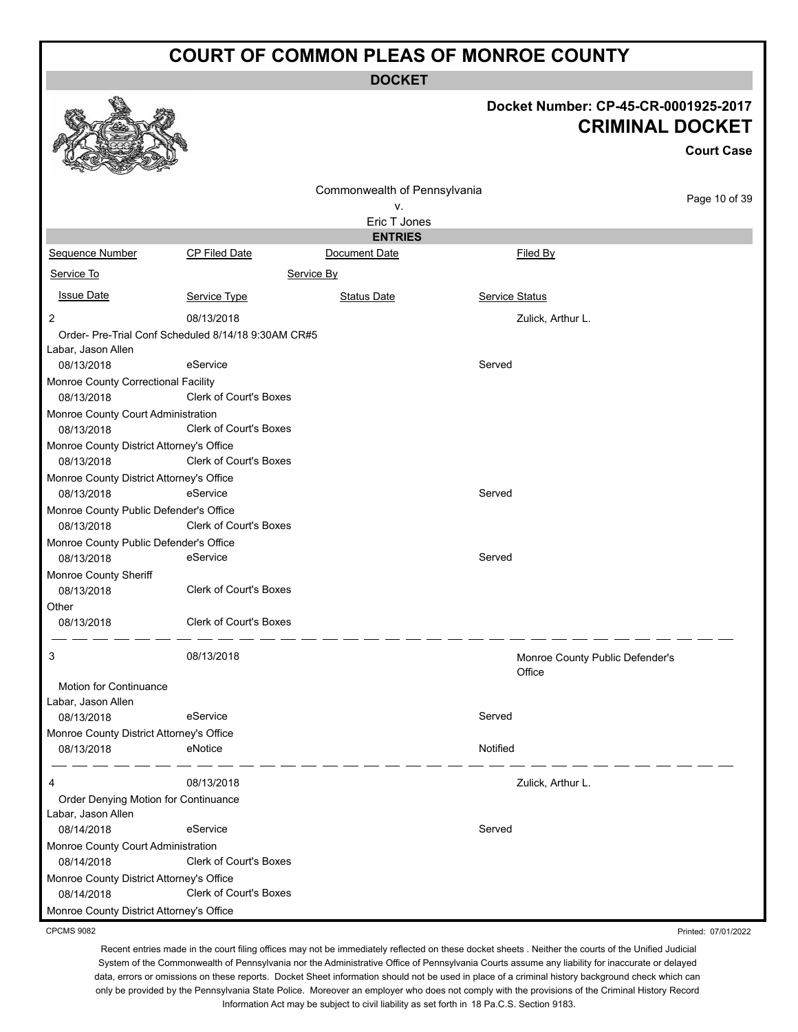**DOCKET**

# **Docket Number: CP-45-CR-0001925-2017**

|                                                        |                                                     | <b>CRIMINAL DOCKET</b><br><b>Court Case</b> |                       |                                 |
|--------------------------------------------------------|-----------------------------------------------------|---------------------------------------------|-----------------------|---------------------------------|
|                                                        |                                                     | Commonwealth of Pennsylvania<br>۷.          |                       | Page 10 of 39                   |
|                                                        |                                                     | Eric T Jones                                |                       |                                 |
|                                                        |                                                     | <b>ENTRIES</b>                              |                       |                                 |
| Sequence Number                                        | <b>CP Filed Date</b>                                | Document Date                               | Filed By              |                                 |
| Service To                                             | Service By                                          |                                             |                       |                                 |
| <b>Issue Date</b>                                      | Service Type                                        | <b>Status Date</b>                          | <b>Service Status</b> |                                 |
| 2                                                      | 08/13/2018                                          |                                             | Zulick, Arthur L.     |                                 |
|                                                        | Order- Pre-Trial Conf Scheduled 8/14/18 9:30AM CR#5 |                                             |                       |                                 |
| Labar, Jason Allen                                     |                                                     |                                             |                       |                                 |
| 08/13/2018                                             | eService                                            |                                             | Served                |                                 |
| Monroe County Correctional Facility                    |                                                     |                                             |                       |                                 |
| 08/13/2018                                             | Clerk of Court's Boxes                              |                                             |                       |                                 |
| Monroe County Court Administration                     |                                                     |                                             |                       |                                 |
| 08/13/2018                                             | <b>Clerk of Court's Boxes</b>                       |                                             |                       |                                 |
| Monroe County District Attorney's Office               |                                                     |                                             |                       |                                 |
| 08/13/2018                                             | <b>Clerk of Court's Boxes</b>                       |                                             |                       |                                 |
| Monroe County District Attorney's Office               |                                                     |                                             |                       |                                 |
| 08/13/2018                                             | eService                                            |                                             | Served                |                                 |
| Monroe County Public Defender's Office                 |                                                     |                                             |                       |                                 |
| 08/13/2018                                             | <b>Clerk of Court's Boxes</b>                       |                                             |                       |                                 |
| Monroe County Public Defender's Office                 |                                                     |                                             |                       |                                 |
| 08/13/2018                                             | eService                                            |                                             | Served                |                                 |
| Monroe County Sheriff                                  |                                                     |                                             |                       |                                 |
| 08/13/2018                                             | <b>Clerk of Court's Boxes</b>                       |                                             |                       |                                 |
| Other                                                  |                                                     |                                             |                       |                                 |
| 08/13/2018                                             | Clerk of Court's Boxes                              |                                             |                       |                                 |
| 3                                                      | 08/13/2018                                          |                                             | Office                | Monroe County Public Defender's |
| <b>Motion for Continuance</b>                          |                                                     |                                             |                       |                                 |
| Labar, Jason Allen                                     |                                                     |                                             |                       |                                 |
| 08/13/2018                                             | eService                                            |                                             | Served                |                                 |
| Monroe County District Attorney's Office               |                                                     |                                             |                       |                                 |
| 08/13/2018                                             | eNotice                                             |                                             | Notified              |                                 |
| 4                                                      | 08/13/2018                                          |                                             | Zulick, Arthur L.     |                                 |
| Order Denying Motion for Continuance                   |                                                     |                                             |                       |                                 |
| Labar, Jason Allen                                     |                                                     |                                             |                       |                                 |
| 08/14/2018                                             | eService                                            |                                             | Served                |                                 |
| Monroe County Court Administration                     |                                                     |                                             |                       |                                 |
| 08/14/2018                                             | Clerk of Court's Boxes                              |                                             |                       |                                 |
| Monroe County District Attorney's Office<br>08/14/2018 | <b>Clerk of Court's Boxes</b>                       |                                             |                       |                                 |
| Monroe County District Attorney's Office               |                                                     |                                             |                       |                                 |

CPCMS 9082

 $\mathcal{F}$ 

彩

燃

Recent entries made in the court filing offices may not be immediately reflected on these docket sheets . Neither the courts of the Unified Judicial System of the Commonwealth of Pennsylvania nor the Administrative Office of Pennsylvania Courts assume any liability for inaccurate or delayed data, errors or omissions on these reports. Docket Sheet information should not be used in place of a criminal history background check which can only be provided by the Pennsylvania State Police. Moreover an employer who does not comply with the provisions of the Criminal History Record Information Act may be subject to civil liability as set forth in 18 Pa.C.S. Section 9183.

Printed: 07/01/2022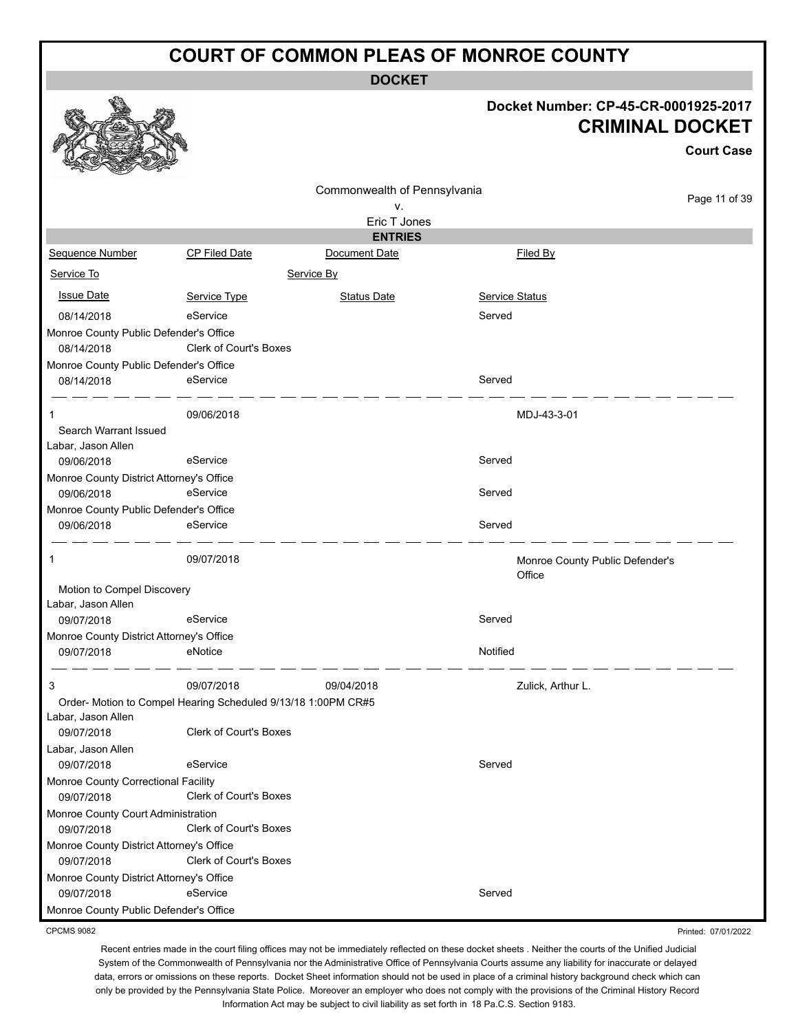**DOCKET**

#### **Docket Number: CP-45-CR-0001925-2017 CRIMINAL DOCKET**

|                                          |                                                               |                                 |                                           | UKIMINAL DUUNE I  |
|------------------------------------------|---------------------------------------------------------------|---------------------------------|-------------------------------------------|-------------------|
|                                          |                                                               |                                 |                                           | <b>Court Case</b> |
|                                          |                                                               | Commonwealth of Pennsylvania    |                                           |                   |
|                                          |                                                               | ٧.                              |                                           | Page 11 of 39     |
|                                          |                                                               | Eric T Jones                    |                                           |                   |
| Sequence Number                          | <b>CP Filed Date</b>                                          | <b>ENTRIES</b><br>Document Date | Filed By                                  |                   |
| Service To                               | Service By                                                    |                                 |                                           |                   |
|                                          |                                                               |                                 |                                           |                   |
| <b>Issue Date</b>                        | Service Type                                                  | <b>Status Date</b>              | Service Status                            |                   |
| 08/14/2018                               | eService                                                      |                                 | Served                                    |                   |
| Monroe County Public Defender's Office   |                                                               |                                 |                                           |                   |
| 08/14/2018                               | Clerk of Court's Boxes                                        |                                 |                                           |                   |
| Monroe County Public Defender's Office   |                                                               |                                 |                                           |                   |
| 08/14/2018                               | eService                                                      |                                 | Served                                    |                   |
| 1                                        | 09/06/2018                                                    |                                 | MDJ-43-3-01                               |                   |
| Search Warrant Issued                    |                                                               |                                 |                                           |                   |
| Labar, Jason Allen                       |                                                               |                                 |                                           |                   |
| 09/06/2018                               | eService                                                      |                                 | Served                                    |                   |
| Monroe County District Attorney's Office |                                                               |                                 |                                           |                   |
| 09/06/2018                               | eService                                                      |                                 | Served                                    |                   |
| Monroe County Public Defender's Office   |                                                               |                                 |                                           |                   |
| 09/06/2018                               | eService                                                      |                                 | Served                                    |                   |
| 1                                        | 09/07/2018                                                    |                                 | Monroe County Public Defender's<br>Office |                   |
| Motion to Compel Discovery               |                                                               |                                 |                                           |                   |
| Labar, Jason Allen                       |                                                               |                                 |                                           |                   |
| 09/07/2018                               | eService                                                      |                                 | Served                                    |                   |
| Monroe County District Attorney's Office |                                                               |                                 |                                           |                   |
| 09/07/2018                               | eNotice                                                       |                                 | Notified                                  |                   |
| 3                                        | 09/07/2018                                                    | 09/04/2018                      | Zulick, Arthur L.                         |                   |
|                                          | Order- Motion to Compel Hearing Scheduled 9/13/18 1:00PM CR#5 |                                 |                                           |                   |
| Labar, Jason Allen                       |                                                               |                                 |                                           |                   |
| 09/07/2018                               | <b>Clerk of Court's Boxes</b>                                 |                                 |                                           |                   |
| Labar, Jason Allen                       |                                                               |                                 |                                           |                   |
| 09/07/2018                               | eService                                                      |                                 | Served                                    |                   |
| Monroe County Correctional Facility      |                                                               |                                 |                                           |                   |
| 09/07/2018                               | Clerk of Court's Boxes                                        |                                 |                                           |                   |
| Monroe County Court Administration       |                                                               |                                 |                                           |                   |
| 09/07/2018                               | Clerk of Court's Boxes                                        |                                 |                                           |                   |
| Monroe County District Attorney's Office |                                                               |                                 |                                           |                   |
| 09/07/2018                               | Clerk of Court's Boxes                                        |                                 |                                           |                   |
| Monroe County District Attorney's Office |                                                               |                                 |                                           |                   |
| 09/07/2018                               | eService                                                      |                                 | Served                                    |                   |
| Monroe County Public Defender's Office   |                                                               |                                 |                                           |                   |

CPCMS 9082

**RAA** 

Printed: 07/01/2022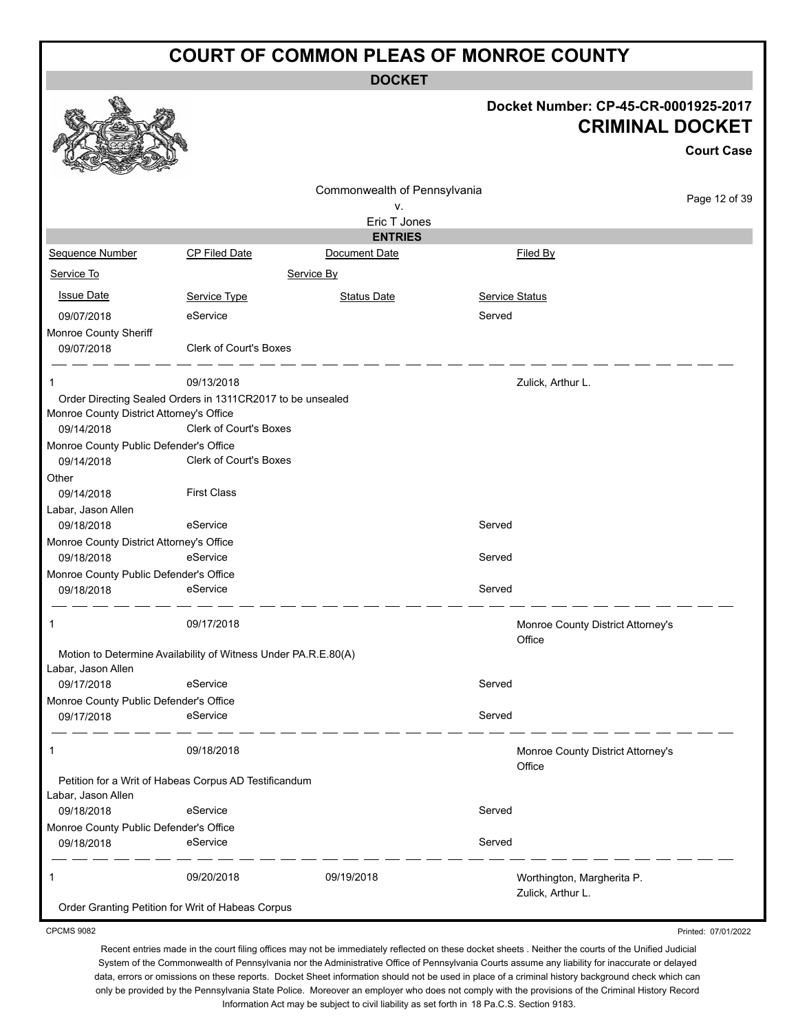**DOCKET**

#### **Docket Number: CP-45-CR-0001925-2017 CRIMINAL DOCKET**

|                                                                |                               |                              |                |                                                 | <b>Court Case</b> |
|----------------------------------------------------------------|-------------------------------|------------------------------|----------------|-------------------------------------------------|-------------------|
|                                                                |                               | Commonwealth of Pennsylvania |                |                                                 |                   |
|                                                                |                               | ۷.                           |                |                                                 | Page 12 of 39     |
|                                                                |                               | Eric T Jones                 |                |                                                 |                   |
|                                                                |                               | <b>ENTRIES</b>               |                |                                                 |                   |
| <b>Sequence Number</b>                                         | CP Filed Date                 | Document Date                |                | Filed By                                        |                   |
| Service To                                                     |                               | Service By                   |                |                                                 |                   |
| <b>Issue Date</b>                                              | Service Type                  | <b>Status Date</b>           | Service Status |                                                 |                   |
| 09/07/2018                                                     | eService                      |                              | Served         |                                                 |                   |
| Monroe County Sheriff                                          |                               |                              |                |                                                 |                   |
| 09/07/2018                                                     | <b>Clerk of Court's Boxes</b> |                              |                |                                                 |                   |
| 1                                                              | 09/13/2018                    |                              |                | Zulick, Arthur L.                               |                   |
| Order Directing Sealed Orders in 1311CR2017 to be unsealed     |                               |                              |                |                                                 |                   |
| Monroe County District Attorney's Office                       |                               |                              |                |                                                 |                   |
| 09/14/2018                                                     | <b>Clerk of Court's Boxes</b> |                              |                |                                                 |                   |
| Monroe County Public Defender's Office                         |                               |                              |                |                                                 |                   |
| 09/14/2018                                                     | <b>Clerk of Court's Boxes</b> |                              |                |                                                 |                   |
| Other                                                          |                               |                              |                |                                                 |                   |
| 09/14/2018                                                     | <b>First Class</b>            |                              |                |                                                 |                   |
| Labar, Jason Allen                                             |                               |                              |                |                                                 |                   |
| 09/18/2018                                                     | eService                      |                              | Served         |                                                 |                   |
| Monroe County District Attorney's Office                       |                               |                              |                |                                                 |                   |
| 09/18/2018                                                     | eService                      |                              | Served         |                                                 |                   |
| Monroe County Public Defender's Office                         |                               |                              |                |                                                 |                   |
| 09/18/2018                                                     | eService                      |                              | Served         |                                                 |                   |
| 1                                                              | 09/17/2018                    |                              |                | Monroe County District Attorney's<br>Office     |                   |
| Motion to Determine Availability of Witness Under PA.R.E.80(A) |                               |                              |                |                                                 |                   |
| Labar, Jason Allen                                             |                               |                              |                |                                                 |                   |
| 09/17/2018                                                     | eService                      |                              | Served         |                                                 |                   |
| Monroe County Public Defender's Office                         |                               |                              |                |                                                 |                   |
| 09/17/2018                                                     | eService                      |                              | Served         |                                                 |                   |
| 1                                                              | 09/18/2018                    |                              |                | Monroe County District Attorney's<br>Office     |                   |
| Petition for a Writ of Habeas Corpus AD Testificandum          |                               |                              |                |                                                 |                   |
| Labar, Jason Allen                                             |                               |                              |                |                                                 |                   |
| 09/18/2018                                                     | eService                      |                              | Served         |                                                 |                   |
| Monroe County Public Defender's Office                         |                               |                              |                |                                                 |                   |
| 09/18/2018                                                     | eService                      |                              | Served         |                                                 |                   |
| 1                                                              | 09/20/2018                    | 09/19/2018                   |                | Worthington, Margherita P.<br>Zulick, Arthur L. |                   |
| Order Granting Petition for Writ of Habeas Corpus              |                               |                              |                |                                                 |                   |

CPCMS 9082

**Barrio** 

Printed: 07/01/2022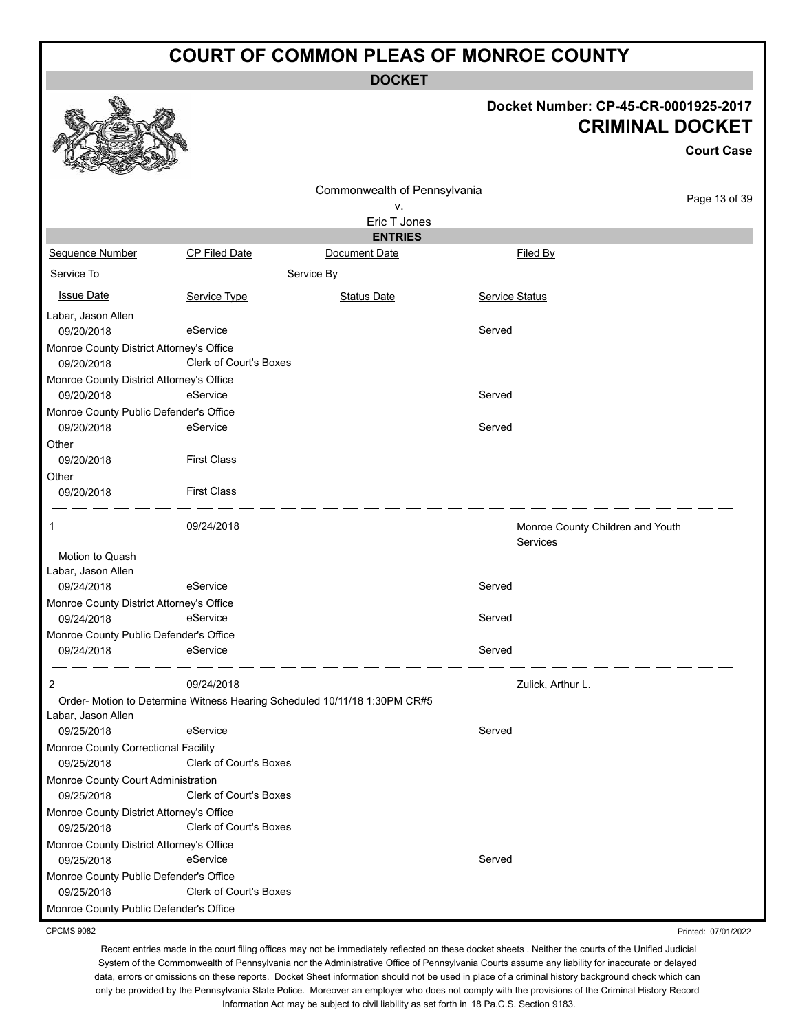**DOCKET**

#### **Docket Number: CP-45-CR-0001925-2017 CRIMINAL DOCKET**

**Court Case**

Page 13 of 39

|                                          |                               | Commonwealth of Pennsylvania                                              |                       |                                              |
|------------------------------------------|-------------------------------|---------------------------------------------------------------------------|-----------------------|----------------------------------------------|
|                                          |                               | ۷.                                                                        |                       |                                              |
|                                          |                               | Eric T Jones                                                              |                       |                                              |
|                                          |                               | <b>ENTRIES</b>                                                            |                       |                                              |
| <b>Sequence Number</b>                   | <b>CP Filed Date</b>          | Document Date                                                             |                       | Filed By                                     |
| Service To                               |                               | Service By                                                                |                       |                                              |
| <b>Issue Date</b>                        | Service Type                  | <b>Status Date</b>                                                        | <b>Service Status</b> |                                              |
| Labar, Jason Allen                       |                               |                                                                           |                       |                                              |
| 09/20/2018                               | eService                      |                                                                           | Served                |                                              |
| Monroe County District Attorney's Office |                               |                                                                           |                       |                                              |
| 09/20/2018                               | <b>Clerk of Court's Boxes</b> |                                                                           |                       |                                              |
| Monroe County District Attorney's Office |                               |                                                                           |                       |                                              |
| 09/20/2018                               | eService                      |                                                                           | Served                |                                              |
| Monroe County Public Defender's Office   |                               |                                                                           |                       |                                              |
| 09/20/2018                               | eService                      |                                                                           | Served                |                                              |
| Other                                    |                               |                                                                           |                       |                                              |
| 09/20/2018                               | <b>First Class</b>            |                                                                           |                       |                                              |
| Other                                    |                               |                                                                           |                       |                                              |
| 09/20/2018                               | <b>First Class</b>            |                                                                           |                       |                                              |
| 1                                        | 09/24/2018                    |                                                                           |                       | Monroe County Children and Youth<br>Services |
| Motion to Quash                          |                               |                                                                           |                       |                                              |
| Labar, Jason Allen                       |                               |                                                                           |                       |                                              |
| 09/24/2018                               | eService                      |                                                                           | Served                |                                              |
| Monroe County District Attorney's Office |                               |                                                                           |                       |                                              |
| 09/24/2018                               | eService                      |                                                                           | Served                |                                              |
| Monroe County Public Defender's Office   |                               |                                                                           |                       |                                              |
| 09/24/2018                               | eService                      |                                                                           | Served                |                                              |
| 2                                        | 09/24/2018                    |                                                                           |                       | Zulick, Arthur L.                            |
|                                          |                               | Order- Motion to Determine Witness Hearing Scheduled 10/11/18 1:30PM CR#5 |                       |                                              |
| Labar, Jason Allen                       |                               |                                                                           |                       |                                              |
| 09/25/2018                               | eService                      |                                                                           | Served                |                                              |
| Monroe County Correctional Facility      |                               |                                                                           |                       |                                              |
| 09/25/2018                               | <b>Clerk of Court's Boxes</b> |                                                                           |                       |                                              |
| Monroe County Court Administration       |                               |                                                                           |                       |                                              |
| 09/25/2018                               | <b>Clerk of Court's Boxes</b> |                                                                           |                       |                                              |
| Monroe County District Attorney's Office |                               |                                                                           |                       |                                              |
| 09/25/2018                               | <b>Clerk of Court's Boxes</b> |                                                                           |                       |                                              |
| Monroe County District Attorney's Office |                               |                                                                           |                       |                                              |
| 09/25/2018                               | eService                      |                                                                           | Served                |                                              |
| Monroe County Public Defender's Office   |                               |                                                                           |                       |                                              |
| 09/25/2018                               | <b>Clerk of Court's Boxes</b> |                                                                           |                       |                                              |
| Monroe County Public Defender's Office   |                               |                                                                           |                       |                                              |
|                                          |                               |                                                                           |                       |                                              |

CPCMS 9082

Recent entries made in the court filing offices may not be immediately reflected on these docket sheets . Neither the courts of the Unified Judicial System of the Commonwealth of Pennsylvania nor the Administrative Office of Pennsylvania Courts assume any liability for inaccurate or delayed data, errors or omissions on these reports. Docket Sheet information should not be used in place of a criminal history background check which can only be provided by the Pennsylvania State Police. Moreover an employer who does not comply with the provisions of the Criminal History Record Information Act may be subject to civil liability as set forth in 18 Pa.C.S. Section 9183.

Printed: 07/01/2022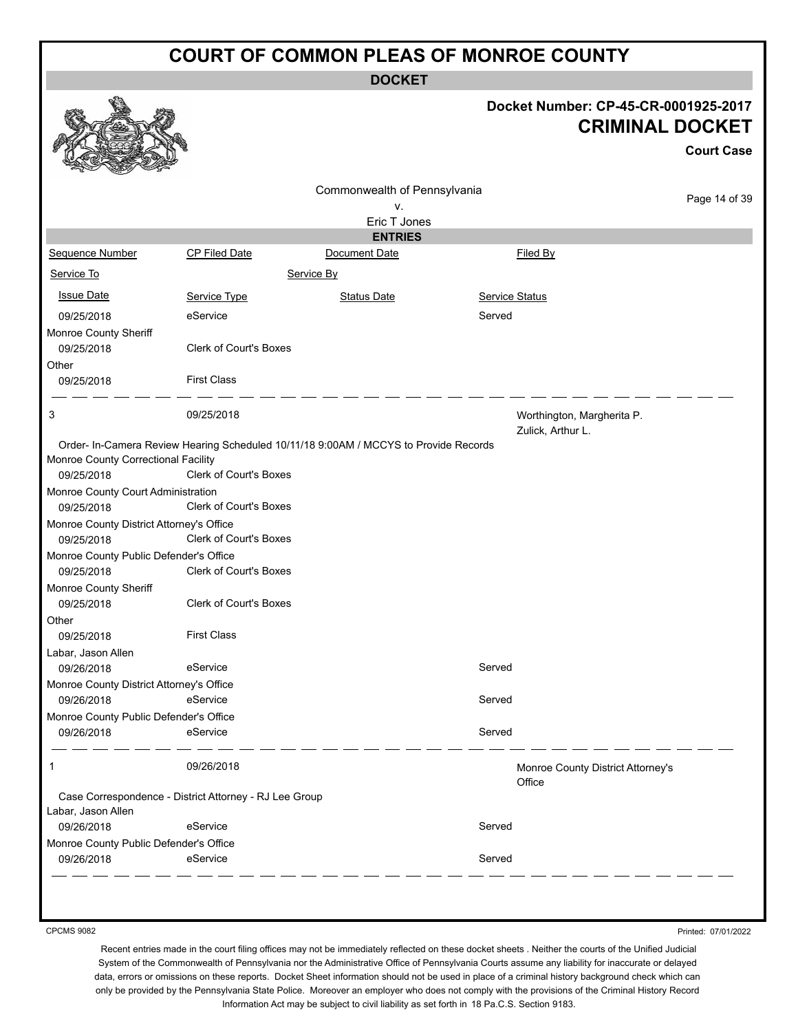|                                                        |                                                                                      | <b>DOCKET</b>                  |                                                 |                                                                |
|--------------------------------------------------------|--------------------------------------------------------------------------------------|--------------------------------|-------------------------------------------------|----------------------------------------------------------------|
|                                                        |                                                                                      |                                |                                                 | Docket Number: CP-45-CR-0001925-2017<br><b>CRIMINAL DOCKET</b> |
|                                                        |                                                                                      |                                |                                                 | <b>Court Case</b>                                              |
|                                                        |                                                                                      | Commonwealth of Pennsylvania   |                                                 | Page 14 of 39                                                  |
|                                                        |                                                                                      | ۷.                             |                                                 |                                                                |
|                                                        |                                                                                      | Eric T Jones<br><b>ENTRIES</b> |                                                 |                                                                |
| <b>Sequence Number</b>                                 | <b>CP Filed Date</b>                                                                 | Document Date                  | <b>Filed By</b>                                 |                                                                |
| Service To                                             |                                                                                      | Service By                     |                                                 |                                                                |
| <b>Issue Date</b>                                      | Service Type                                                                         | <b>Status Date</b>             | Service Status                                  |                                                                |
| 09/25/2018<br>Monroe County Sheriff                    | eService                                                                             |                                | Served                                          |                                                                |
| 09/25/2018                                             | <b>Clerk of Court's Boxes</b>                                                        |                                |                                                 |                                                                |
| Other<br>09/25/2018                                    | <b>First Class</b>                                                                   |                                |                                                 |                                                                |
| 3                                                      | 09/25/2018                                                                           |                                | Worthington, Margherita P.<br>Zulick, Arthur L. |                                                                |
|                                                        | Order- In-Camera Review Hearing Scheduled 10/11/18 9:00AM / MCCYS to Provide Records |                                |                                                 |                                                                |
| Monroe County Correctional Facility                    |                                                                                      |                                |                                                 |                                                                |
| 09/25/2018                                             | Clerk of Court's Boxes                                                               |                                |                                                 |                                                                |
| Monroe County Court Administration                     | <b>Clerk of Court's Boxes</b>                                                        |                                |                                                 |                                                                |
| 09/25/2018<br>Monroe County District Attorney's Office |                                                                                      |                                |                                                 |                                                                |
| 09/25/2018                                             | Clerk of Court's Boxes                                                               |                                |                                                 |                                                                |
| Monroe County Public Defender's Office                 |                                                                                      |                                |                                                 |                                                                |
| 09/25/2018                                             | <b>Clerk of Court's Boxes</b>                                                        |                                |                                                 |                                                                |
| Monroe County Sheriff<br>09/25/2018                    | <b>Clerk of Court's Boxes</b>                                                        |                                |                                                 |                                                                |
| Other                                                  |                                                                                      |                                |                                                 |                                                                |
| 09/25/2018                                             | <b>First Class</b>                                                                   |                                |                                                 |                                                                |
| Labar, Jason Allen                                     |                                                                                      |                                |                                                 |                                                                |
| 09/26/2018                                             | eService                                                                             |                                | Served                                          |                                                                |
| Monroe County District Attorney's Office               |                                                                                      |                                |                                                 |                                                                |
| 09/26/2018                                             | eService                                                                             |                                | Served                                          |                                                                |
| Monroe County Public Defender's Office                 |                                                                                      |                                |                                                 |                                                                |
| 09/26/2018                                             | eService                                                                             |                                | Served                                          |                                                                |
| 1                                                      | 09/26/2018                                                                           |                                | Office                                          | Monroe County District Attorney's                              |
|                                                        | Case Correspondence - District Attorney - RJ Lee Group                               |                                |                                                 |                                                                |
| Labar, Jason Allen                                     |                                                                                      |                                |                                                 |                                                                |
| 09/26/2018                                             | eService                                                                             |                                | Served                                          |                                                                |
| Monroe County Public Defender's Office                 | eService                                                                             |                                | Served                                          |                                                                |
| 09/26/2018                                             |                                                                                      |                                |                                                 |                                                                |

CPCMS 9082

Printed: 07/01/2022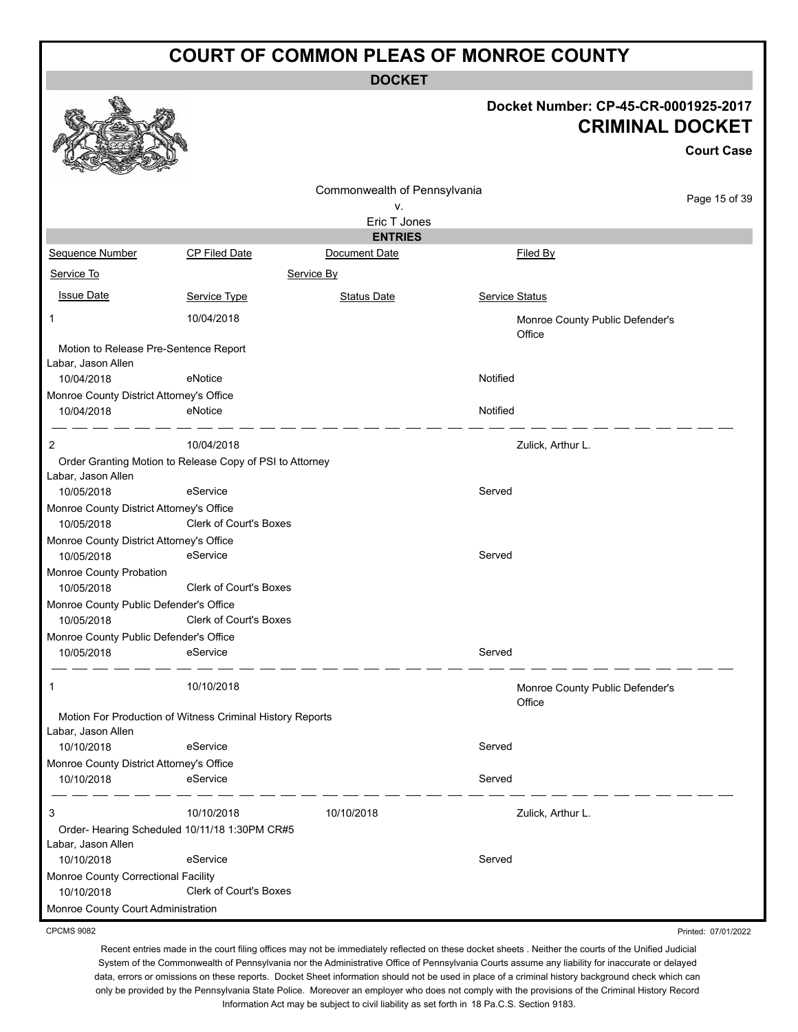**DOCKET**

#### **Docket Number: CP-45-CR-0001925-2017 CRIMINAL DOCKET**

**Court Case**

Printed: 07/01/2022

|                                                           |                               |                              |                                           | <b>Court Case</b> |
|-----------------------------------------------------------|-------------------------------|------------------------------|-------------------------------------------|-------------------|
|                                                           |                               | Commonwealth of Pennsylvania |                                           |                   |
|                                                           |                               | ٧.                           |                                           | Page 15 of 39     |
|                                                           |                               | Eric T Jones                 |                                           |                   |
|                                                           |                               | <b>ENTRIES</b>               |                                           |                   |
| Sequence Number                                           | CP Filed Date                 | Document Date                | Filed By                                  |                   |
| Service To                                                |                               | Service By                   |                                           |                   |
| <b>Issue Date</b>                                         | Service Type                  | <b>Status Date</b>           | Service Status                            |                   |
| 1                                                         | 10/04/2018                    |                              | Monroe County Public Defender's<br>Office |                   |
| Motion to Release Pre-Sentence Report                     |                               |                              |                                           |                   |
| Labar, Jason Allen                                        |                               |                              |                                           |                   |
| 10/04/2018                                                | eNotice                       |                              | Notified                                  |                   |
| Monroe County District Attorney's Office                  |                               |                              |                                           |                   |
| 10/04/2018                                                | eNotice                       |                              | Notified                                  |                   |
| 2                                                         | 10/04/2018                    |                              | Zulick, Arthur L.                         |                   |
| Order Granting Motion to Release Copy of PSI to Attorney  |                               |                              |                                           |                   |
| Labar, Jason Allen                                        |                               |                              |                                           |                   |
| 10/05/2018                                                | eService                      |                              | Served                                    |                   |
| Monroe County District Attorney's Office                  |                               |                              |                                           |                   |
| 10/05/2018                                                | <b>Clerk of Court's Boxes</b> |                              |                                           |                   |
| Monroe County District Attorney's Office                  |                               |                              |                                           |                   |
| 10/05/2018                                                | eService                      |                              | Served                                    |                   |
| Monroe County Probation                                   |                               |                              |                                           |                   |
| 10/05/2018                                                | <b>Clerk of Court's Boxes</b> |                              |                                           |                   |
| Monroe County Public Defender's Office                    |                               |                              |                                           |                   |
| 10/05/2018                                                | <b>Clerk of Court's Boxes</b> |                              |                                           |                   |
| Monroe County Public Defender's Office                    |                               |                              |                                           |                   |
| 10/05/2018                                                | eService                      |                              | Served                                    |                   |
| 1                                                         | 10/10/2018                    |                              | Monroe County Public Defender's<br>Office |                   |
| Motion For Production of Witness Criminal History Reports |                               |                              |                                           |                   |
| Labar, Jason Allen                                        |                               |                              |                                           |                   |
| 10/10/2018                                                | eService                      |                              | Served                                    |                   |
| Monroe County District Attorney's Office                  |                               |                              |                                           |                   |
| 10/10/2018                                                | eService                      |                              | Served                                    |                   |
| 3                                                         | 10/10/2018                    | 10/10/2018                   | Zulick, Arthur L.                         |                   |
| Order-Hearing Scheduled 10/11/18 1:30PM CR#5              |                               |                              |                                           |                   |
| Labar, Jason Allen                                        |                               |                              |                                           |                   |
| 10/10/2018                                                | eService                      |                              | Served                                    |                   |
| Monroe County Correctional Facility                       |                               |                              |                                           |                   |
| 10/10/2018                                                | <b>Clerk of Court's Boxes</b> |                              |                                           |                   |
| Monroe County Court Administration                        |                               |                              |                                           |                   |

CPCMS 9082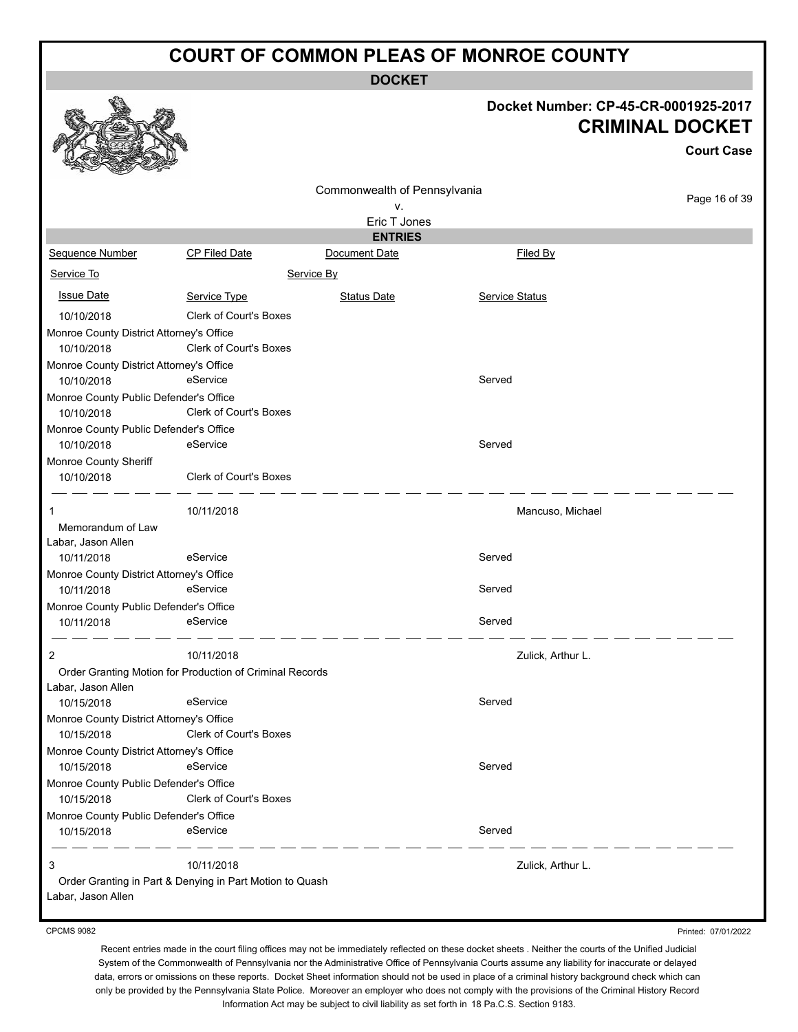**DOCKET**

# **Docket Number: CP-45-CR-0001925-2017**

|                                                        |                                                          |                              | <b>CRIMINAL DOCKET</b><br><b>Court Case</b> |               |  |
|--------------------------------------------------------|----------------------------------------------------------|------------------------------|---------------------------------------------|---------------|--|
|                                                        |                                                          | Commonwealth of Pennsylvania |                                             |               |  |
|                                                        |                                                          | ν.                           |                                             | Page 16 of 39 |  |
|                                                        |                                                          | Eric T Jones                 |                                             |               |  |
|                                                        |                                                          | <b>ENTRIES</b>               |                                             |               |  |
| Sequence Number                                        | CP Filed Date                                            | Document Date                | Filed By                                    |               |  |
| Service To                                             |                                                          | Service By                   |                                             |               |  |
| <b>Issue Date</b>                                      | Service Type                                             | <b>Status Date</b>           | Service Status                              |               |  |
| 10/10/2018                                             | <b>Clerk of Court's Boxes</b>                            |                              |                                             |               |  |
| Monroe County District Attorney's Office<br>10/10/2018 | <b>Clerk of Court's Boxes</b>                            |                              |                                             |               |  |
| Monroe County District Attorney's Office<br>10/10/2018 | eService                                                 |                              | Served                                      |               |  |
| Monroe County Public Defender's Office<br>10/10/2018   | <b>Clerk of Court's Boxes</b>                            |                              |                                             |               |  |
| Monroe County Public Defender's Office<br>10/10/2018   | eService                                                 |                              | Served                                      |               |  |
| Monroe County Sheriff<br>10/10/2018                    | Clerk of Court's Boxes                                   |                              |                                             |               |  |
| 1                                                      | 10/11/2018                                               |                              | Mancuso, Michael                            |               |  |
| Memorandum of Law<br>Labar, Jason Allen                |                                                          |                              |                                             |               |  |
| 10/11/2018                                             | eService                                                 |                              | Served                                      |               |  |
| Monroe County District Attorney's Office               |                                                          |                              |                                             |               |  |
| 10/11/2018                                             | eService                                                 |                              | Served                                      |               |  |
| Monroe County Public Defender's Office<br>10/11/2018   | eService                                                 |                              | Served                                      |               |  |
| 2                                                      | 10/11/2018                                               |                              | Zulick, Arthur L.                           |               |  |
| Labar, Jason Allen                                     | Order Granting Motion for Production of Criminal Records |                              |                                             |               |  |
| 10/15/2018                                             | eService                                                 |                              | Served                                      |               |  |
| Monroe County District Attorney's Office               |                                                          |                              |                                             |               |  |
| 10/15/2018                                             | Clerk of Court's Boxes                                   |                              |                                             |               |  |
| Monroe County District Attorney's Office               |                                                          |                              |                                             |               |  |
| 10/15/2018                                             | eService                                                 |                              | Served                                      |               |  |
| Monroe County Public Defender's Office<br>10/15/2018   | <b>Clerk of Court's Boxes</b>                            |                              |                                             |               |  |
| Monroe County Public Defender's Office                 |                                                          |                              |                                             |               |  |
| 10/15/2018                                             | eService                                                 |                              | Served                                      |               |  |
| 3                                                      | 10/11/2018                                               |                              | Zulick, Arthur L.                           |               |  |
| Labar, Jason Allen                                     | Order Granting in Part & Denying in Part Motion to Quash |                              |                                             |               |  |

CPCMS 9082

 $\mathbb{Q}$ 

وبابن

etha

Printed: 07/01/2022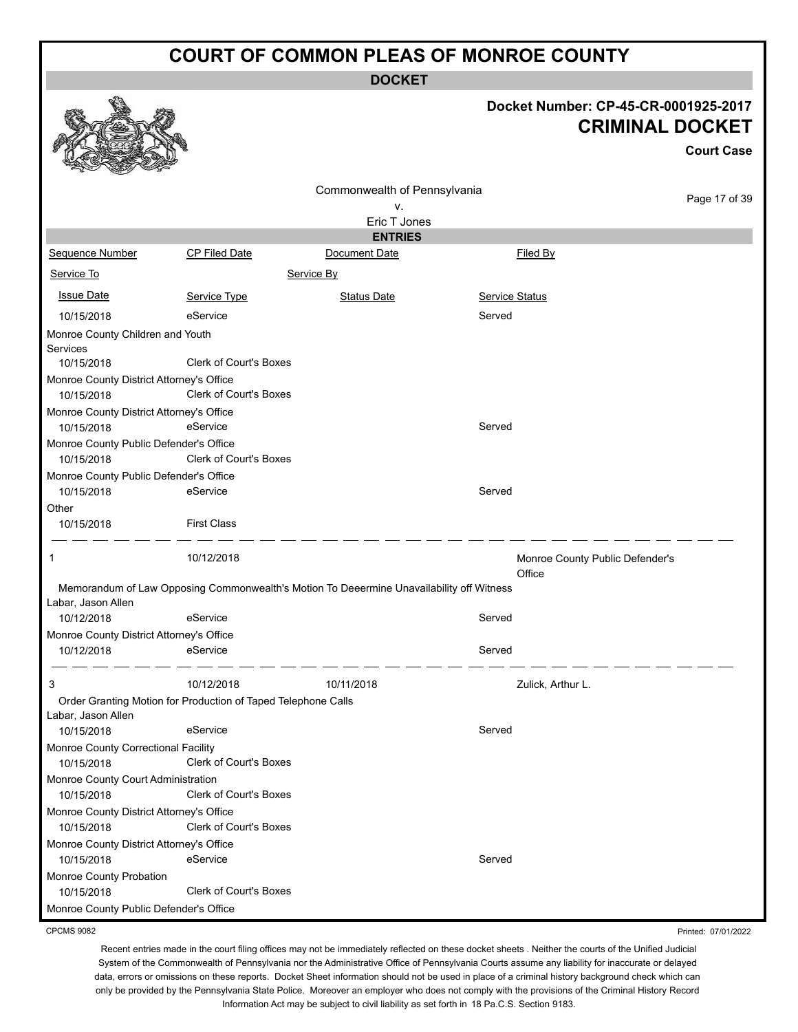**DOCKET**

# **Docket Number: CP-45-CR-0001925-2017**

|                                                        |                                                                                          |                                 |                                           | <b>CRIMINAL DOCKET</b> |
|--------------------------------------------------------|------------------------------------------------------------------------------------------|---------------------------------|-------------------------------------------|------------------------|
|                                                        |                                                                                          |                                 |                                           | <b>Court Case</b>      |
|                                                        |                                                                                          | Commonwealth of Pennsylvania    |                                           |                        |
|                                                        |                                                                                          | ٧.                              |                                           | Page 17 of 39          |
|                                                        |                                                                                          | Eric T Jones                    |                                           |                        |
|                                                        |                                                                                          | <b>ENTRIES</b><br>Document Date |                                           |                        |
| Sequence Number<br>Service To                          | <b>CP Filed Date</b>                                                                     | Service By                      | Filed By                                  |                        |
|                                                        |                                                                                          |                                 |                                           |                        |
| <b>Issue Date</b>                                      | Service Type                                                                             | <b>Status Date</b>              | Service Status                            |                        |
| 10/15/2018                                             | eService                                                                                 |                                 | Served                                    |                        |
| Monroe County Children and Youth<br>Services           |                                                                                          |                                 |                                           |                        |
| 10/15/2018                                             | <b>Clerk of Court's Boxes</b>                                                            |                                 |                                           |                        |
| Monroe County District Attorney's Office<br>10/15/2018 | <b>Clerk of Court's Boxes</b>                                                            |                                 |                                           |                        |
| Monroe County District Attorney's Office<br>10/15/2018 | eService                                                                                 |                                 | Served                                    |                        |
| Monroe County Public Defender's Office<br>10/15/2018   | Clerk of Court's Boxes                                                                   |                                 |                                           |                        |
| Monroe County Public Defender's Office<br>10/15/2018   | eService                                                                                 |                                 | Served                                    |                        |
| Other<br>10/15/2018                                    | <b>First Class</b>                                                                       |                                 |                                           |                        |
| 1                                                      | 10/12/2018                                                                               |                                 | Monroe County Public Defender's<br>Office |                        |
| Labar, Jason Allen                                     | Memorandum of Law Opposing Commonwealth's Motion To Deeermine Unavailability off Witness |                                 |                                           |                        |
| 10/12/2018                                             | eService                                                                                 |                                 | Served                                    |                        |
| Monroe County District Attorney's Office               |                                                                                          |                                 |                                           |                        |
| 10/12/2018                                             | eService                                                                                 |                                 | Served                                    |                        |
| 3                                                      | 10/12/2018                                                                               | 10/11/2018                      | Zulick, Arthur L.                         |                        |
|                                                        | Order Granting Motion for Production of Taped Telephone Calls                            |                                 |                                           |                        |
| Labar, Jason Allen<br>10/15/2018                       |                                                                                          |                                 | Served                                    |                        |
|                                                        | eService                                                                                 |                                 |                                           |                        |
| Monroe County Correctional Facility<br>10/15/2018      | <b>Clerk of Court's Boxes</b>                                                            |                                 |                                           |                        |
| Monroe County Court Administration                     |                                                                                          |                                 |                                           |                        |
| 10/15/2018                                             | <b>Clerk of Court's Boxes</b>                                                            |                                 |                                           |                        |
| Monroe County District Attorney's Office               |                                                                                          |                                 |                                           |                        |
| 10/15/2018                                             | Clerk of Court's Boxes                                                                   |                                 |                                           |                        |
| Monroe County District Attorney's Office               |                                                                                          |                                 |                                           |                        |
| 10/15/2018                                             | eService                                                                                 |                                 | Served                                    |                        |
| Monroe County Probation<br>10/15/2018                  | Clerk of Court's Boxes                                                                   |                                 |                                           |                        |
|                                                        |                                                                                          |                                 |                                           |                        |

Monroe County Public Defender's Office

**B** 

CPCMS 9082

Recent entries made in the court filing offices may not be immediately reflected on these docket sheets . Neither the courts of the Unified Judicial System of the Commonwealth of Pennsylvania nor the Administrative Office of Pennsylvania Courts assume any liability for inaccurate or delayed data, errors or omissions on these reports. Docket Sheet information should not be used in place of a criminal history background check which can only be provided by the Pennsylvania State Police. Moreover an employer who does not comply with the provisions of the Criminal History Record Information Act may be subject to civil liability as set forth in 18 Pa.C.S. Section 9183.

Printed: 07/01/2022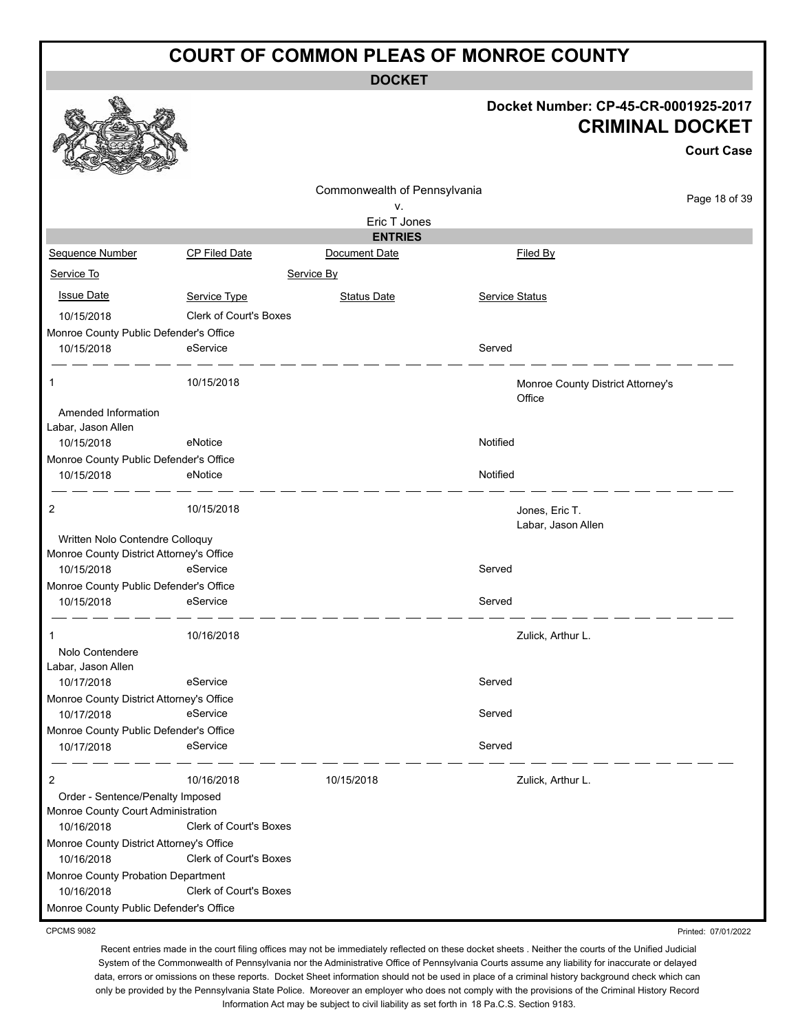**DOCKET**

#### **Docket Number: CP-45-CR-0001925-2017 CRIMINAL DOCKET**

Printed: 07/01/2022

|                                                        |                               |                                    |                |                                             | <b>Court Case</b> |
|--------------------------------------------------------|-------------------------------|------------------------------------|----------------|---------------------------------------------|-------------------|
|                                                        |                               | Commonwealth of Pennsylvania<br>۷. |                |                                             | Page 18 of 39     |
|                                                        |                               | Eric T Jones                       |                |                                             |                   |
|                                                        |                               | <b>ENTRIES</b>                     |                |                                             |                   |
| Sequence Number                                        | CP Filed Date                 | Document Date                      |                | Filed By                                    |                   |
| Service To                                             |                               | Service By                         |                |                                             |                   |
| <b>Issue Date</b>                                      | Service Type                  | <b>Status Date</b>                 | Service Status |                                             |                   |
| 10/15/2018                                             | <b>Clerk of Court's Boxes</b> |                                    |                |                                             |                   |
| Monroe County Public Defender's Office                 |                               |                                    |                |                                             |                   |
| 10/15/2018                                             | eService                      |                                    | Served         |                                             |                   |
| 1                                                      | 10/15/2018                    |                                    |                | Monroe County District Attorney's<br>Office |                   |
| Amended Information                                    |                               |                                    |                |                                             |                   |
| Labar, Jason Allen                                     | eNotice                       |                                    | Notified       |                                             |                   |
| 10/15/2018<br>Monroe County Public Defender's Office   |                               |                                    |                |                                             |                   |
| 10/15/2018                                             | eNotice                       |                                    | Notified       |                                             |                   |
|                                                        |                               |                                    |                |                                             |                   |
| 2                                                      | 10/15/2018                    |                                    |                | Jones, Eric T.<br>Labar, Jason Allen        |                   |
| Written Nolo Contendre Colloquy                        |                               |                                    |                |                                             |                   |
| Monroe County District Attorney's Office               |                               |                                    |                |                                             |                   |
| 10/15/2018                                             | eService                      |                                    | Served         |                                             |                   |
| Monroe County Public Defender's Office                 |                               |                                    |                |                                             |                   |
| 10/15/2018                                             | eService                      |                                    | Served         |                                             |                   |
| 1                                                      | 10/16/2018                    |                                    |                | Zulick, Arthur L.                           |                   |
| Nolo Contendere                                        |                               |                                    |                |                                             |                   |
| Labar, Jason Allen                                     |                               |                                    |                |                                             |                   |
| 10/17/2018                                             | eService                      |                                    | Served         |                                             |                   |
| Monroe County District Attorney's Office<br>10/17/2018 | eService                      |                                    | Served         |                                             |                   |
| Monroe County Public Defender's Office                 |                               |                                    |                |                                             |                   |
| 10/17/2018                                             | eService                      |                                    | Served         |                                             |                   |
| 2                                                      | 10/16/2018                    | 10/15/2018                         |                | Zulick, Arthur L.                           |                   |
| Order - Sentence/Penalty Imposed                       |                               |                                    |                |                                             |                   |
| Monroe County Court Administration<br>10/16/2018       | <b>Clerk of Court's Boxes</b> |                                    |                |                                             |                   |
| Monroe County District Attorney's Office               |                               |                                    |                |                                             |                   |
| 10/16/2018                                             | <b>Clerk of Court's Boxes</b> |                                    |                |                                             |                   |
| Monroe County Probation Department                     |                               |                                    |                |                                             |                   |
| 10/16/2018                                             | Clerk of Court's Boxes        |                                    |                |                                             |                   |
| Monroe County Public Defender's Office                 |                               |                                    |                |                                             |                   |

CPCMS 9082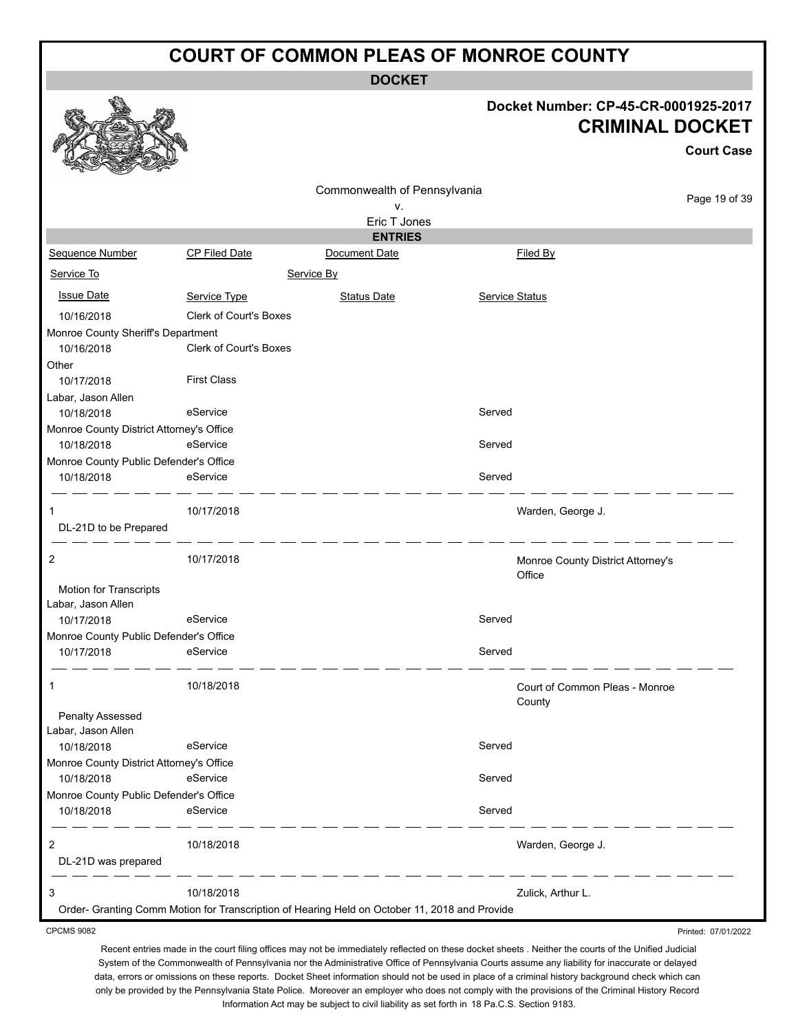**DOCKET**

# **Docket Number: CP-45-CR-0001925-2017**

|                                                  |                                                                                               |                                 |                | DOCKET NUMDER: CP-45-CR-0001925-2017<br><b>CRIMINAL DOCKET</b> |                   |
|--------------------------------------------------|-----------------------------------------------------------------------------------------------|---------------------------------|----------------|----------------------------------------------------------------|-------------------|
|                                                  |                                                                                               |                                 |                |                                                                | <b>Court Case</b> |
|                                                  |                                                                                               | Commonwealth of Pennsylvania    |                |                                                                |                   |
|                                                  |                                                                                               | ٧.                              |                |                                                                | Page 19 of 39     |
|                                                  |                                                                                               | Eric T Jones                    |                |                                                                |                   |
| Sequence Number                                  | CP Filed Date                                                                                 | <b>ENTRIES</b><br>Document Date |                | Filed By                                                       |                   |
| Service To                                       |                                                                                               | Service By                      |                |                                                                |                   |
| <b>Issue Date</b>                                | Service Type                                                                                  | <b>Status Date</b>              | Service Status |                                                                |                   |
|                                                  | <b>Clerk of Court's Boxes</b>                                                                 |                                 |                |                                                                |                   |
| 10/16/2018<br>Monroe County Sheriff's Department |                                                                                               |                                 |                |                                                                |                   |
| 10/16/2018                                       | Clerk of Court's Boxes                                                                        |                                 |                |                                                                |                   |
| Other                                            |                                                                                               |                                 |                |                                                                |                   |
| 10/17/2018                                       | <b>First Class</b>                                                                            |                                 |                |                                                                |                   |
| Labar, Jason Allen                               |                                                                                               |                                 |                |                                                                |                   |
| 10/18/2018                                       | eService                                                                                      |                                 | Served         |                                                                |                   |
| Monroe County District Attorney's Office         |                                                                                               |                                 |                |                                                                |                   |
| 10/18/2018                                       | eService                                                                                      |                                 | Served         |                                                                |                   |
| Monroe County Public Defender's Office           |                                                                                               |                                 |                |                                                                |                   |
| 10/18/2018                                       | eService                                                                                      |                                 | Served         |                                                                |                   |
| 1                                                | 10/17/2018                                                                                    |                                 |                | Warden, George J.                                              |                   |
| DL-21D to be Prepared                            |                                                                                               |                                 |                |                                                                |                   |
| 2                                                | 10/17/2018                                                                                    |                                 |                | Monroe County District Attorney's<br>Office                    |                   |
| Motion for Transcripts                           |                                                                                               |                                 |                |                                                                |                   |
| Labar, Jason Allen<br>10/17/2018                 | eService                                                                                      |                                 | Served         |                                                                |                   |
| Monroe County Public Defender's Office           |                                                                                               |                                 |                |                                                                |                   |
| 10/17/2018                                       | eService                                                                                      |                                 | Served         |                                                                |                   |
|                                                  | 10/18/2018                                                                                    |                                 |                | Court of Common Pleas - Monroe                                 |                   |
|                                                  |                                                                                               |                                 |                | County                                                         |                   |
| <b>Penalty Assessed</b>                          |                                                                                               |                                 |                |                                                                |                   |
| Labar, Jason Allen                               |                                                                                               |                                 |                |                                                                |                   |
| 10/18/2018                                       | eService                                                                                      |                                 | Served         |                                                                |                   |
| Monroe County District Attorney's Office         |                                                                                               |                                 |                |                                                                |                   |
| 10/18/2018                                       | eService                                                                                      |                                 | Served         |                                                                |                   |
| Monroe County Public Defender's Office           |                                                                                               |                                 |                |                                                                |                   |
| 10/18/2018                                       | eService                                                                                      |                                 | Served         |                                                                |                   |
| 2                                                | 10/18/2018                                                                                    |                                 |                | Warden, George J.                                              |                   |
| DL-21D was prepared                              |                                                                                               |                                 |                |                                                                |                   |
| 3                                                | 10/18/2018                                                                                    |                                 |                | Zulick, Arthur L.                                              |                   |
|                                                  | Order- Granting Comm Motion for Transcription of Hearing Held on October 11, 2018 and Provide |                                 |                |                                                                |                   |

CPCMS 9082

♦

Printed: 07/01/2022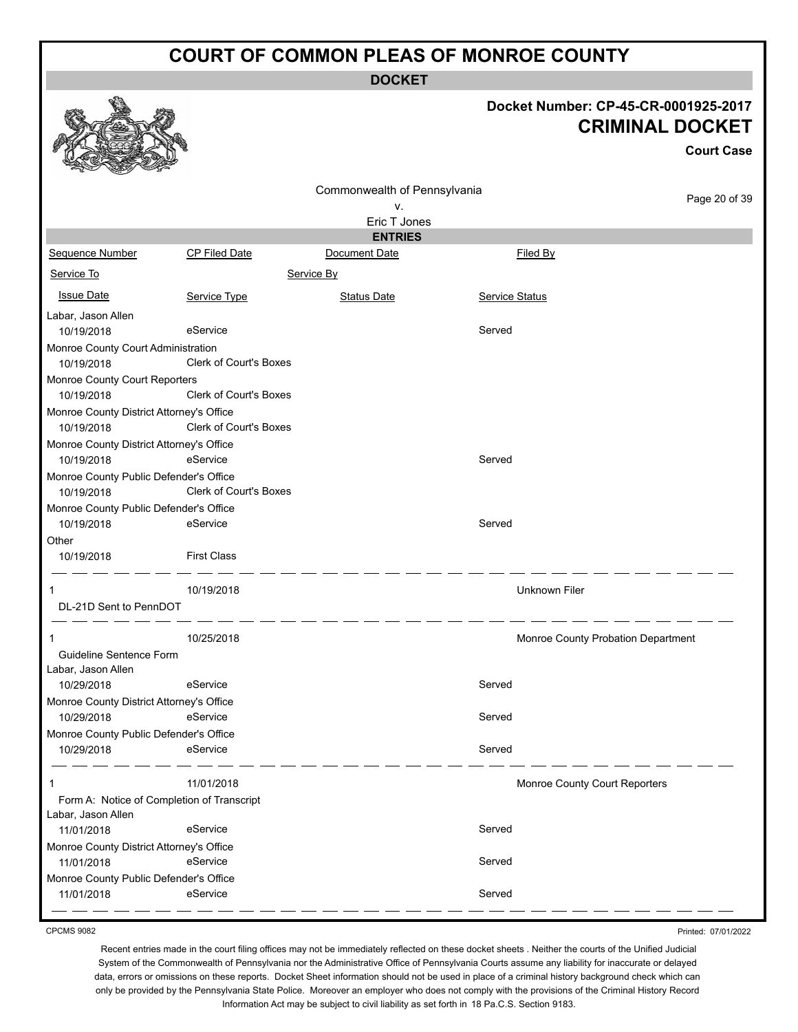**DOCKET**

#### **Docket Number: CP-45-CR-0001925-2017 CRIMINAL DOCKET**

|                                            |                               |                              | <b>CRIMINAL DOCKET</b><br><b>Court Case</b> |               |  |
|--------------------------------------------|-------------------------------|------------------------------|---------------------------------------------|---------------|--|
|                                            |                               |                              |                                             |               |  |
|                                            |                               | Commonwealth of Pennsylvania |                                             | Page 20 of 39 |  |
|                                            |                               | ۷.<br>Eric T Jones           |                                             |               |  |
|                                            |                               | <b>ENTRIES</b>               |                                             |               |  |
| Sequence Number                            | <b>CP Filed Date</b>          | Document Date                | Filed By                                    |               |  |
| Service To                                 |                               | Service By                   |                                             |               |  |
| <b>Issue Date</b>                          | Service Type                  | <b>Status Date</b>           | <b>Service Status</b>                       |               |  |
| Labar, Jason Allen                         |                               |                              |                                             |               |  |
| 10/19/2018                                 | eService                      |                              | Served                                      |               |  |
| Monroe County Court Administration         |                               |                              |                                             |               |  |
| 10/19/2018                                 | Clerk of Court's Boxes        |                              |                                             |               |  |
| Monroe County Court Reporters              |                               |                              |                                             |               |  |
| 10/19/2018                                 | <b>Clerk of Court's Boxes</b> |                              |                                             |               |  |
| Monroe County District Attorney's Office   |                               |                              |                                             |               |  |
| 10/19/2018                                 | Clerk of Court's Boxes        |                              |                                             |               |  |
| Monroe County District Attorney's Office   |                               |                              |                                             |               |  |
| 10/19/2018                                 | eService                      |                              | Served                                      |               |  |
| Monroe County Public Defender's Office     |                               |                              |                                             |               |  |
| 10/19/2018                                 | Clerk of Court's Boxes        |                              |                                             |               |  |
| Monroe County Public Defender's Office     |                               |                              |                                             |               |  |
| 10/19/2018                                 | eService                      |                              | Served                                      |               |  |
| Other                                      |                               |                              |                                             |               |  |
| 10/19/2018                                 | <b>First Class</b>            |                              |                                             |               |  |
| 1                                          | 10/19/2018                    |                              | Unknown Filer                               |               |  |
| DL-21D Sent to PennDOT                     |                               |                              |                                             |               |  |
| 1                                          | 10/25/2018                    |                              | Monroe County Probation Department          |               |  |
| Guideline Sentence Form                    |                               |                              |                                             |               |  |
| Labar, Jason Allen                         |                               |                              |                                             |               |  |
| 10/29/2018                                 | eService                      |                              | Served                                      |               |  |
| Monroe County District Attorney's Office   |                               |                              |                                             |               |  |
| 10/29/2018                                 | eService                      |                              | Served                                      |               |  |
| Monroe County Public Defender's Office     |                               |                              |                                             |               |  |
| 10/29/2018                                 | eService                      |                              | Served                                      |               |  |
| 1                                          | 11/01/2018                    |                              | Monroe County Court Reporters               |               |  |
| Form A: Notice of Completion of Transcript |                               |                              |                                             |               |  |
| Labar, Jason Allen                         |                               |                              |                                             |               |  |
| 11/01/2018                                 | eService                      |                              | Served                                      |               |  |
| Monroe County District Attorney's Office   |                               |                              |                                             |               |  |
| 11/01/2018                                 | eService                      |                              | Served                                      |               |  |
| Monroe County Public Defender's Office     |                               |                              |                                             |               |  |
| 11/01/2018                                 | eService                      |                              | Served                                      |               |  |

CPCMS 9082

Printed: 07/01/2022

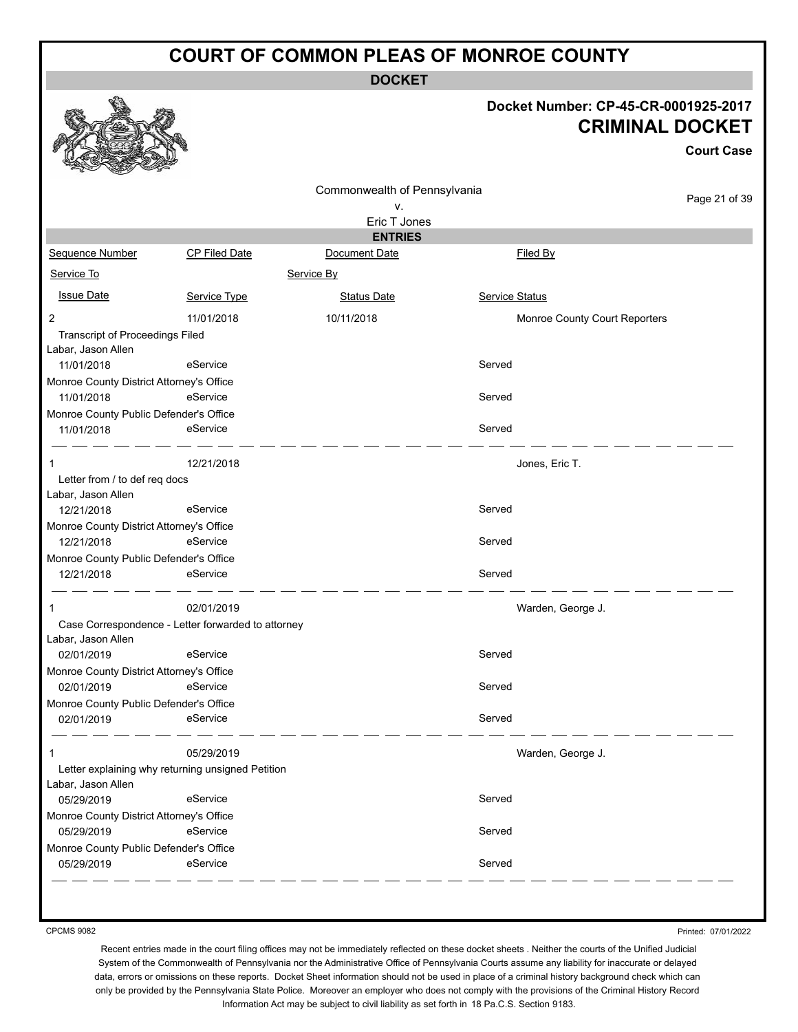**DOCKET**

#### **Docket Number: CP-45-CR-0001925-2017 CRIMINAL DOCKET**

**Court Case**

|               | Commonwealth of Pennsylvania<br>٧.<br>Eric T Jones                                                                                                                                                                                                                                                                                                                                                                                                                                                                                         |                | Page 21 of 39                 |
|---------------|--------------------------------------------------------------------------------------------------------------------------------------------------------------------------------------------------------------------------------------------------------------------------------------------------------------------------------------------------------------------------------------------------------------------------------------------------------------------------------------------------------------------------------------------|----------------|-------------------------------|
|               |                                                                                                                                                                                                                                                                                                                                                                                                                                                                                                                                            |                |                               |
|               |                                                                                                                                                                                                                                                                                                                                                                                                                                                                                                                                            |                |                               |
|               |                                                                                                                                                                                                                                                                                                                                                                                                                                                                                                                                            |                |                               |
|               | <b>ENTRIES</b>                                                                                                                                                                                                                                                                                                                                                                                                                                                                                                                             |                |                               |
| CP Filed Date | Document Date                                                                                                                                                                                                                                                                                                                                                                                                                                                                                                                              | Filed By       |                               |
|               | Service By                                                                                                                                                                                                                                                                                                                                                                                                                                                                                                                                 |                |                               |
| Service Type  | <b>Status Date</b>                                                                                                                                                                                                                                                                                                                                                                                                                                                                                                                         | Service Status |                               |
| 11/01/2018    | 10/11/2018                                                                                                                                                                                                                                                                                                                                                                                                                                                                                                                                 |                | Monroe County Court Reporters |
|               |                                                                                                                                                                                                                                                                                                                                                                                                                                                                                                                                            |                |                               |
|               |                                                                                                                                                                                                                                                                                                                                                                                                                                                                                                                                            |                |                               |
| eService      |                                                                                                                                                                                                                                                                                                                                                                                                                                                                                                                                            | Served         |                               |
|               |                                                                                                                                                                                                                                                                                                                                                                                                                                                                                                                                            |                |                               |
| eService      |                                                                                                                                                                                                                                                                                                                                                                                                                                                                                                                                            | Served         |                               |
|               |                                                                                                                                                                                                                                                                                                                                                                                                                                                                                                                                            |                |                               |
| eService      |                                                                                                                                                                                                                                                                                                                                                                                                                                                                                                                                            | Served         |                               |
| 12/21/2018    |                                                                                                                                                                                                                                                                                                                                                                                                                                                                                                                                            |                | Jones, Eric T.                |
|               |                                                                                                                                                                                                                                                                                                                                                                                                                                                                                                                                            |                |                               |
|               |                                                                                                                                                                                                                                                                                                                                                                                                                                                                                                                                            |                |                               |
| eService      |                                                                                                                                                                                                                                                                                                                                                                                                                                                                                                                                            | Served         |                               |
|               |                                                                                                                                                                                                                                                                                                                                                                                                                                                                                                                                            |                |                               |
| eService      |                                                                                                                                                                                                                                                                                                                                                                                                                                                                                                                                            | Served         |                               |
|               |                                                                                                                                                                                                                                                                                                                                                                                                                                                                                                                                            |                |                               |
| eService      |                                                                                                                                                                                                                                                                                                                                                                                                                                                                                                                                            | Served         |                               |
| 02/01/2019    |                                                                                                                                                                                                                                                                                                                                                                                                                                                                                                                                            |                | Warden, George J.             |
|               |                                                                                                                                                                                                                                                                                                                                                                                                                                                                                                                                            |                |                               |
|               |                                                                                                                                                                                                                                                                                                                                                                                                                                                                                                                                            |                |                               |
| eService      |                                                                                                                                                                                                                                                                                                                                                                                                                                                                                                                                            | Served         |                               |
|               |                                                                                                                                                                                                                                                                                                                                                                                                                                                                                                                                            |                |                               |
| eService      |                                                                                                                                                                                                                                                                                                                                                                                                                                                                                                                                            | Served         |                               |
|               |                                                                                                                                                                                                                                                                                                                                                                                                                                                                                                                                            |                |                               |
| eService      |                                                                                                                                                                                                                                                                                                                                                                                                                                                                                                                                            | Served         |                               |
| 05/29/2019    |                                                                                                                                                                                                                                                                                                                                                                                                                                                                                                                                            |                | Warden, George J.             |
|               |                                                                                                                                                                                                                                                                                                                                                                                                                                                                                                                                            |                |                               |
|               |                                                                                                                                                                                                                                                                                                                                                                                                                                                                                                                                            |                |                               |
| eService      |                                                                                                                                                                                                                                                                                                                                                                                                                                                                                                                                            | Served         |                               |
|               |                                                                                                                                                                                                                                                                                                                                                                                                                                                                                                                                            |                |                               |
| eService      |                                                                                                                                                                                                                                                                                                                                                                                                                                                                                                                                            | Served         |                               |
|               |                                                                                                                                                                                                                                                                                                                                                                                                                                                                                                                                            |                |                               |
| eService      |                                                                                                                                                                                                                                                                                                                                                                                                                                                                                                                                            | Served         |                               |
|               | <b>Transcript of Proceedings Filed</b><br>Monroe County District Attorney's Office<br>Monroe County Public Defender's Office<br>Letter from / to def req docs<br>Monroe County District Attorney's Office<br>Monroe County Public Defender's Office<br>Case Correspondence - Letter forwarded to attorney<br>Monroe County District Attorney's Office<br>Monroe County Public Defender's Office<br>Letter explaining why returning unsigned Petition<br>Monroe County District Attorney's Office<br>Monroe County Public Defender's Office |                |                               |

CPCMS 9082

Printed: 07/01/2022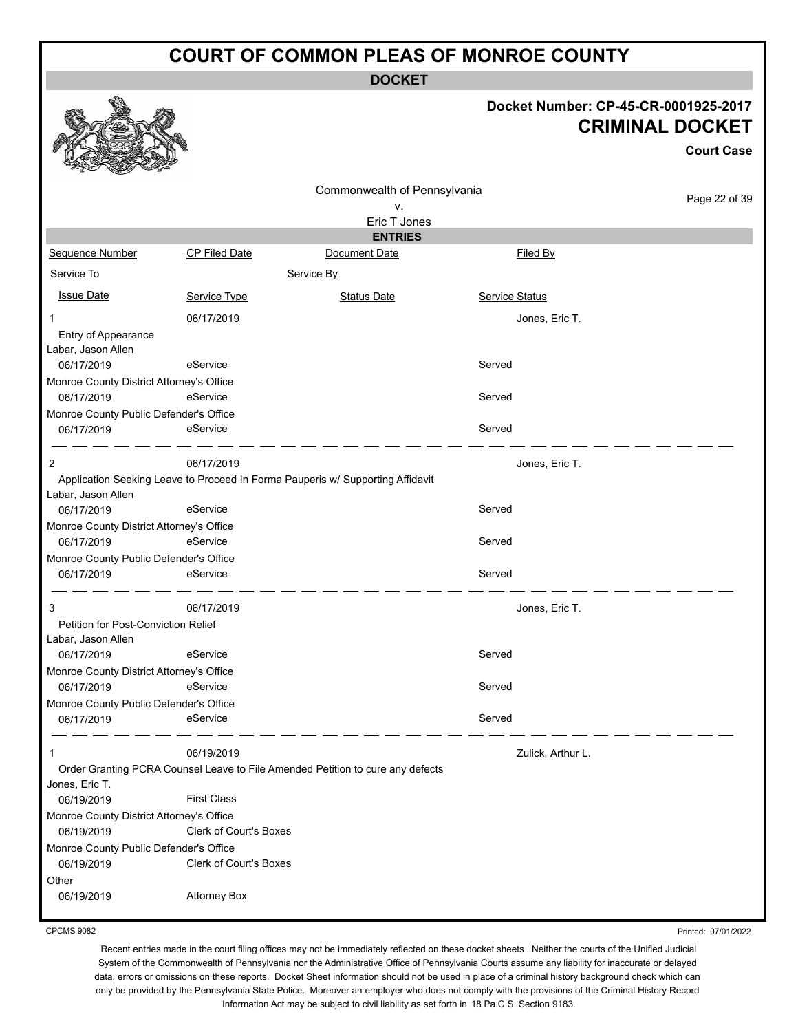**DOCKET**

#### **Docket Number: CP-45-CR-0001925-2017 CRIMINAL DOCKET**

**Court Case**

|                                           |                        |                                                                                |                       | <b>Court Case</b> |
|-------------------------------------------|------------------------|--------------------------------------------------------------------------------|-----------------------|-------------------|
|                                           |                        | Commonwealth of Pennsylvania                                                   |                       |                   |
|                                           |                        | ٧.                                                                             |                       | Page 22 of 39     |
|                                           |                        | Eric T Jones                                                                   |                       |                   |
|                                           |                        | <b>ENTRIES</b>                                                                 |                       |                   |
| Sequence Number                           | <b>CP Filed Date</b>   | Document Date                                                                  | <b>Filed By</b>       |                   |
| Service To                                |                        | Service By                                                                     |                       |                   |
| <b>Issue Date</b>                         | Service Type           | <b>Status Date</b>                                                             | <b>Service Status</b> |                   |
| $\mathbf 1$                               | 06/17/2019             |                                                                                | Jones, Eric T.        |                   |
| Entry of Appearance<br>Labar, Jason Allen |                        |                                                                                |                       |                   |
| 06/17/2019                                | eService               |                                                                                | Served                |                   |
| Monroe County District Attorney's Office  |                        |                                                                                |                       |                   |
| 06/17/2019                                | eService               |                                                                                | Served                |                   |
| Monroe County Public Defender's Office    |                        |                                                                                |                       |                   |
| 06/17/2019                                | eService               |                                                                                | Served                |                   |
| 2                                         | 06/17/2019             |                                                                                | Jones, Eric T.        |                   |
| Labar, Jason Allen                        |                        | Application Seeking Leave to Proceed In Forma Pauperis w/ Supporting Affidavit |                       |                   |
| 06/17/2019                                | eService               |                                                                                | Served                |                   |
| Monroe County District Attorney's Office  |                        |                                                                                |                       |                   |
| 06/17/2019                                | eService               |                                                                                | Served                |                   |
| Monroe County Public Defender's Office    |                        |                                                                                |                       |                   |
| 06/17/2019                                | eService               |                                                                                | Served                |                   |
| 3                                         | 06/17/2019             |                                                                                |                       |                   |
| Petition for Post-Conviction Relief       |                        |                                                                                | Jones, Eric T.        |                   |
| Labar, Jason Allen                        |                        |                                                                                |                       |                   |
| 06/17/2019                                | eService               |                                                                                | Served                |                   |
| Monroe County District Attorney's Office  |                        |                                                                                |                       |                   |
| 06/17/2019                                | eService               |                                                                                | Served                |                   |
| Monroe County Public Defender's Office    |                        |                                                                                |                       |                   |
| 06/17/2019                                | eService               |                                                                                | Served                |                   |
| 1                                         | 06/19/2019             |                                                                                | Zulick, Arthur L.     |                   |
|                                           |                        | Order Granting PCRA Counsel Leave to File Amended Petition to cure any defects |                       |                   |
| Jones, Eric T.                            |                        |                                                                                |                       |                   |
| 06/19/2019                                | <b>First Class</b>     |                                                                                |                       |                   |
| Monroe County District Attorney's Office  |                        |                                                                                |                       |                   |
| 06/19/2019                                | Clerk of Court's Boxes |                                                                                |                       |                   |
| Monroe County Public Defender's Office    |                        |                                                                                |                       |                   |
| 06/19/2019                                | Clerk of Court's Boxes |                                                                                |                       |                   |
| Other                                     |                        |                                                                                |                       |                   |
| 06/19/2019                                | <b>Attorney Box</b>    |                                                                                |                       |                   |

CPCMS 9082

Printed: 07/01/2022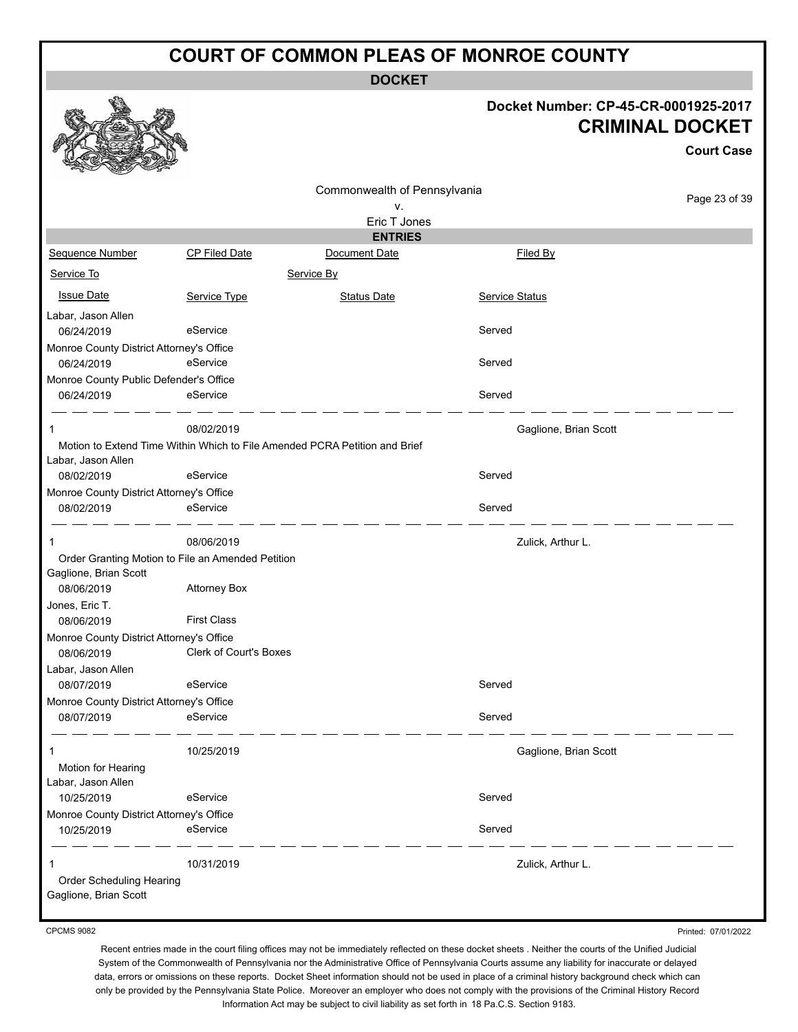**DOCKET**

#### **Docket Number: CP-45-CR-0001925-2017 CRIMINAL DOCKET**

|                                                                                 |                               |                                    |                       | <b>Court Case</b> |
|---------------------------------------------------------------------------------|-------------------------------|------------------------------------|-----------------------|-------------------|
|                                                                                 |                               | Commonwealth of Pennsylvania<br>٧. |                       | Page 23 of 39     |
|                                                                                 |                               | Eric T Jones<br><b>ENTRIES</b>     |                       |                   |
| Sequence Number                                                                 | CP Filed Date                 | Document Date                      | Filed By              |                   |
| Service To                                                                      |                               | Service By                         |                       |                   |
| <b>Issue Date</b>                                                               | Service Type                  | <b>Status Date</b>                 | <b>Service Status</b> |                   |
| Labar, Jason Allen<br>06/24/2019                                                | eService                      |                                    | Served                |                   |
| Monroe County District Attorney's Office<br>06/24/2019                          | eService                      |                                    | Served                |                   |
| Monroe County Public Defender's Office<br>06/24/2019                            | eService                      |                                    | Served                |                   |
| 1<br>Motion to Extend Time Within Which to File Amended PCRA Petition and Brief | 08/02/2019                    |                                    | Gaglione, Brian Scott |                   |
| Labar, Jason Allen<br>08/02/2019                                                | eService                      |                                    | Served                |                   |
| Monroe County District Attorney's Office                                        |                               |                                    |                       |                   |
| 08/02/2019                                                                      | eService                      |                                    | Served                |                   |
| 1                                                                               | 08/06/2019                    |                                    | Zulick, Arthur L.     |                   |
| Order Granting Motion to File an Amended Petition<br>Gaglione, Brian Scott      |                               |                                    |                       |                   |
| 08/06/2019<br>Jones, Eric T.                                                    | <b>Attorney Box</b>           |                                    |                       |                   |
| 08/06/2019<br>Monroe County District Attorney's Office                          | <b>First Class</b>            |                                    |                       |                   |
| 08/06/2019<br>Labar, Jason Allen                                                | <b>Clerk of Court's Boxes</b> |                                    |                       |                   |
| 08/07/2019                                                                      | eService                      |                                    | Served                |                   |
| Monroe County District Attorney's Office                                        |                               |                                    |                       |                   |
| 08/07/2019                                                                      | eService                      |                                    | Served                |                   |
| 1<br>Motion for Hearing                                                         | 10/25/2019                    |                                    | Gaglione, Brian Scott |                   |
| Labar, Jason Allen<br>10/25/2019                                                | eService                      |                                    | Served                |                   |
| Monroe County District Attorney's Office                                        |                               |                                    |                       |                   |
| 10/25/2019                                                                      | eService                      |                                    | Served                |                   |
| Order Scheduling Hearing<br>Gaglione, Brian Scott                               | 10/31/2019                    |                                    | Zulick, Arthur L.     |                   |

CPCMS 9082

Printed: 07/01/2022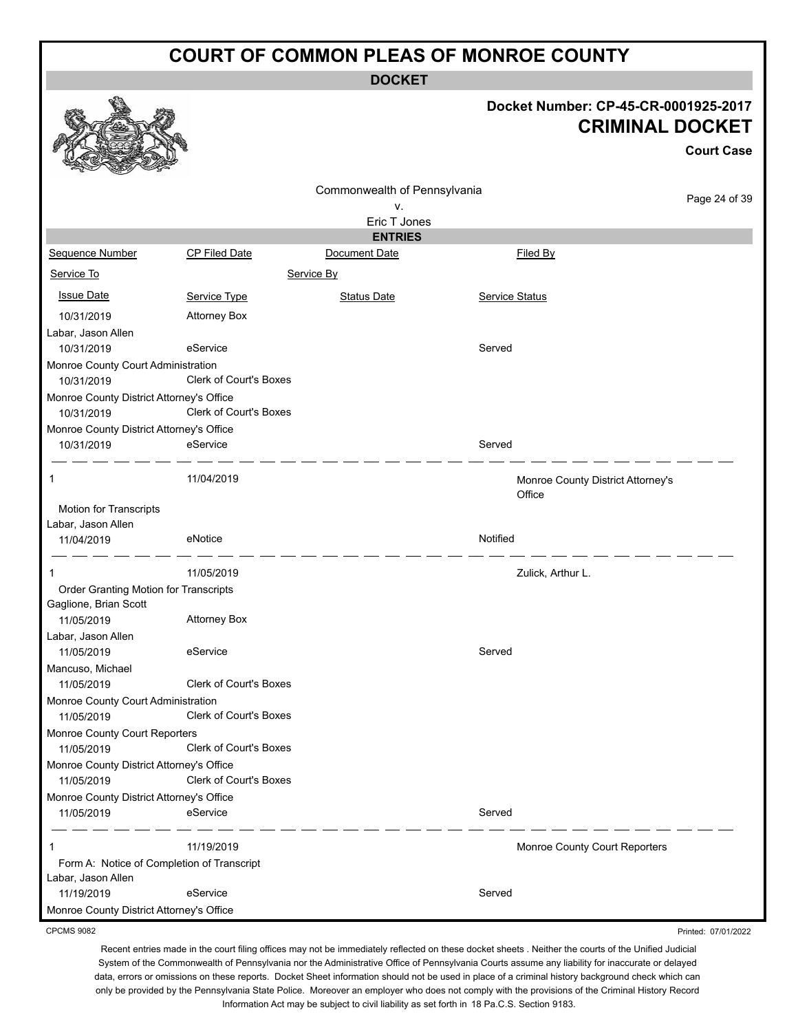**DOCKET**

#### **Docket Number: CP-45-CR-0001925-2017 CRIMINAL DOCKET**

**Court Case**

Printed: 07/01/2022

|                                                        |                               | Commonwealth of Pennsylvania    |          |                                             |               |
|--------------------------------------------------------|-------------------------------|---------------------------------|----------|---------------------------------------------|---------------|
|                                                        |                               | ν.                              |          |                                             | Page 24 of 39 |
|                                                        |                               | Eric T Jones                    |          |                                             |               |
| Sequence Number                                        | CP Filed Date                 | <b>ENTRIES</b><br>Document Date |          | Filed By                                    |               |
| Service To                                             |                               | Service By                      |          |                                             |               |
|                                                        |                               |                                 |          |                                             |               |
| <b>Issue Date</b>                                      | Service Type                  | <b>Status Date</b>              |          | <b>Service Status</b>                       |               |
| 10/31/2019                                             | <b>Attorney Box</b>           |                                 |          |                                             |               |
| Labar, Jason Allen<br>10/31/2019                       | eService                      |                                 | Served   |                                             |               |
| Monroe County Court Administration                     |                               |                                 |          |                                             |               |
| 10/31/2019                                             | <b>Clerk of Court's Boxes</b> |                                 |          |                                             |               |
| Monroe County District Attorney's Office               |                               |                                 |          |                                             |               |
| 10/31/2019                                             | <b>Clerk of Court's Boxes</b> |                                 |          |                                             |               |
| Monroe County District Attorney's Office<br>10/31/2019 | eService                      |                                 | Served   |                                             |               |
|                                                        |                               |                                 |          |                                             |               |
| -1                                                     | 11/04/2019                    |                                 |          | Monroe County District Attorney's<br>Office |               |
| Motion for Transcripts                                 |                               |                                 |          |                                             |               |
| Labar, Jason Allen                                     | eNotice                       |                                 | Notified |                                             |               |
| 11/04/2019                                             |                               |                                 |          |                                             |               |
| $\mathbf{1}$                                           | 11/05/2019                    |                                 |          | Zulick, Arthur L.                           |               |
| Order Granting Motion for Transcripts                  |                               |                                 |          |                                             |               |
| Gaglione, Brian Scott<br>11/05/2019                    | <b>Attorney Box</b>           |                                 |          |                                             |               |
| Labar, Jason Allen                                     |                               |                                 |          |                                             |               |
| 11/05/2019                                             | eService                      |                                 | Served   |                                             |               |
| Mancuso, Michael                                       |                               |                                 |          |                                             |               |
| 11/05/2019                                             | <b>Clerk of Court's Boxes</b> |                                 |          |                                             |               |
| Monroe County Court Administration                     | <b>Clerk of Court's Boxes</b> |                                 |          |                                             |               |
| 11/05/2019<br>Monroe County Court Reporters            |                               |                                 |          |                                             |               |
| 11/05/2019                                             | Clerk of Court's Boxes        |                                 |          |                                             |               |
| Monroe County District Attorney's Office               |                               |                                 |          |                                             |               |
| 11/05/2019                                             | <b>Clerk of Court's Boxes</b> |                                 |          |                                             |               |
| Monroe County District Attorney's Office               |                               |                                 |          |                                             |               |
| 11/05/2019                                             | eService                      |                                 | Served   |                                             |               |
| 1                                                      | 11/19/2019                    |                                 |          | Monroe County Court Reporters               |               |
| Form A: Notice of Completion of Transcript             |                               |                                 |          |                                             |               |
| Labar, Jason Allen                                     |                               |                                 |          |                                             |               |
| 11/19/2019                                             | eService                      |                                 | Served   |                                             |               |
| Monroe County District Attorney's Office               |                               |                                 |          |                                             |               |

CPCMS 9082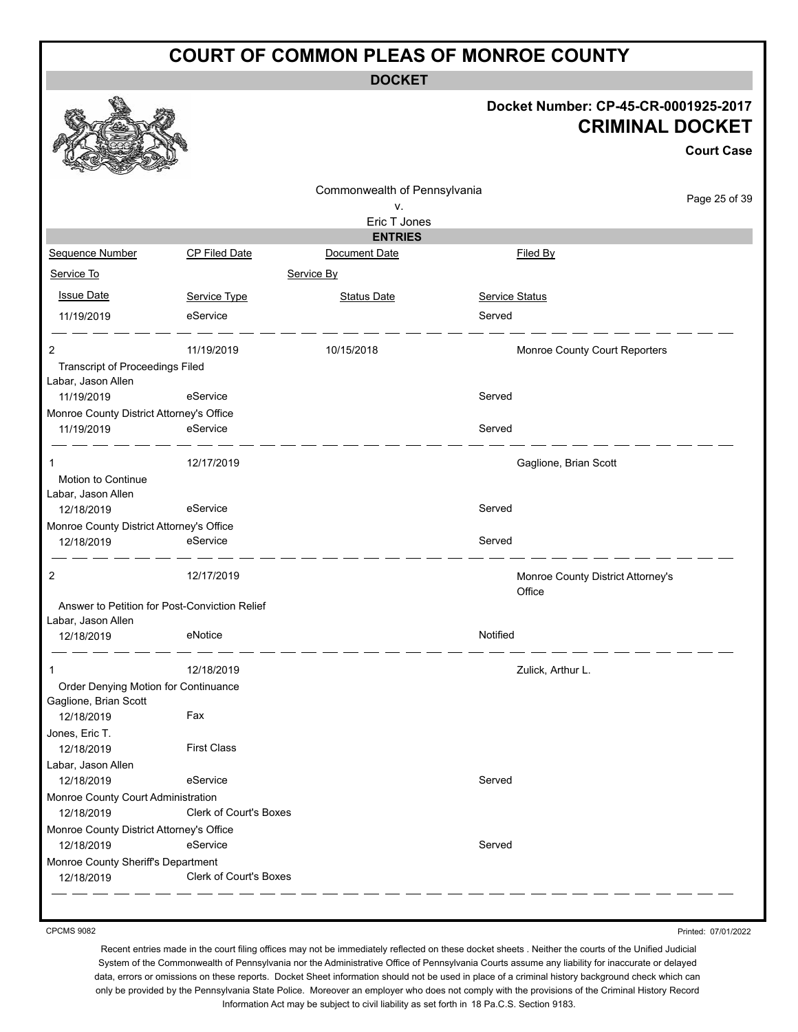**DOCKET**

#### **Docket Number: CP-45-CR-0001925-2017 CRIMINAL DOCKET**

**Court Case**

|                                          |                                               | Commonwealth of Pennsylvania |                |                                             |               |
|------------------------------------------|-----------------------------------------------|------------------------------|----------------|---------------------------------------------|---------------|
|                                          |                                               | ν.                           |                |                                             | Page 25 of 39 |
|                                          |                                               | Eric T Jones                 |                |                                             |               |
|                                          |                                               | <b>ENTRIES</b>               |                |                                             |               |
| Sequence Number                          | <b>CP Filed Date</b>                          | Document Date                |                | Filed By                                    |               |
| Service To                               |                                               | Service By                   |                |                                             |               |
| <b>Issue Date</b>                        | Service Type                                  | <b>Status Date</b>           | Service Status |                                             |               |
| 11/19/2019                               | eService                                      |                              | Served         |                                             |               |
| 2                                        | 11/19/2019                                    | 10/15/2018                   |                | Monroe County Court Reporters               |               |
| <b>Transcript of Proceedings Filed</b>   |                                               |                              |                |                                             |               |
| Labar, Jason Allen                       |                                               |                              |                |                                             |               |
| 11/19/2019                               | eService                                      |                              | Served         |                                             |               |
| Monroe County District Attorney's Office |                                               |                              |                |                                             |               |
| 11/19/2019                               | eService                                      |                              | Served         |                                             |               |
| 1                                        | 12/17/2019                                    |                              |                | Gaglione, Brian Scott                       |               |
| Motion to Continue                       |                                               |                              |                |                                             |               |
| Labar, Jason Allen                       |                                               |                              |                |                                             |               |
| 12/18/2019                               | eService                                      |                              | Served         |                                             |               |
| Monroe County District Attorney's Office |                                               |                              |                |                                             |               |
| 12/18/2019                               | eService                                      |                              | Served         |                                             |               |
| 2                                        | 12/17/2019                                    |                              |                | Monroe County District Attorney's<br>Office |               |
|                                          | Answer to Petition for Post-Conviction Relief |                              |                |                                             |               |
| Labar, Jason Allen                       |                                               |                              |                |                                             |               |
| 12/18/2019                               | eNotice                                       |                              | Notified       |                                             |               |
| $\mathbf{1}$                             | 12/18/2019                                    |                              |                | Zulick, Arthur L.                           |               |
| Order Denying Motion for Continuance     |                                               |                              |                |                                             |               |
| Gaglione, Brian Scott                    |                                               |                              |                |                                             |               |
| 12/18/2019                               | Fax                                           |                              |                |                                             |               |
| Jones, Eric T.                           |                                               |                              |                |                                             |               |
| 12/18/2019                               | <b>First Class</b>                            |                              |                |                                             |               |
| Labar, Jason Allen                       |                                               |                              |                |                                             |               |
| 12/18/2019                               | eService                                      |                              | Served         |                                             |               |
| Monroe County Court Administration       |                                               |                              |                |                                             |               |
| 12/18/2019                               | Clerk of Court's Boxes                        |                              |                |                                             |               |
| Monroe County District Attorney's Office |                                               |                              |                |                                             |               |
| 12/18/2019                               | eService                                      |                              | Served         |                                             |               |
| Monroe County Sheriff's Department       |                                               |                              |                |                                             |               |
| 12/18/2019                               | <b>Clerk of Court's Boxes</b>                 |                              |                |                                             |               |

CPCMS 9082

Printed: 07/01/2022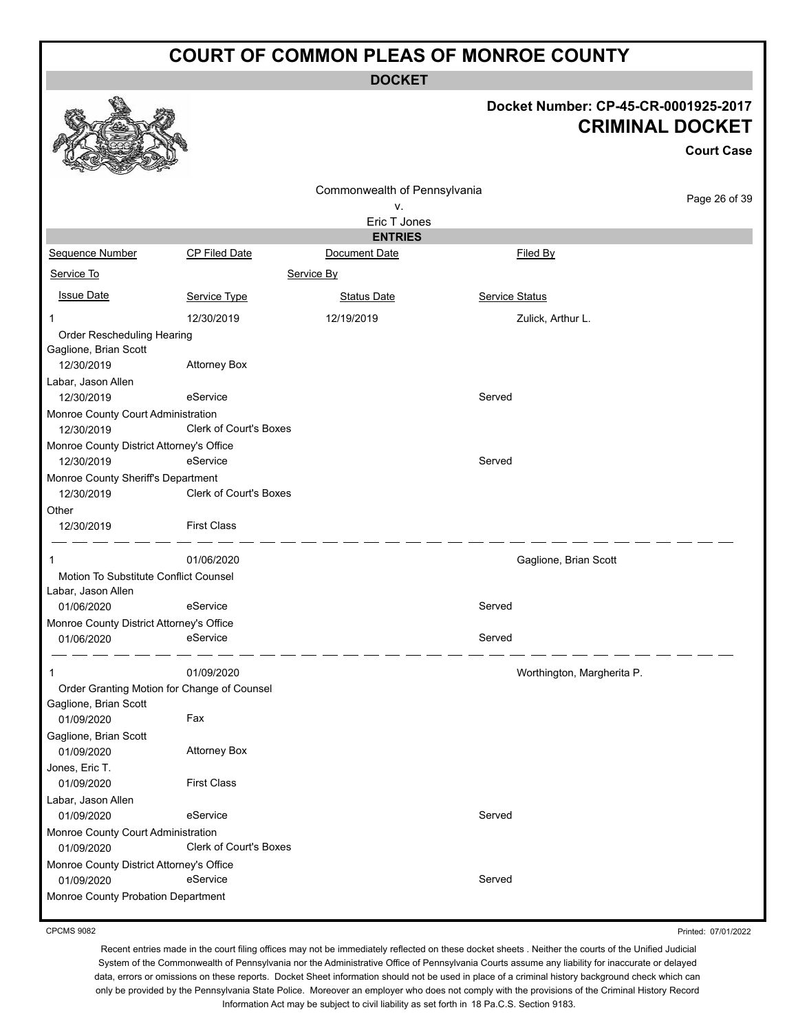**DOCKET**

#### **Docket Number: CP-45-CR-0001925-2017 CRIMINAL DOCKET**

|                                                        |                                             |                              |                |                            | <b>Court Case</b> |
|--------------------------------------------------------|---------------------------------------------|------------------------------|----------------|----------------------------|-------------------|
|                                                        |                                             | Commonwealth of Pennsylvania |                |                            |                   |
|                                                        |                                             | ٧.                           |                |                            | Page 26 of 39     |
|                                                        |                                             | Eric T Jones                 |                |                            |                   |
|                                                        |                                             | <b>ENTRIES</b>               |                |                            |                   |
| Sequence Number                                        | <b>CP Filed Date</b>                        | Document Date                |                | Filed By                   |                   |
| Service To                                             |                                             | Service By                   |                |                            |                   |
| <b>Issue Date</b>                                      | Service Type                                | <b>Status Date</b>           | Service Status |                            |                   |
| 1                                                      | 12/30/2019                                  | 12/19/2019                   |                | Zulick, Arthur L.          |                   |
| Order Rescheduling Hearing                             |                                             |                              |                |                            |                   |
| Gaglione, Brian Scott                                  |                                             |                              |                |                            |                   |
| 12/30/2019                                             | <b>Attorney Box</b>                         |                              |                |                            |                   |
| Labar, Jason Allen<br>12/30/2019                       | eService                                    |                              | Served         |                            |                   |
| Monroe County Court Administration                     |                                             |                              |                |                            |                   |
| 12/30/2019                                             | <b>Clerk of Court's Boxes</b>               |                              |                |                            |                   |
| Monroe County District Attorney's Office<br>12/30/2019 | eService                                    |                              | Served         |                            |                   |
| Monroe County Sheriff's Department<br>12/30/2019       | <b>Clerk of Court's Boxes</b>               |                              |                |                            |                   |
| Other<br>12/30/2019                                    | <b>First Class</b>                          |                              |                |                            |                   |
| 1                                                      | 01/06/2020                                  |                              |                | Gaglione, Brian Scott      |                   |
| Motion To Substitute Conflict Counsel                  |                                             |                              |                |                            |                   |
| Labar, Jason Allen                                     |                                             |                              |                |                            |                   |
| 01/06/2020<br>Monroe County District Attorney's Office | eService                                    |                              | Served         |                            |                   |
| 01/06/2020                                             | eService                                    |                              | Served         |                            |                   |
| 1                                                      | 01/09/2020                                  |                              |                | Worthington, Margherita P. |                   |
|                                                        | Order Granting Motion for Change of Counsel |                              |                |                            |                   |
| Gaglione, Brian Scott<br>01/09/2020                    | Fax                                         |                              |                |                            |                   |
| Gaglione, Brian Scott<br>01/09/2020                    | <b>Attorney Box</b>                         |                              |                |                            |                   |
| Jones, Eric T.<br>01/09/2020                           | <b>First Class</b>                          |                              |                |                            |                   |
| Labar, Jason Allen<br>01/09/2020                       | eService                                    |                              | Served         |                            |                   |
| Monroe County Court Administration                     |                                             |                              |                |                            |                   |
| 01/09/2020                                             | <b>Clerk of Court's Boxes</b>               |                              |                |                            |                   |
| Monroe County District Attorney's Office               |                                             |                              |                |                            |                   |
| 01/09/2020                                             | eService                                    |                              | Served         |                            |                   |
| Monroe County Probation Department                     |                                             |                              |                |                            |                   |

CPCMS 9082

Printed: 07/01/2022

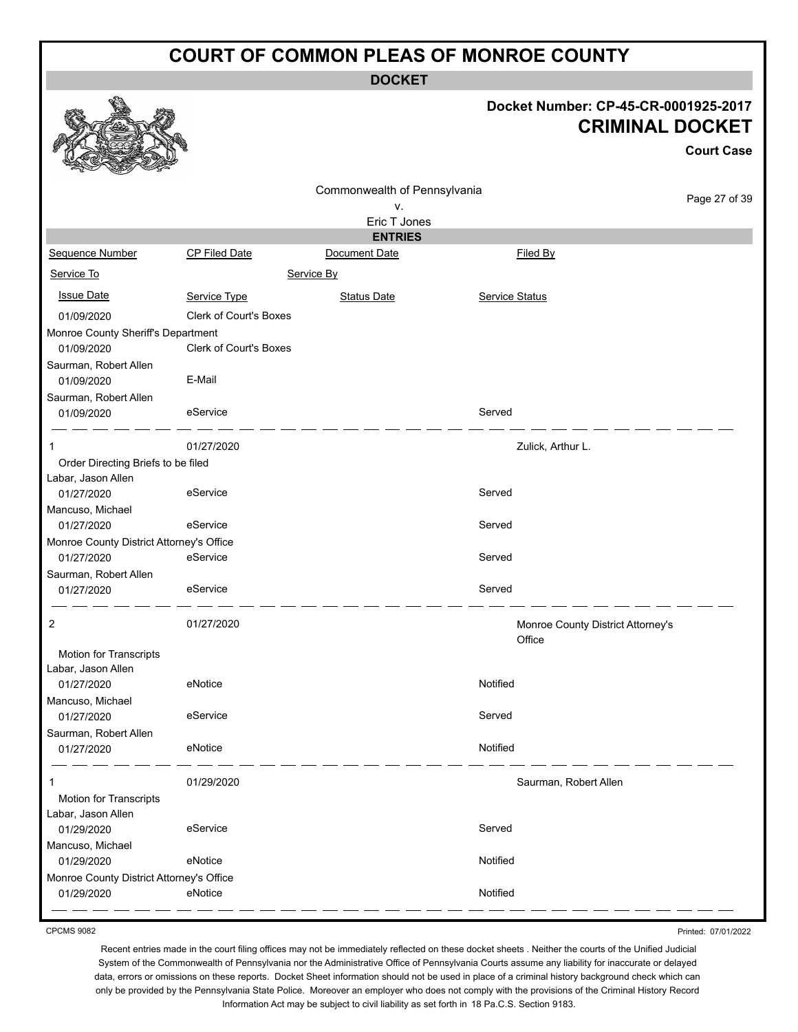**DOCKET**

#### **Docket Number: CP-45-CR-0001925-2017 CRIMINAL DOCKET**

|                                                          |                               |                                    |                       | <b>CRIMINAL DOCKET</b>                      | <b>Court Case</b> |
|----------------------------------------------------------|-------------------------------|------------------------------------|-----------------------|---------------------------------------------|-------------------|
|                                                          |                               | Commonwealth of Pennsylvania<br>ν. |                       |                                             | Page 27 of 39     |
|                                                          |                               | Eric T Jones<br><b>ENTRIES</b>     |                       |                                             |                   |
| Sequence Number                                          | CP Filed Date                 | Document Date                      |                       | Filed By                                    |                   |
|                                                          |                               |                                    |                       |                                             |                   |
| Service To                                               |                               | Service By                         |                       |                                             |                   |
| <b>Issue Date</b>                                        | Service Type                  | <b>Status Date</b>                 | <b>Service Status</b> |                                             |                   |
| 01/09/2020                                               | <b>Clerk of Court's Boxes</b> |                                    |                       |                                             |                   |
| Monroe County Sheriff's Department                       |                               |                                    |                       |                                             |                   |
| 01/09/2020                                               | <b>Clerk of Court's Boxes</b> |                                    |                       |                                             |                   |
| Saurman, Robert Allen<br>01/09/2020                      | E-Mail                        |                                    |                       |                                             |                   |
| Saurman, Robert Allen<br>01/09/2020                      | eService                      |                                    | Served                |                                             |                   |
|                                                          | 01/27/2020                    |                                    |                       | Zulick, Arthur L.                           |                   |
| Order Directing Briefs to be filed<br>Labar, Jason Allen |                               |                                    |                       |                                             |                   |
| 01/27/2020<br>Mancuso, Michael                           | eService                      |                                    | Served                |                                             |                   |
| 01/27/2020                                               | eService                      |                                    | Served                |                                             |                   |
| Monroe County District Attorney's Office                 |                               |                                    |                       |                                             |                   |
| 01/27/2020                                               | eService                      |                                    | Served                |                                             |                   |
| Saurman, Robert Allen                                    |                               |                                    |                       |                                             |                   |
| 01/27/2020                                               | eService                      |                                    | Served                |                                             |                   |
| 2                                                        | 01/27/2020                    |                                    |                       | Monroe County District Attorney's<br>Office |                   |
| Motion for Transcripts<br>Labar, Jason Allen             |                               |                                    |                       |                                             |                   |
| 01/27/2020                                               | eNotice                       |                                    | Notified              |                                             |                   |
| Mancuso, Michael                                         |                               |                                    |                       |                                             |                   |
| 01/27/2020                                               | eService                      |                                    | Served                |                                             |                   |
| Saurman, Robert Allen                                    |                               |                                    |                       |                                             |                   |
| 01/27/2020                                               | eNotice                       |                                    | Notified              |                                             |                   |
|                                                          | 01/29/2020                    |                                    |                       | Saurman, Robert Allen                       |                   |
| Motion for Transcripts                                   |                               |                                    |                       |                                             |                   |
| Labar, Jason Allen                                       |                               |                                    |                       |                                             |                   |
| 01/29/2020                                               | eService                      |                                    | Served                |                                             |                   |
| Mancuso, Michael                                         | eNotice                       |                                    | Notified              |                                             |                   |
| 01/29/2020<br>Monroe County District Attorney's Office   |                               |                                    |                       |                                             |                   |
| 01/29/2020                                               | eNotice                       |                                    | Notified              |                                             |                   |
|                                                          |                               |                                    |                       |                                             |                   |

CPCMS 9082

a An

Printed: 07/01/2022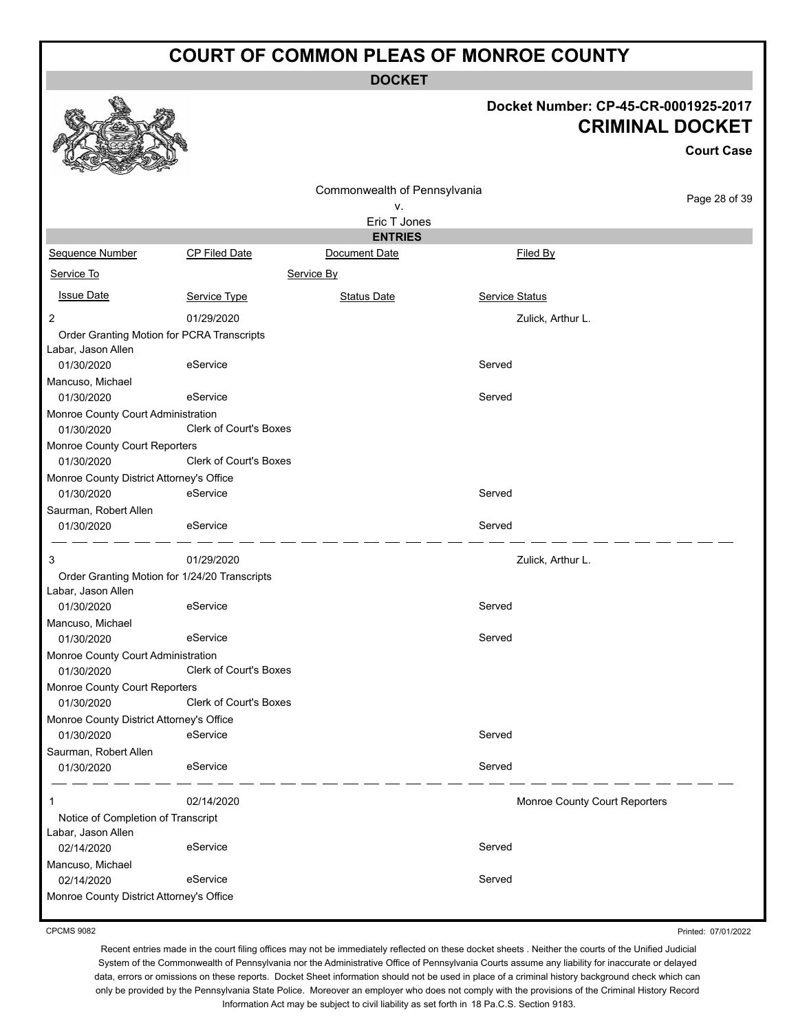**DOCKET**

#### **Docket Number: CP-45-CR-0001925-2017 CRIMINAL DOCKET**

**Court Case**

|                                               |                               |                              |                               | ovun vast     |
|-----------------------------------------------|-------------------------------|------------------------------|-------------------------------|---------------|
|                                               |                               | Commonwealth of Pennsylvania |                               |               |
|                                               |                               | ۷.                           |                               | Page 28 of 39 |
|                                               |                               | Eric T Jones                 |                               |               |
|                                               |                               | <b>ENTRIES</b>               |                               |               |
| <b>Sequence Number</b>                        | <b>CP Filed Date</b>          | Document Date                | Filed By                      |               |
| Service To                                    |                               | Service By                   |                               |               |
| <b>Issue Date</b>                             | Service Type                  | Status Date                  | Service Status                |               |
| $\overline{c}$                                | 01/29/2020                    |                              | Zulick, Arthur L.             |               |
| Order Granting Motion for PCRA Transcripts    |                               |                              |                               |               |
| Labar, Jason Allen                            |                               |                              |                               |               |
| 01/30/2020                                    | eService                      |                              | Served                        |               |
| Mancuso, Michael                              |                               |                              |                               |               |
| 01/30/2020                                    | eService                      |                              | Served                        |               |
| Monroe County Court Administration            |                               |                              |                               |               |
| 01/30/2020                                    | <b>Clerk of Court's Boxes</b> |                              |                               |               |
| Monroe County Court Reporters                 |                               |                              |                               |               |
| 01/30/2020                                    | <b>Clerk of Court's Boxes</b> |                              |                               |               |
| Monroe County District Attorney's Office      |                               |                              |                               |               |
| 01/30/2020                                    | eService                      |                              | Served                        |               |
| Saurman, Robert Allen                         |                               |                              |                               |               |
| 01/30/2020                                    | eService                      |                              | Served                        |               |
| 3                                             | 01/29/2020                    |                              | Zulick, Arthur L.             |               |
| Order Granting Motion for 1/24/20 Transcripts |                               |                              |                               |               |
| Labar, Jason Allen                            |                               |                              |                               |               |
| 01/30/2020                                    | eService                      |                              | Served                        |               |
| Mancuso, Michael                              |                               |                              |                               |               |
| 01/30/2020                                    | eService                      |                              | Served                        |               |
| Monroe County Court Administration            |                               |                              |                               |               |
| 01/30/2020                                    | <b>Clerk of Court's Boxes</b> |                              |                               |               |
| Monroe County Court Reporters                 |                               |                              |                               |               |
| 01/30/2020                                    | Clerk of Court's Boxes        |                              |                               |               |
| Monroe County District Attorney's Office      |                               |                              |                               |               |
| 01/30/2020                                    | eService                      |                              | Served                        |               |
| Saurman, Robert Allen                         |                               |                              |                               |               |
| 01/30/2020                                    | eService                      |                              | Served                        |               |
| 1                                             | 02/14/2020                    |                              | Monroe County Court Reporters |               |
| Notice of Completion of Transcript            |                               |                              |                               |               |
| Labar, Jason Allen                            |                               |                              |                               |               |
| 02/14/2020                                    | eService                      |                              | Served                        |               |
| Mancuso, Michael                              |                               |                              |                               |               |
| 02/14/2020                                    | eService                      |                              | Served                        |               |
| Monroe County District Attorney's Office      |                               |                              |                               |               |
|                                               |                               |                              |                               |               |

CPCMS 9082

Printed: 07/01/2022

Recent entries made in the court filing offices may not be immediately reflected on these docket sheets . Neither the courts of the Unified Judicial System of the Commonwealth of Pennsylvania nor the Administrative Office of Pennsylvania Courts assume any liability for inaccurate or delayed data, errors or omissions on these reports. Docket Sheet information should not be used in place of a criminal history background check which can only be provided by the Pennsylvania State Police. Moreover an employer who does not comply with the provisions of the Criminal History Record Information Act may be subject to civil liability as set forth in 18 Pa.C.S. Section 9183.

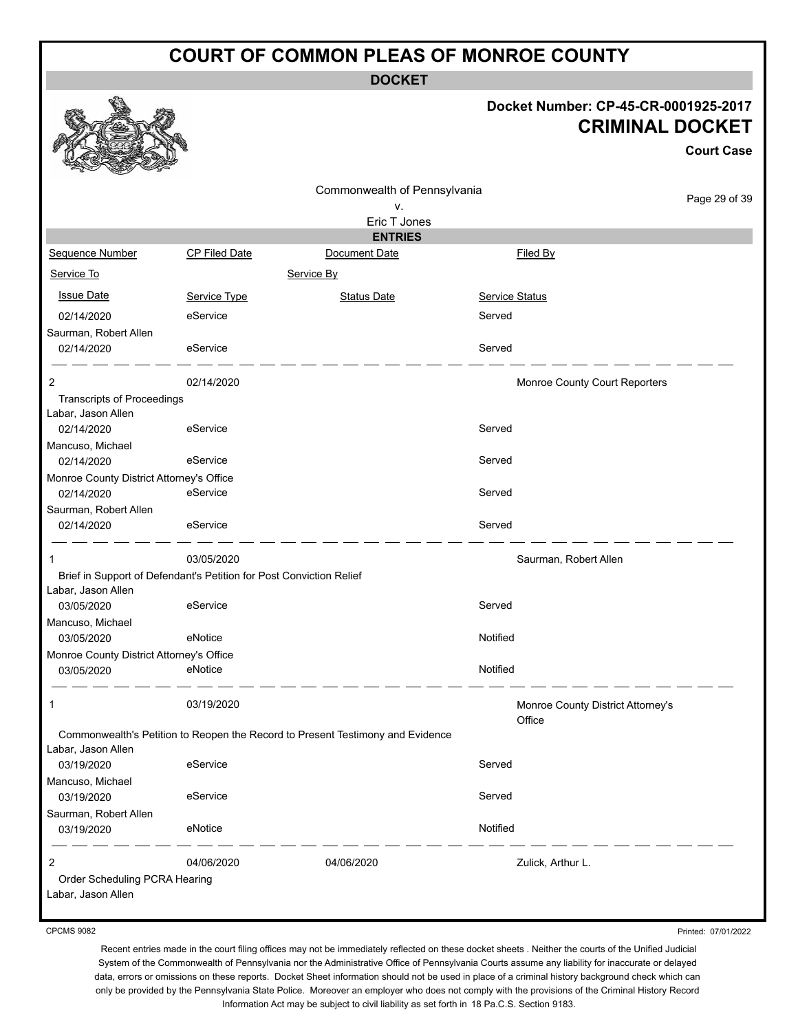**DOCKET**

#### **Docket Number: CP-45-CR-0001925-2017 CRIMINAL DOCKET**

**Court Case**

|                                                        |                                                                     | Commonwealth of Pennsylvania                                                   |                                             | Page 29 of 39 |
|--------------------------------------------------------|---------------------------------------------------------------------|--------------------------------------------------------------------------------|---------------------------------------------|---------------|
|                                                        |                                                                     | v.                                                                             |                                             |               |
|                                                        |                                                                     | Eric T Jones                                                                   |                                             |               |
| Sequence Number                                        | <b>CP Filed Date</b>                                                | <b>ENTRIES</b><br>Document Date                                                | Filed By                                    |               |
|                                                        |                                                                     |                                                                                |                                             |               |
| Service To                                             |                                                                     | Service By                                                                     |                                             |               |
| <b>Issue Date</b>                                      | Service Type                                                        | <b>Status Date</b>                                                             | Service Status                              |               |
| 02/14/2020                                             | eService                                                            |                                                                                | Served                                      |               |
| Saurman, Robert Allen                                  |                                                                     |                                                                                |                                             |               |
| 02/14/2020                                             | eService                                                            |                                                                                | Served                                      |               |
| 2                                                      | 02/14/2020                                                          |                                                                                | Monroe County Court Reporters               |               |
| <b>Transcripts of Proceedings</b>                      |                                                                     |                                                                                |                                             |               |
| Labar, Jason Allen                                     |                                                                     |                                                                                |                                             |               |
| 02/14/2020                                             | eService                                                            |                                                                                | Served                                      |               |
| Mancuso, Michael                                       |                                                                     |                                                                                |                                             |               |
| 02/14/2020                                             | eService                                                            |                                                                                | Served                                      |               |
| Monroe County District Attorney's Office<br>02/14/2020 | eService                                                            |                                                                                | Served                                      |               |
| Saurman, Robert Allen                                  |                                                                     |                                                                                |                                             |               |
| 02/14/2020                                             | eService                                                            |                                                                                | Served                                      |               |
|                                                        |                                                                     |                                                                                |                                             |               |
| 1                                                      | 03/05/2020                                                          |                                                                                | Saurman, Robert Allen                       |               |
| Labar, Jason Allen                                     | Brief in Support of Defendant's Petition for Post Conviction Relief |                                                                                |                                             |               |
| 03/05/2020                                             | eService                                                            |                                                                                | Served                                      |               |
| Mancuso, Michael                                       |                                                                     |                                                                                |                                             |               |
| 03/05/2020                                             | eNotice                                                             |                                                                                | Notified                                    |               |
| Monroe County District Attorney's Office               |                                                                     |                                                                                |                                             |               |
| 03/05/2020                                             | eNotice                                                             |                                                                                | Notified                                    |               |
| 1                                                      | 03/19/2020                                                          |                                                                                |                                             |               |
|                                                        |                                                                     |                                                                                | Monroe County District Attorney's<br>Office |               |
|                                                        |                                                                     | Commonwealth's Petition to Reopen the Record to Present Testimony and Evidence |                                             |               |
| Labar, Jason Allen                                     |                                                                     |                                                                                |                                             |               |
| 03/19/2020                                             | eService                                                            |                                                                                | Served                                      |               |
| Mancuso, Michael                                       |                                                                     |                                                                                |                                             |               |
| 03/19/2020<br>Saurman, Robert Allen                    | eService                                                            |                                                                                | Served                                      |               |
| 03/19/2020                                             | eNotice                                                             |                                                                                | Notified                                    |               |
|                                                        |                                                                     |                                                                                |                                             |               |
| 2                                                      | 04/06/2020                                                          | 04/06/2020                                                                     | Zulick, Arthur L.                           |               |
| Order Scheduling PCRA Hearing                          |                                                                     |                                                                                |                                             |               |
| Labar, Jason Allen                                     |                                                                     |                                                                                |                                             |               |
|                                                        |                                                                     |                                                                                |                                             |               |

CPCMS 9082

Printed: 07/01/2022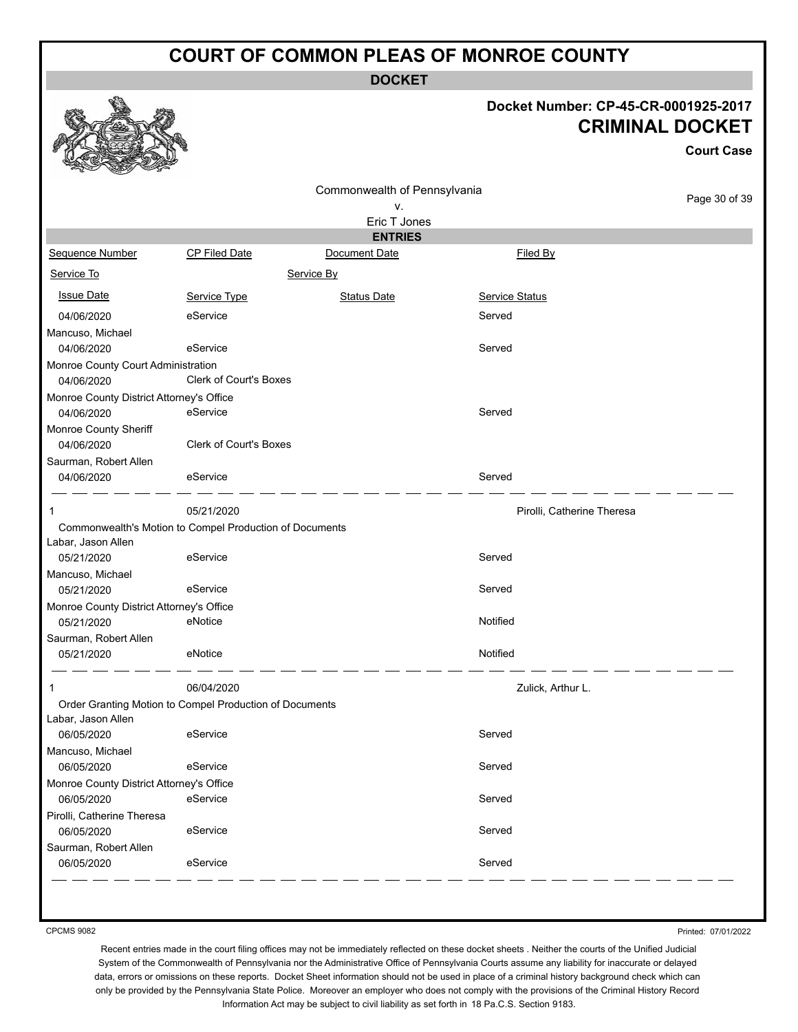**DOCKET**

#### **Docket Number: CP-45-CR-0001925-2017 CRIMINAL DOCKET**

**Court Case**

|                                          |                                                         |                                 |                            | <b>Court Case</b> |
|------------------------------------------|---------------------------------------------------------|---------------------------------|----------------------------|-------------------|
|                                          |                                                         | Commonwealth of Pennsylvania    |                            | Page 30 of 39     |
|                                          |                                                         | ۷.                              |                            |                   |
|                                          |                                                         | Eric T Jones                    |                            |                   |
| <b>Sequence Number</b>                   | <b>CP Filed Date</b>                                    | <b>ENTRIES</b><br>Document Date |                            |                   |
|                                          |                                                         |                                 | Filed By                   |                   |
| Service To                               |                                                         | Service By                      |                            |                   |
| <b>Issue Date</b>                        | Service Type                                            | <b>Status Date</b>              | <b>Service Status</b>      |                   |
| 04/06/2020                               | eService                                                |                                 | Served                     |                   |
| Mancuso, Michael                         |                                                         |                                 |                            |                   |
| 04/06/2020                               | eService                                                |                                 | Served                     |                   |
| Monroe County Court Administration       |                                                         |                                 |                            |                   |
| 04/06/2020                               | <b>Clerk of Court's Boxes</b>                           |                                 |                            |                   |
| Monroe County District Attorney's Office |                                                         |                                 |                            |                   |
| 04/06/2020                               | eService                                                |                                 | Served                     |                   |
| Monroe County Sheriff                    |                                                         |                                 |                            |                   |
| 04/06/2020                               | <b>Clerk of Court's Boxes</b>                           |                                 |                            |                   |
| Saurman, Robert Allen                    |                                                         |                                 |                            |                   |
| 04/06/2020                               | eService                                                |                                 | Served                     |                   |
| 1                                        | 05/21/2020                                              |                                 | Pirolli, Catherine Theresa |                   |
|                                          | Commonwealth's Motion to Compel Production of Documents |                                 |                            |                   |
| Labar, Jason Allen                       |                                                         |                                 |                            |                   |
| 05/21/2020                               | eService                                                |                                 | Served                     |                   |
| Mancuso, Michael                         |                                                         |                                 |                            |                   |
| 05/21/2020                               | eService                                                |                                 | Served                     |                   |
| Monroe County District Attorney's Office |                                                         |                                 |                            |                   |
| 05/21/2020                               | eNotice                                                 |                                 | Notified                   |                   |
| Saurman, Robert Allen                    |                                                         |                                 |                            |                   |
| 05/21/2020                               | eNotice                                                 |                                 | Notified                   |                   |
| 1                                        | 06/04/2020                                              |                                 | Zulick, Arthur L.          |                   |
|                                          | Order Granting Motion to Compel Production of Documents |                                 |                            |                   |
| Labar, Jason Allen                       |                                                         |                                 |                            |                   |
| 06/05/2020                               | eService                                                |                                 | Served                     |                   |
| Mancuso, Michael                         |                                                         |                                 |                            |                   |
| 06/05/2020                               | eService                                                |                                 | Served                     |                   |
| Monroe County District Attorney's Office |                                                         |                                 |                            |                   |
| 06/05/2020                               | eService                                                |                                 | Served                     |                   |
| Pirolli, Catherine Theresa               | eService                                                |                                 | Served                     |                   |
| 06/05/2020                               |                                                         |                                 |                            |                   |
| Saurman, Robert Allen<br>06/05/2020      | eService                                                |                                 | Served                     |                   |
|                                          |                                                         |                                 |                            |                   |

CPCMS 9082

Printed: 07/01/2022

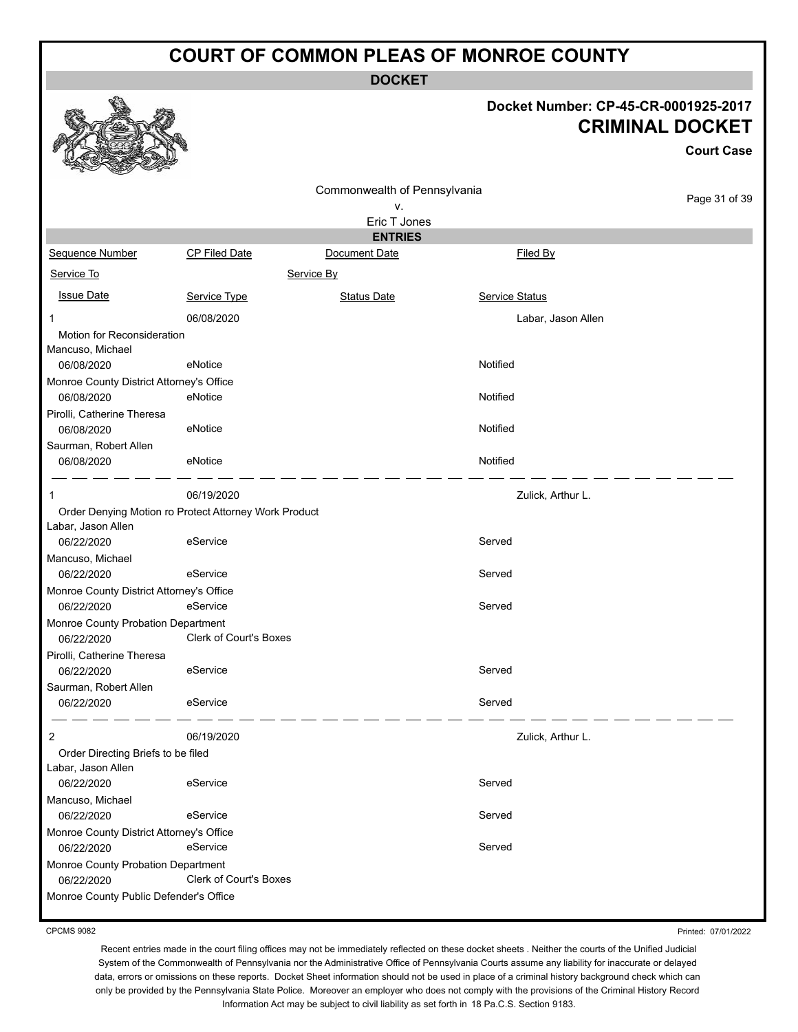**DOCKET**

#### **Docket Number: CP-45-CR-0001925-2017 CRIMINAL DOCKET**

**Court Case**

| Commonwealth of Pennsylvania             |                                                       | Page 31 of 39                  |                    |  |
|------------------------------------------|-------------------------------------------------------|--------------------------------|--------------------|--|
|                                          |                                                       | ٧.                             |                    |  |
|                                          |                                                       | Eric T Jones<br><b>ENTRIES</b> |                    |  |
| Sequence Number                          | <b>CP Filed Date</b>                                  | Document Date                  | Filed By           |  |
|                                          |                                                       |                                |                    |  |
| Service To                               |                                                       | Service By                     |                    |  |
| <b>Issue Date</b>                        | Service Type                                          | <b>Status Date</b>             | Service Status     |  |
| 1                                        | 06/08/2020                                            |                                | Labar, Jason Allen |  |
| Motion for Reconsideration               |                                                       |                                |                    |  |
| Mancuso, Michael                         |                                                       |                                |                    |  |
| 06/08/2020                               | eNotice                                               |                                | Notified           |  |
| Monroe County District Attorney's Office |                                                       |                                |                    |  |
| 06/08/2020                               | eNotice                                               |                                | Notified           |  |
| Pirolli, Catherine Theresa<br>06/08/2020 | eNotice                                               |                                | Notified           |  |
| Saurman, Robert Allen                    |                                                       |                                |                    |  |
| 06/08/2020                               | eNotice                                               |                                | Notified           |  |
|                                          |                                                       |                                |                    |  |
|                                          | 06/19/2020                                            |                                | Zulick, Arthur L.  |  |
|                                          | Order Denying Motion ro Protect Attorney Work Product |                                |                    |  |
| Labar, Jason Allen                       |                                                       |                                |                    |  |
| 06/22/2020                               | eService                                              |                                | Served             |  |
| Mancuso, Michael                         |                                                       |                                |                    |  |
| 06/22/2020                               | eService                                              |                                | Served             |  |
| Monroe County District Attorney's Office |                                                       |                                |                    |  |
| 06/22/2020                               | eService                                              |                                | Served             |  |
| Monroe County Probation Department       |                                                       |                                |                    |  |
| 06/22/2020                               | <b>Clerk of Court's Boxes</b>                         |                                |                    |  |
| Pirolli, Catherine Theresa<br>06/22/2020 | eService                                              |                                | Served             |  |
| Saurman, Robert Allen                    |                                                       |                                |                    |  |
| 06/22/2020                               | eService                                              |                                | Served             |  |
|                                          |                                                       |                                |                    |  |
| 2                                        | 06/19/2020                                            |                                | Zulick, Arthur L.  |  |
| Order Directing Briefs to be filed       |                                                       |                                |                    |  |
| Labar, Jason Allen                       |                                                       |                                |                    |  |
| 06/22/2020                               | eService                                              |                                | Served             |  |
| Mancuso, Michael                         |                                                       |                                |                    |  |
| 06/22/2020                               | eService                                              |                                | Served             |  |
| Monroe County District Attorney's Office |                                                       |                                |                    |  |
| 06/22/2020                               | eService                                              |                                | Served             |  |
| Monroe County Probation Department       |                                                       |                                |                    |  |
| 06/22/2020                               | Clerk of Court's Boxes                                |                                |                    |  |
| Monroe County Public Defender's Office   |                                                       |                                |                    |  |

CPCMS 9082

Printed: 07/01/2022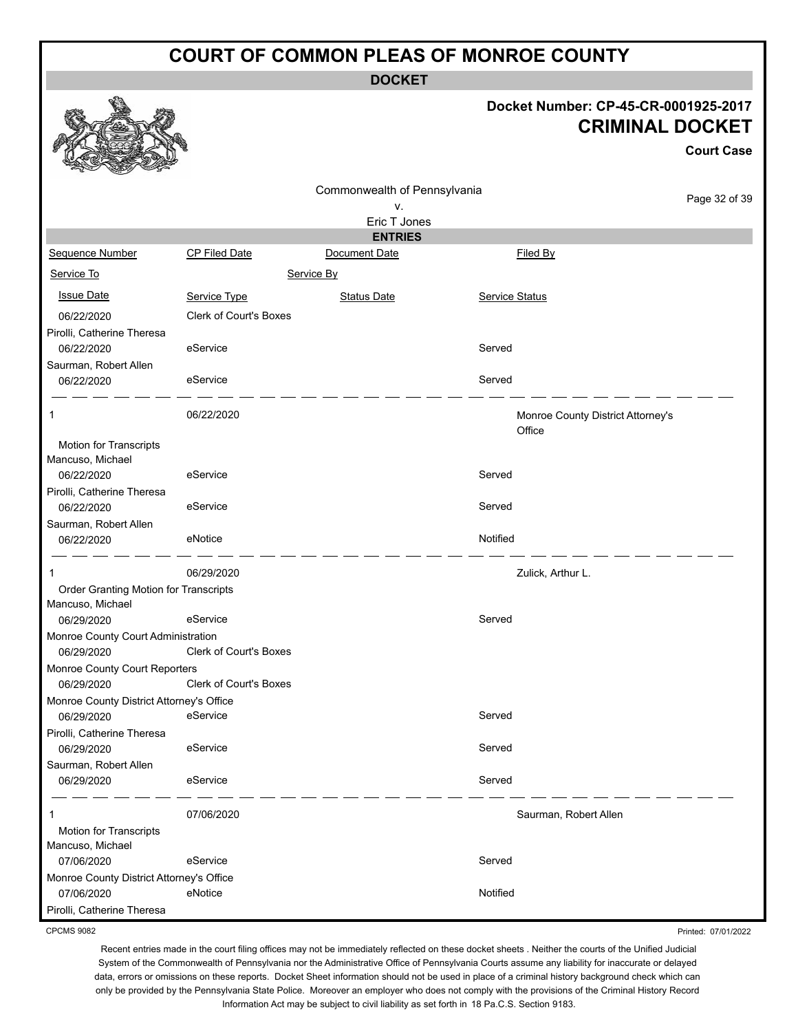**DOCKET**

#### **Docket Number: CP-45-CR-0001925-2017 CRIMINAL DOCKET**

**Court Case**

|                                             |                               | Commonwealth of Pennsylvania |                |                                   |               |
|---------------------------------------------|-------------------------------|------------------------------|----------------|-----------------------------------|---------------|
|                                             |                               | ν.                           |                |                                   | Page 32 of 39 |
|                                             |                               | Eric T Jones                 |                |                                   |               |
|                                             |                               | <b>ENTRIES</b>               |                |                                   |               |
| Sequence Number                             | CP Filed Date                 | Document Date                |                | Filed By                          |               |
| Service To                                  |                               | Service By                   |                |                                   |               |
| <b>Issue Date</b>                           | Service Type                  | <b>Status Date</b>           | Service Status |                                   |               |
| 06/22/2020                                  | <b>Clerk of Court's Boxes</b> |                              |                |                                   |               |
| Pirolli, Catherine Theresa                  |                               |                              |                |                                   |               |
| 06/22/2020                                  | eService                      |                              | Served         |                                   |               |
| Saurman, Robert Allen                       |                               |                              |                |                                   |               |
| 06/22/2020                                  | eService                      |                              | Served         |                                   |               |
| 1                                           | 06/22/2020                    |                              |                | Monroe County District Attorney's |               |
|                                             |                               |                              |                | Office                            |               |
| Motion for Transcripts<br>Mancuso, Michael  |                               |                              |                |                                   |               |
| 06/22/2020                                  | eService                      |                              | Served         |                                   |               |
| Pirolli, Catherine Theresa                  |                               |                              |                |                                   |               |
| 06/22/2020                                  | eService                      |                              | Served         |                                   |               |
| Saurman, Robert Allen                       |                               |                              |                |                                   |               |
| 06/22/2020                                  | eNotice                       |                              | Notified       |                                   |               |
|                                             |                               |                              |                |                                   |               |
| 1                                           | 06/29/2020                    |                              |                | Zulick, Arthur L.                 |               |
| Order Granting Motion for Transcripts       |                               |                              |                |                                   |               |
| Mancuso, Michael                            |                               |                              |                |                                   |               |
| 06/29/2020                                  | eService                      |                              | Served         |                                   |               |
| Monroe County Court Administration          | Clerk of Court's Boxes        |                              |                |                                   |               |
| 06/29/2020                                  |                               |                              |                |                                   |               |
| Monroe County Court Reporters<br>06/29/2020 | <b>Clerk of Court's Boxes</b> |                              |                |                                   |               |
| Monroe County District Attorney's Office    |                               |                              |                |                                   |               |
| 06/29/2020                                  | eService                      |                              | Served         |                                   |               |
| Pirolli, Catherine Theresa                  |                               |                              |                |                                   |               |
| 06/29/2020                                  | eService                      |                              | Served         |                                   |               |
| Saurman, Robert Allen                       |                               |                              |                |                                   |               |
| 06/29/2020                                  | eService                      |                              | Served         |                                   |               |
|                                             | 07/06/2020                    |                              |                | Saurman, Robert Allen             |               |
| Motion for Transcripts                      |                               |                              |                |                                   |               |
| Mancuso, Michael                            |                               |                              |                |                                   |               |
| 07/06/2020                                  | eService                      |                              | Served         |                                   |               |
| Monroe County District Attorney's Office    |                               |                              |                |                                   |               |
| 07/06/2020                                  | eNotice                       |                              | Notified       |                                   |               |
| Pirolli, Catherine Theresa                  |                               |                              |                |                                   |               |

CPCMS 9082

Printed: 07/01/2022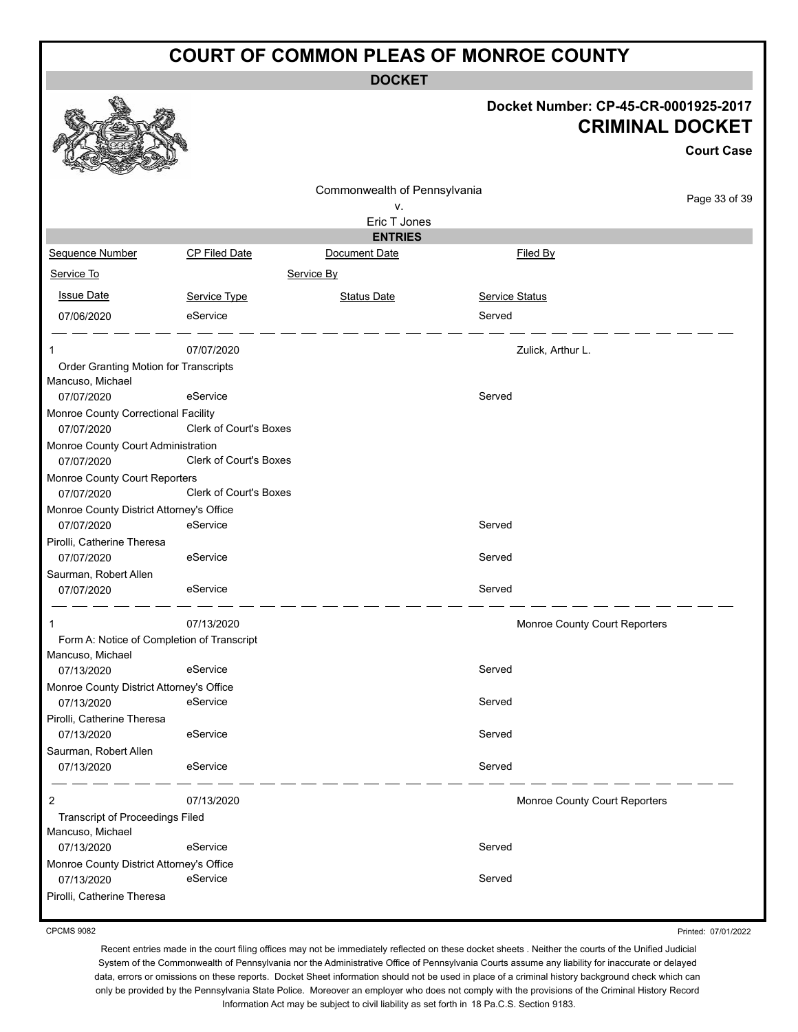**DOCKET**

#### **Docket Number: CP-45-CR-0001925-2017 CRIMINAL DOCKET**

|                                                            |                               |                              |                               | <b>Court Case</b> |
|------------------------------------------------------------|-------------------------------|------------------------------|-------------------------------|-------------------|
|                                                            |                               | Commonwealth of Pennsylvania |                               |                   |
|                                                            |                               | ۷.                           |                               | Page 33 of 39     |
|                                                            |                               | Eric T Jones                 |                               |                   |
|                                                            |                               | <b>ENTRIES</b>               |                               |                   |
| Sequence Number                                            | <b>CP Filed Date</b>          | Document Date                | Filed By                      |                   |
| Service To                                                 |                               | Service By                   |                               |                   |
| <b>Issue Date</b>                                          | Service Type                  | <b>Status Date</b>           | <b>Service Status</b>         |                   |
| 07/06/2020                                                 | eService                      |                              | Served                        |                   |
| 1                                                          | 07/07/2020                    |                              | Zulick, Arthur L.             |                   |
| Order Granting Motion for Transcripts<br>Mancuso, Michael  |                               |                              |                               |                   |
| 07/07/2020                                                 | eService                      |                              | Served                        |                   |
| Monroe County Correctional Facility<br>07/07/2020          | <b>Clerk of Court's Boxes</b> |                              |                               |                   |
| Monroe County Court Administration                         |                               |                              |                               |                   |
| 07/07/2020                                                 | Clerk of Court's Boxes        |                              |                               |                   |
| Monroe County Court Reporters                              |                               |                              |                               |                   |
| 07/07/2020                                                 | <b>Clerk of Court's Boxes</b> |                              |                               |                   |
| Monroe County District Attorney's Office                   |                               |                              |                               |                   |
| 07/07/2020                                                 | eService                      |                              | Served                        |                   |
| Pirolli, Catherine Theresa                                 |                               |                              |                               |                   |
| 07/07/2020                                                 | eService                      |                              | Served                        |                   |
| Saurman, Robert Allen                                      |                               |                              |                               |                   |
| 07/07/2020                                                 | eService                      |                              | Served                        |                   |
| 1                                                          | 07/13/2020                    |                              | Monroe County Court Reporters |                   |
| Form A: Notice of Completion of Transcript                 |                               |                              |                               |                   |
| Mancuso, Michael                                           | eService                      |                              |                               |                   |
| 07/13/2020                                                 |                               |                              | Served                        |                   |
| Monroe County District Attorney's Office<br>07/13/2020     | eService                      |                              | Served                        |                   |
| Pirolli, Catherine Theresa                                 |                               |                              |                               |                   |
| 07/13/2020                                                 | eService                      |                              | Served                        |                   |
| Saurman, Robert Allen                                      |                               |                              |                               |                   |
| 07/13/2020                                                 | eService                      |                              | Served                        |                   |
| $\overline{2}$                                             | 07/13/2020                    |                              | Monroe County Court Reporters |                   |
| <b>Transcript of Proceedings Filed</b><br>Mancuso, Michael |                               |                              |                               |                   |
| 07/13/2020                                                 | eService                      |                              | Served                        |                   |
| Monroe County District Attorney's Office                   |                               |                              |                               |                   |
| 07/13/2020                                                 | eService                      |                              | Served                        |                   |
| Pirolli, Catherine Theresa                                 |                               |                              |                               |                   |

CPCMS 9082

**BA** 

Printed: 07/01/2022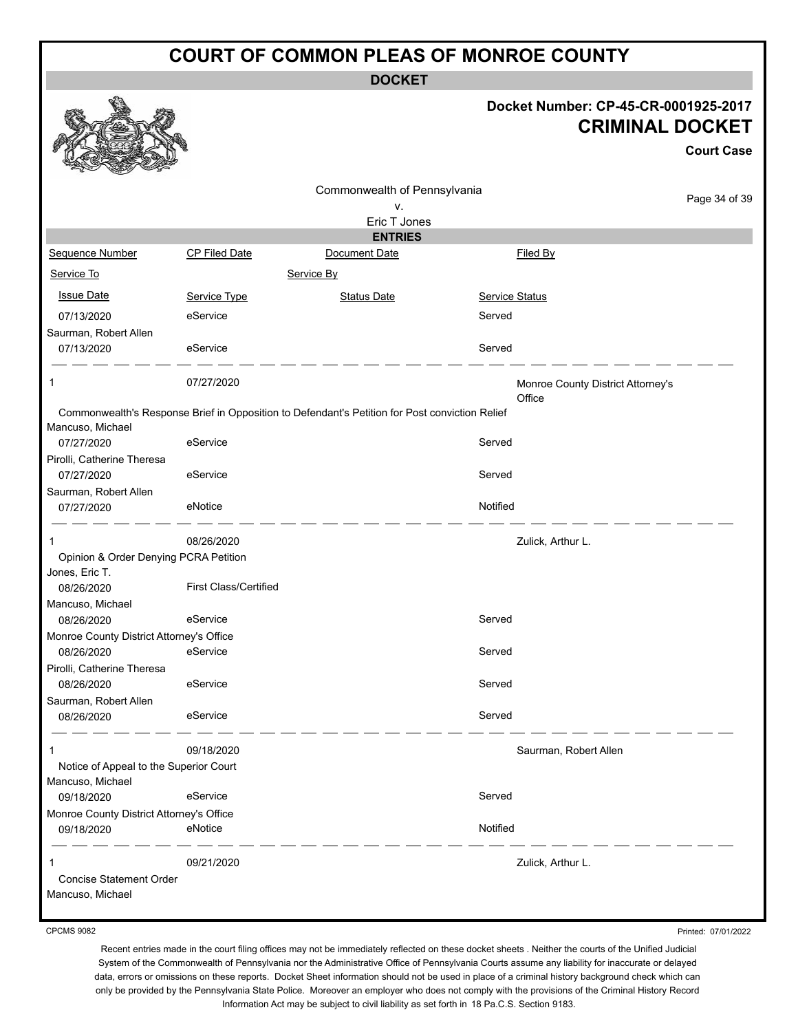**DOCKET**

#### **Docket Number: CP-45-CR-0001925-2017 CRIMINAL DOCKET**

**Court Case**

|                                          |                              |                                                                                                |                |                                             | Gourt Gase    |
|------------------------------------------|------------------------------|------------------------------------------------------------------------------------------------|----------------|---------------------------------------------|---------------|
|                                          |                              | Commonwealth of Pennsylvania                                                                   |                |                                             |               |
|                                          |                              | ٧.                                                                                             |                |                                             | Page 34 of 39 |
|                                          |                              | Eric T Jones                                                                                   |                |                                             |               |
|                                          |                              | <b>ENTRIES</b>                                                                                 |                |                                             |               |
| <b>Sequence Number</b>                   | CP Filed Date                | Document Date                                                                                  |                | Filed By                                    |               |
| Service To                               |                              | Service By                                                                                     |                |                                             |               |
| <b>Issue Date</b>                        | Service Type                 | <b>Status Date</b>                                                                             | Service Status |                                             |               |
| 07/13/2020                               | eService                     |                                                                                                | Served         |                                             |               |
| Saurman, Robert Allen                    |                              |                                                                                                |                |                                             |               |
| 07/13/2020                               | eService                     |                                                                                                | Served         |                                             |               |
| 1                                        | 07/27/2020                   |                                                                                                |                | Monroe County District Attorney's<br>Office |               |
| Mancuso, Michael                         |                              | Commonwealth's Response Brief in Opposition to Defendant's Petition for Post conviction Relief |                |                                             |               |
| 07/27/2020                               | eService                     |                                                                                                | Served         |                                             |               |
| Pirolli, Catherine Theresa               |                              |                                                                                                |                |                                             |               |
| 07/27/2020                               | eService                     |                                                                                                | Served         |                                             |               |
| Saurman, Robert Allen                    |                              |                                                                                                |                |                                             |               |
| 07/27/2020                               | eNotice                      |                                                                                                | Notified       |                                             |               |
| 1                                        | 08/26/2020                   |                                                                                                |                | Zulick, Arthur L.                           |               |
| Opinion & Order Denying PCRA Petition    |                              |                                                                                                |                |                                             |               |
| Jones, Eric T.                           |                              |                                                                                                |                |                                             |               |
| 08/26/2020                               | <b>First Class/Certified</b> |                                                                                                |                |                                             |               |
| Mancuso, Michael                         |                              |                                                                                                |                |                                             |               |
| 08/26/2020                               | eService                     |                                                                                                | Served         |                                             |               |
| Monroe County District Attorney's Office |                              |                                                                                                |                |                                             |               |
| 08/26/2020                               | eService                     |                                                                                                | Served         |                                             |               |
| Pirolli, Catherine Theresa               |                              |                                                                                                |                |                                             |               |
| 08/26/2020                               | eService                     |                                                                                                | Served         |                                             |               |
| Saurman, Robert Allen                    |                              |                                                                                                |                |                                             |               |
| 08/26/2020                               | eService                     |                                                                                                | Served         |                                             |               |
| $\mathbf 1$                              | 09/18/2020                   |                                                                                                |                | Saurman, Robert Allen                       |               |
| Notice of Appeal to the Superior Court   |                              |                                                                                                |                |                                             |               |
| Mancuso, Michael                         |                              |                                                                                                |                |                                             |               |
| 09/18/2020                               | eService                     |                                                                                                | Served         |                                             |               |
| Monroe County District Attorney's Office |                              |                                                                                                |                |                                             |               |
| 09/18/2020                               | eNotice                      |                                                                                                | Notified       |                                             |               |
| 1                                        | 09/21/2020                   |                                                                                                |                | Zulick, Arthur L.                           |               |
| <b>Concise Statement Order</b>           |                              |                                                                                                |                |                                             |               |
| Mancuso, Michael                         |                              |                                                                                                |                |                                             |               |
|                                          |                              |                                                                                                |                |                                             |               |

CPCMS 9082

Printed: 07/01/2022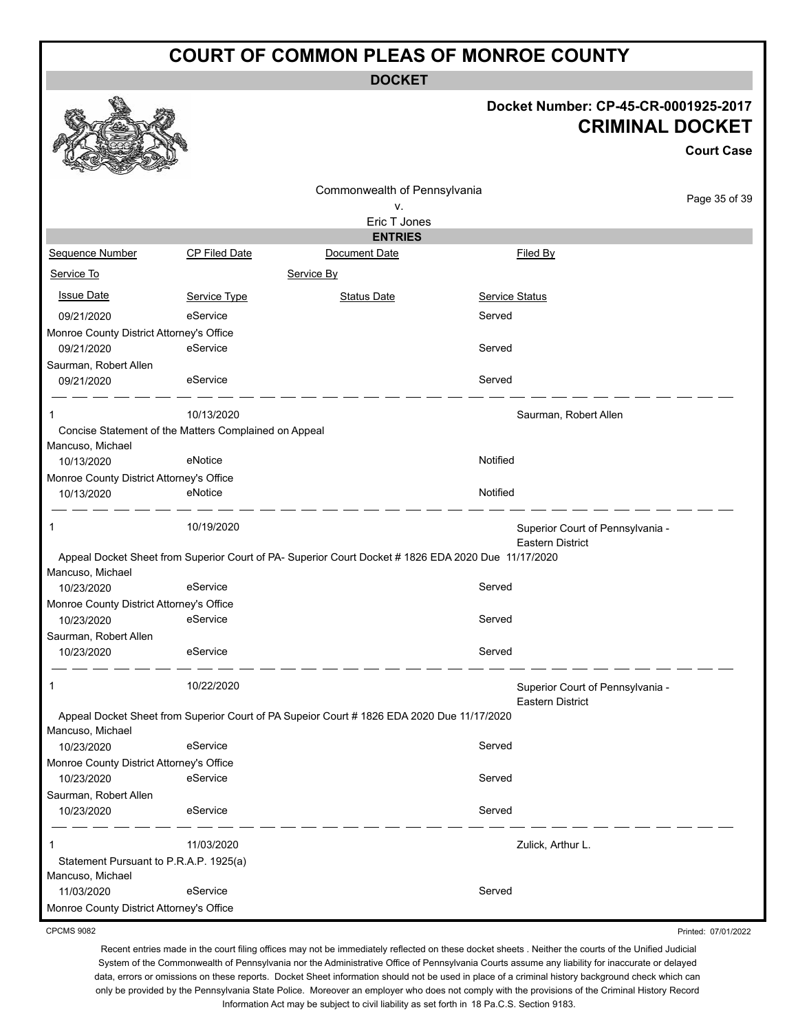**DOCKET**

#### **Docket Number: CP-45-CR-0001925-2017 CRIMINAL DOCKET**

**Court Case**

Printed: 07/01/2022

|                                          |                                                       | Commonwealth of Pennsylvania                                                                        |                |                                                             |
|------------------------------------------|-------------------------------------------------------|-----------------------------------------------------------------------------------------------------|----------------|-------------------------------------------------------------|
|                                          |                                                       | ٧.                                                                                                  | Page 35 of 39  |                                                             |
|                                          |                                                       | Eric T Jones                                                                                        |                |                                                             |
|                                          |                                                       | <b>ENTRIES</b>                                                                                      |                |                                                             |
| Sequence Number                          | <b>CP Filed Date</b>                                  | Document Date                                                                                       |                | Filed By                                                    |
| Service To                               |                                                       | Service By                                                                                          |                |                                                             |
| <b>Issue Date</b>                        | Service Type                                          | <b>Status Date</b>                                                                                  | Service Status |                                                             |
| 09/21/2020                               | eService                                              |                                                                                                     | Served         |                                                             |
| Monroe County District Attorney's Office |                                                       |                                                                                                     |                |                                                             |
| 09/21/2020                               | eService                                              |                                                                                                     | Served         |                                                             |
| Saurman, Robert Allen                    |                                                       |                                                                                                     |                |                                                             |
| 09/21/2020                               | eService                                              |                                                                                                     | Served         |                                                             |
|                                          | 10/13/2020                                            |                                                                                                     |                | Saurman, Robert Allen                                       |
|                                          | Concise Statement of the Matters Complained on Appeal |                                                                                                     |                |                                                             |
| Mancuso, Michael                         |                                                       |                                                                                                     |                |                                                             |
| 10/13/2020                               | eNotice                                               |                                                                                                     | Notified       |                                                             |
| Monroe County District Attorney's Office |                                                       |                                                                                                     |                |                                                             |
| 10/13/2020                               | eNotice                                               |                                                                                                     | Notified       |                                                             |
| 1                                        | 10/19/2020                                            |                                                                                                     |                | Superior Court of Pennsylvania -<br><b>Eastern District</b> |
|                                          |                                                       | Appeal Docket Sheet from Superior Court of PA- Superior Court Docket # 1826 EDA 2020 Due 11/17/2020 |                |                                                             |
| Mancuso, Michael                         |                                                       |                                                                                                     |                |                                                             |
| 10/23/2020                               | eService                                              |                                                                                                     | Served         |                                                             |
| Monroe County District Attorney's Office |                                                       |                                                                                                     |                |                                                             |
| 10/23/2020                               | eService                                              |                                                                                                     | Served         |                                                             |
| Saurman, Robert Allen                    |                                                       |                                                                                                     |                |                                                             |
| 10/23/2020                               | eService                                              |                                                                                                     | Served         |                                                             |
| 1                                        | 10/22/2020                                            |                                                                                                     |                | Superior Court of Pennsylvania -                            |
|                                          |                                                       |                                                                                                     |                | <b>Eastern District</b>                                     |
|                                          |                                                       | Appeal Docket Sheet from Superior Court of PA Supeior Court # 1826 EDA 2020 Due 11/17/2020          |                |                                                             |
| Mancuso, Michael                         |                                                       |                                                                                                     |                |                                                             |
| 10/23/2020                               | eService                                              |                                                                                                     | Served         |                                                             |
| Monroe County District Attorney's Office |                                                       |                                                                                                     |                |                                                             |
| 10/23/2020                               | eService                                              |                                                                                                     | Served         |                                                             |
| Saurman, Robert Allen                    |                                                       |                                                                                                     |                |                                                             |
| 10/23/2020                               | eService                                              |                                                                                                     | Served         |                                                             |
|                                          | 11/03/2020                                            |                                                                                                     |                | Zulick, Arthur L.                                           |
| Statement Pursuant to P.R.A.P. 1925(a)   |                                                       |                                                                                                     |                |                                                             |
| Mancuso, Michael                         |                                                       |                                                                                                     |                |                                                             |
| 11/03/2020                               | eService                                              |                                                                                                     | Served         |                                                             |
| Monroe County District Attorney's Office |                                                       |                                                                                                     |                |                                                             |

CPCMS 9082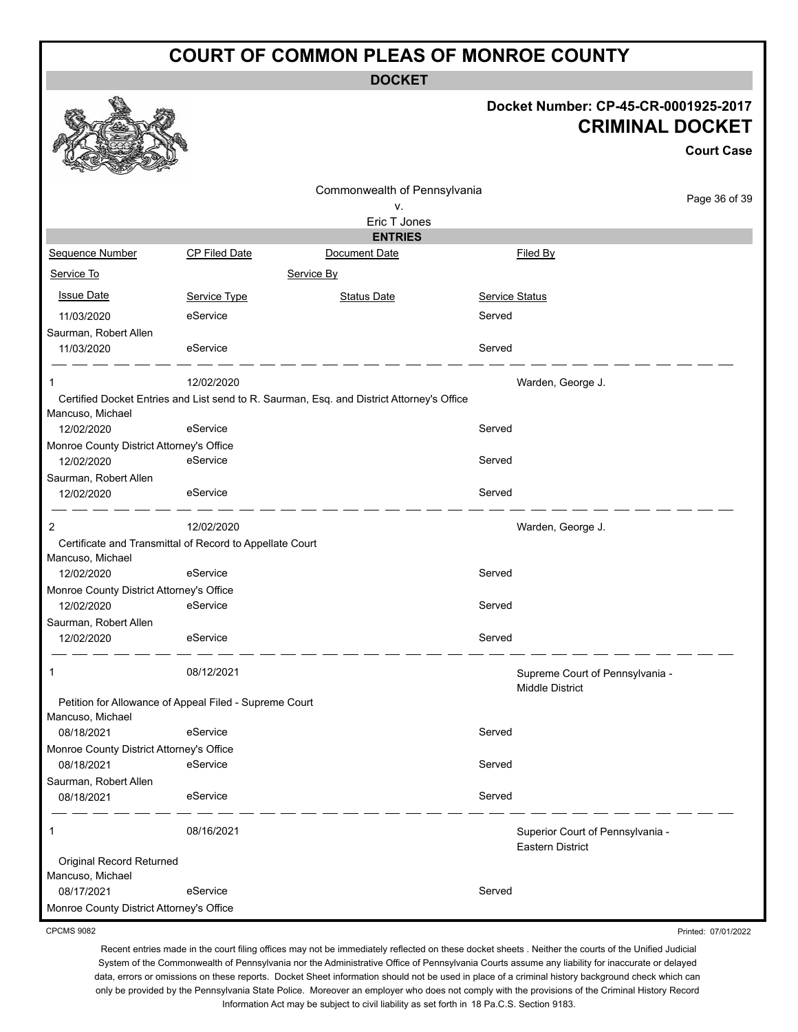**DOCKET**

#### **Docket Number: CP-45-CR-0001925-2017 CRIMINAL DOCKET**

**Court Case**

|                                                                              |                      | Commonwealth of Pennsylvania                                                              |                |                                  | Page 36 of 39 |  |
|------------------------------------------------------------------------------|----------------------|-------------------------------------------------------------------------------------------|----------------|----------------------------------|---------------|--|
|                                                                              |                      | ν.                                                                                        |                |                                  |               |  |
|                                                                              |                      | Eric T Jones                                                                              |                |                                  |               |  |
|                                                                              |                      | <b>ENTRIES</b>                                                                            |                |                                  |               |  |
| Sequence Number                                                              | <b>CP Filed Date</b> | Document Date                                                                             |                | Filed By                         |               |  |
| Service To                                                                   |                      | Service By                                                                                |                |                                  |               |  |
| <b>Issue Date</b>                                                            | Service Type         | <b>Status Date</b>                                                                        | Service Status |                                  |               |  |
| 11/03/2020                                                                   | eService             |                                                                                           | Served         |                                  |               |  |
| Saurman, Robert Allen                                                        |                      |                                                                                           |                |                                  |               |  |
| 11/03/2020                                                                   | eService             |                                                                                           | Served         |                                  |               |  |
|                                                                              | 12/02/2020           |                                                                                           |                | Warden, George J.                |               |  |
|                                                                              |                      | Certified Docket Entries and List send to R. Saurman, Esq. and District Attorney's Office |                |                                  |               |  |
| Mancuso, Michael                                                             |                      |                                                                                           |                |                                  |               |  |
| 12/02/2020                                                                   | eService             |                                                                                           | Served         |                                  |               |  |
| Monroe County District Attorney's Office<br>12/02/2020                       | eService             |                                                                                           | Served         |                                  |               |  |
| Saurman, Robert Allen                                                        |                      |                                                                                           |                |                                  |               |  |
| 12/02/2020                                                                   | eService             |                                                                                           | Served         |                                  |               |  |
|                                                                              |                      |                                                                                           |                |                                  |               |  |
| 2                                                                            | 12/02/2020           |                                                                                           |                | Warden, George J.                |               |  |
| Certificate and Transmittal of Record to Appellate Court<br>Mancuso, Michael |                      |                                                                                           |                |                                  |               |  |
| 12/02/2020                                                                   | eService             |                                                                                           | Served         |                                  |               |  |
| Monroe County District Attorney's Office                                     |                      |                                                                                           |                |                                  |               |  |
| 12/02/2020                                                                   | eService             |                                                                                           | Served         |                                  |               |  |
| Saurman, Robert Allen                                                        |                      |                                                                                           |                |                                  |               |  |
| 12/02/2020                                                                   | eService             |                                                                                           | Served         |                                  |               |  |
| $\mathbf 1$                                                                  | 08/12/2021           |                                                                                           |                | Supreme Court of Pennsylvania -  |               |  |
|                                                                              |                      |                                                                                           |                | <b>Middle District</b>           |               |  |
| Petition for Allowance of Appeal Filed - Supreme Court                       |                      |                                                                                           |                |                                  |               |  |
| Mancuso, Michael<br>08/18/2021                                               | eService             |                                                                                           | Served         |                                  |               |  |
| Monroe County District Attorney's Office                                     |                      |                                                                                           |                |                                  |               |  |
| 08/18/2021                                                                   | eService             |                                                                                           | Served         |                                  |               |  |
| Saurman, Robert Allen                                                        |                      |                                                                                           |                |                                  |               |  |
| 08/18/2021                                                                   | eService             |                                                                                           | Served         |                                  |               |  |
| 1                                                                            | 08/16/2021           |                                                                                           |                | Superior Court of Pennsylvania - |               |  |
|                                                                              |                      |                                                                                           |                | <b>Eastern District</b>          |               |  |
| Original Record Returned                                                     |                      |                                                                                           |                |                                  |               |  |
| Mancuso, Michael                                                             |                      |                                                                                           |                |                                  |               |  |
| 08/17/2021                                                                   | eService             |                                                                                           | Served         |                                  |               |  |
| Monroe County District Attorney's Office                                     |                      |                                                                                           |                |                                  |               |  |

CPCMS 9082

Recent entries made in the court filing offices may not be immediately reflected on these docket sheets . Neither the courts of the Unified Judicial System of the Commonwealth of Pennsylvania nor the Administrative Office of Pennsylvania Courts assume any liability for inaccurate or delayed data, errors or omissions on these reports. Docket Sheet information should not be used in place of a criminal history background check which can only be provided by the Pennsylvania State Police. Moreover an employer who does not comply with the provisions of the Criminal History Record Information Act may be subject to civil liability as set forth in 18 Pa.C.S. Section 9183.

Printed: 07/01/2022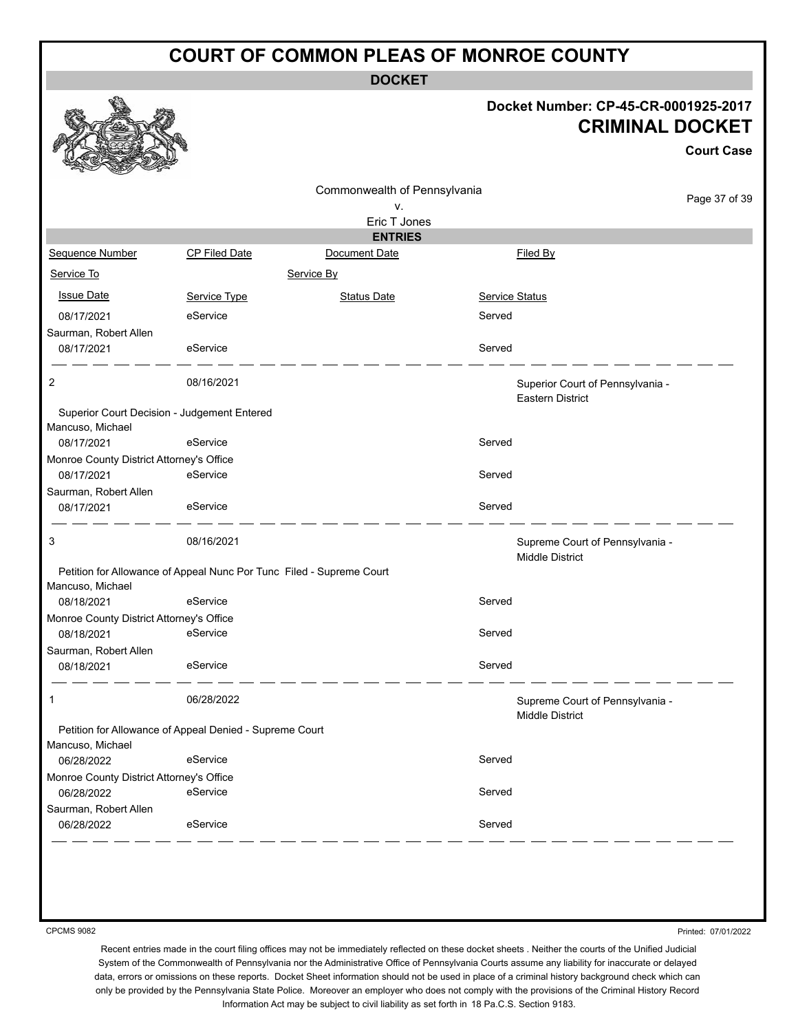**DOCKET**

#### **Docket Number: CP-45-CR-0001925-2017 CRIMINAL DOCKET**

**Court Case**

|                                          |                                                         | Commonwealth of Pennsylvania                                         |                       |                                                           |
|------------------------------------------|---------------------------------------------------------|----------------------------------------------------------------------|-----------------------|-----------------------------------------------------------|
|                                          |                                                         | ۷.                                                                   |                       | Page 37 of 39                                             |
|                                          |                                                         | Eric T Jones                                                         |                       |                                                           |
|                                          |                                                         | <b>ENTRIES</b>                                                       |                       |                                                           |
| Sequence Number                          | <b>CP Filed Date</b>                                    | Document Date                                                        | Filed By              |                                                           |
| Service To                               |                                                         | Service By                                                           |                       |                                                           |
| <b>Issue Date</b>                        | Service Type                                            | <b>Status Date</b>                                                   | <b>Service Status</b> |                                                           |
| 08/17/2021                               | eService                                                |                                                                      | Served                |                                                           |
| Saurman, Robert Allen                    |                                                         |                                                                      |                       |                                                           |
| 08/17/2021                               | eService                                                |                                                                      | Served                |                                                           |
| 2                                        | 08/16/2021                                              |                                                                      |                       | Superior Court of Pennsylvania -                          |
|                                          |                                                         |                                                                      |                       | <b>Eastern District</b>                                   |
|                                          | Superior Court Decision - Judgement Entered             |                                                                      |                       |                                                           |
| Mancuso, Michael<br>08/17/2021           | eService                                                |                                                                      | Served                |                                                           |
| Monroe County District Attorney's Office |                                                         |                                                                      |                       |                                                           |
| 08/17/2021                               | eService                                                |                                                                      | Served                |                                                           |
| Saurman, Robert Allen                    |                                                         |                                                                      |                       |                                                           |
| 08/17/2021                               | eService                                                |                                                                      | Served                |                                                           |
| 3                                        | 08/16/2021                                              |                                                                      |                       | Supreme Court of Pennsylvania -                           |
|                                          |                                                         | Petition for Allowance of Appeal Nunc Por Tunc Filed - Supreme Court |                       | <b>Middle District</b>                                    |
| Mancuso, Michael                         |                                                         |                                                                      |                       |                                                           |
| 08/18/2021                               | eService                                                |                                                                      | Served                |                                                           |
| Monroe County District Attorney's Office |                                                         |                                                                      |                       |                                                           |
| 08/18/2021                               | eService                                                |                                                                      | Served                |                                                           |
| Saurman, Robert Allen                    |                                                         |                                                                      |                       |                                                           |
| 08/18/2021                               | eService                                                |                                                                      | Served                |                                                           |
| $\mathbf{1}$                             | 06/28/2022                                              |                                                                      |                       | Supreme Court of Pennsylvania -<br><b>Middle District</b> |
|                                          | Petition for Allowance of Appeal Denied - Supreme Court |                                                                      |                       |                                                           |
| Mancuso, Michael                         |                                                         |                                                                      |                       |                                                           |
| 06/28/2022                               | eService                                                |                                                                      | Served                |                                                           |
| Monroe County District Attorney's Office |                                                         |                                                                      |                       |                                                           |
| 06/28/2022                               | eService                                                |                                                                      | Served                |                                                           |
| Saurman, Robert Allen                    |                                                         |                                                                      |                       |                                                           |
| 06/28/2022                               | eService                                                |                                                                      | Served                |                                                           |

CPCMS 9082

Printed: 07/01/2022

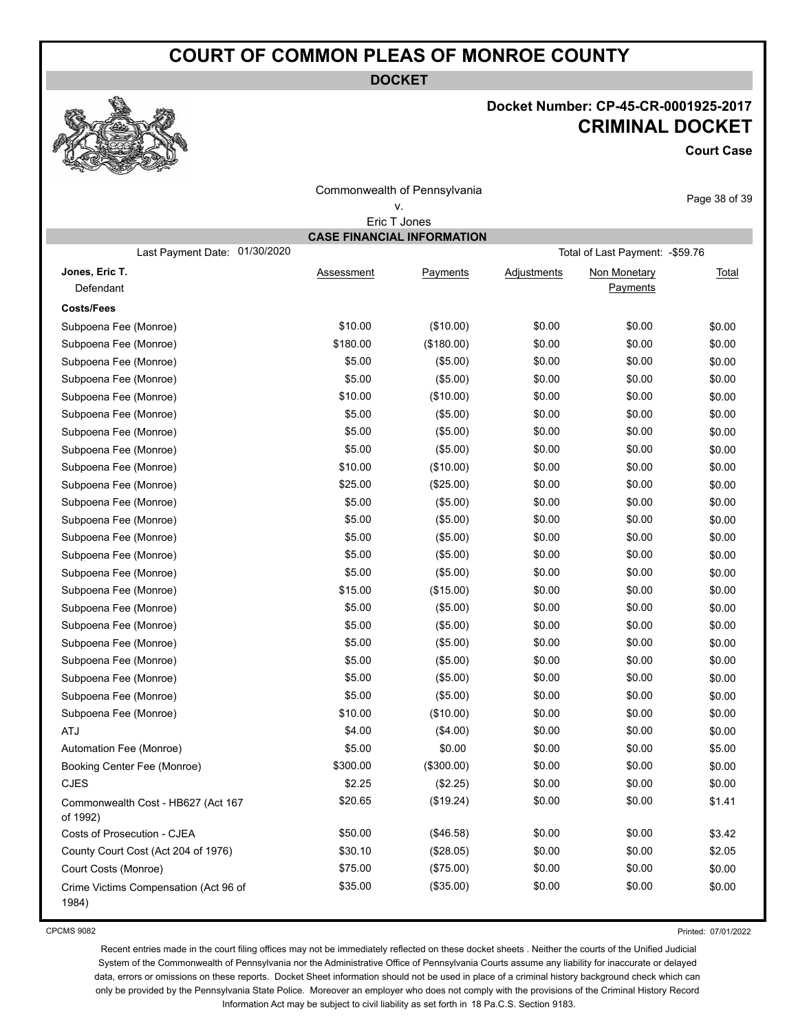**DOCKET**

#### **Docket Number: CP-45-CR-0001925-2017 CRIMINAL DOCKET**

**Court Case**

|                                                |                   | Commonwealth of Pennsylvania<br>۷. |                    |                                  | Page 38 of 39 |  |  |
|------------------------------------------------|-------------------|------------------------------------|--------------------|----------------------------------|---------------|--|--|
|                                                |                   | Eric T Jones                       |                    |                                  |               |  |  |
| <b>CASE FINANCIAL INFORMATION</b>              |                   |                                    |                    |                                  |               |  |  |
| 01/30/2020<br>Last Payment Date:               |                   |                                    |                    | Total of Last Payment: - \$59.76 |               |  |  |
| Jones, Eric T.<br>Defendant                    | <b>Assessment</b> | Payments                           | <b>Adjustments</b> | Non Monetary<br>Payments         | <b>Total</b>  |  |  |
| <b>Costs/Fees</b>                              |                   |                                    |                    |                                  |               |  |  |
| Subpoena Fee (Monroe)                          | \$10.00           | (\$10.00)                          | \$0.00             | \$0.00                           | \$0.00        |  |  |
| Subpoena Fee (Monroe)                          | \$180.00          | (\$180.00)                         | \$0.00             | \$0.00                           | \$0.00        |  |  |
| Subpoena Fee (Monroe)                          | \$5.00            | (\$5.00)                           | \$0.00             | \$0.00                           | \$0.00        |  |  |
| Subpoena Fee (Monroe)                          | \$5.00            | (\$5.00)                           | \$0.00             | \$0.00                           | \$0.00        |  |  |
| Subpoena Fee (Monroe)                          | \$10.00           | (\$10.00)                          | \$0.00             | \$0.00                           | \$0.00        |  |  |
| Subpoena Fee (Monroe)                          | \$5.00            | (\$5.00)                           | \$0.00             | \$0.00                           | \$0.00        |  |  |
| Subpoena Fee (Monroe)                          | \$5.00            | (\$5.00)                           | \$0.00             | \$0.00                           | \$0.00        |  |  |
| Subpoena Fee (Monroe)                          | \$5.00            | (\$5.00)                           | \$0.00             | \$0.00                           | \$0.00        |  |  |
| Subpoena Fee (Monroe)                          | \$10.00           | (\$10.00)                          | \$0.00             | \$0.00                           | \$0.00        |  |  |
| Subpoena Fee (Monroe)                          | \$25.00           | (\$25.00)                          | \$0.00             | \$0.00                           | \$0.00        |  |  |
| Subpoena Fee (Monroe)                          | \$5.00            | (\$5.00)                           | \$0.00             | \$0.00                           | \$0.00        |  |  |
| Subpoena Fee (Monroe)                          | \$5.00            | (\$5.00)                           | \$0.00             | \$0.00                           | \$0.00        |  |  |
| Subpoena Fee (Monroe)                          | \$5.00            | (\$5.00)                           | \$0.00             | \$0.00                           | \$0.00        |  |  |
| Subpoena Fee (Monroe)                          | \$5.00            | (\$5.00)                           | \$0.00             | \$0.00                           | \$0.00        |  |  |
| Subpoena Fee (Monroe)                          | \$5.00            | (\$5.00)                           | \$0.00             | \$0.00                           | \$0.00        |  |  |
| Subpoena Fee (Monroe)                          | \$15.00           | (\$15.00)                          | \$0.00             | \$0.00                           | \$0.00        |  |  |
| Subpoena Fee (Monroe)                          | \$5.00            | (\$5.00)                           | \$0.00             | \$0.00                           | \$0.00        |  |  |
| Subpoena Fee (Monroe)                          | \$5.00            | (\$5.00)                           | \$0.00             | \$0.00                           | \$0.00        |  |  |
| Subpoena Fee (Monroe)                          | \$5.00            | (\$5.00)                           | \$0.00             | \$0.00                           | \$0.00        |  |  |
| Subpoena Fee (Monroe)                          | \$5.00            | (\$5.00)                           | \$0.00             | \$0.00                           | \$0.00        |  |  |
| Subpoena Fee (Monroe)                          | \$5.00            | (\$5.00)                           | \$0.00             | \$0.00                           | \$0.00        |  |  |
| Subpoena Fee (Monroe)                          | \$5.00            | (\$5.00)                           | \$0.00             | \$0.00                           | \$0.00        |  |  |
| Subpoena Fee (Monroe)                          | \$10.00           | (\$10.00)                          | \$0.00             | \$0.00                           | \$0.00        |  |  |
| <b>ATJ</b>                                     | \$4.00            | (\$4.00)                           | \$0.00             | \$0.00                           | \$0.00        |  |  |
| Automation Fee (Monroe)                        | \$5.00            | \$0.00                             | \$0.00             | \$0.00                           | \$5.00        |  |  |
| Booking Center Fee (Monroe)                    | \$300.00          | $($ \$300.00)                      | \$0.00             | \$0.00                           | \$0.00        |  |  |
| <b>CJES</b>                                    | \$2.25            | (\$2.25)                           | \$0.00             | \$0.00                           | \$0.00        |  |  |
| Commonwealth Cost - HB627 (Act 167<br>of 1992) | \$20.65           | (\$19.24)                          | \$0.00             | \$0.00                           | \$1.41        |  |  |
| Costs of Prosecution - CJEA                    | \$50.00           | (\$46.58)                          | \$0.00             | \$0.00                           | \$3.42        |  |  |
| County Court Cost (Act 204 of 1976)            | \$30.10           | (\$28.05)                          | \$0.00             | \$0.00                           | \$2.05        |  |  |
| Court Costs (Monroe)                           | \$75.00           | (\$75.00)                          | \$0.00             | \$0.00                           | \$0.00        |  |  |
| Crime Victims Compensation (Act 96 of<br>1984) | \$35.00           | (\$35.00)                          | \$0.00             | \$0.00                           | \$0.00        |  |  |

CPCMS 9082

Printed: 07/01/2022